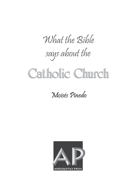# What the Rible says about the

# Catholic Church

## Moisés Pinedo

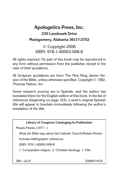## **Apologetics Press, Inc. 230 Landmark Drive Montgomery, Alabama 36117-2752**

© Copyright 2008 ISBN: 978-1-60063-008-8

All rights reserved. No part of this book may be reproduced in any form without permission from the publisher, except in the case of brief quotations.

All Scripture quotations are from The New King James Version of the Bible, unless otherwise specified. Copyright © 1982, Thomas Nelson, Inc.

Some research sources are in Spanish, and the author has translated them for the English edition of this book. In the list of references (beginning on page 163), a work's original Spanish title will appear in brackets immediately following the author's translation of the title.

**Library of Congress Cataloging-in-Publication**

Moisés Pinedo (1977 - )

What the Bible says about the Catholic Church/Moisés Pinedo

Includes bibliographic references

ISBN: 978-1-60063-008-8

1. Comparative religion. 2. Christian theology. I. Title

280—dc22 2008931974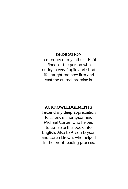#### **DEDICATION**

In memory of my father—Raúl Pinedo—the person who, during a very fragile and short life, taught me how firm and vast the eternal promise is.

#### **ACKNOWLEDGEMENTS**

I extend my deep appreciation to Rhonda Thompson and Michael Cortez, who helped to translate this book into English. Also to Alison Bryson and Loren Brown, who helped in the proof-reading process.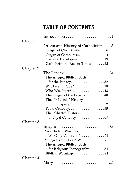## TABLE OF CONTENTS

| Chapter 1<br>Origin and History of Catholicism $\dots$ 5<br>Origin of Christianity6<br>Origin of Catholicism 11 |
|-----------------------------------------------------------------------------------------------------------------|
|                                                                                                                 |
|                                                                                                                 |
|                                                                                                                 |
|                                                                                                                 |
| Catholic Development  19                                                                                        |
| Catholicism in Recent Times 25                                                                                  |
| Chapter 2                                                                                                       |
| The Papacy. $\dots\dots\dots\dots\dots\dots\dots31$                                                             |
| The Alleged Biblical Basis                                                                                      |
|                                                                                                                 |
| Was Peter a Pope? 38                                                                                            |
| Who Was Peter? 43                                                                                               |
| The Origin of the Papacy $\ldots \ldots \ldots 48$                                                              |
| The "Infallible" History                                                                                        |
| of the Papacy $\dots \dots \dots \dots \dots \dots 52$                                                          |
| Papal Celibacy59                                                                                                |
| The "Chaste" History                                                                                            |
| of Papal Celibacy $\dots\dots\dots\dots\dots65$                                                                 |
| Chapter 3                                                                                                       |
|                                                                                                                 |
| "We Do Not Worship,                                                                                             |
| We Only Venerate!"74                                                                                            |
| "Images Yes, Idols No!"77                                                                                       |
| The Alleged Biblical Basis                                                                                      |
| for Religious Iconography84                                                                                     |
|                                                                                                                 |
| Chapter 4                                                                                                       |
|                                                                                                                 |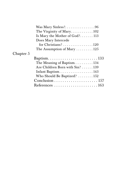|           | The Virginity of Mary. $\ldots \ldots \ldots \ldots 102$          |  |
|-----------|-------------------------------------------------------------------|--|
|           | Is Mary the Mother of God? 113                                    |  |
|           | Does Mary Intercede                                               |  |
|           | for Christians? 120                                               |  |
|           | The Assumption of Mary $\dots \dots \dots 125$                    |  |
| Chapter 5 |                                                                   |  |
|           |                                                                   |  |
|           |                                                                   |  |
|           | Are Children Born with Sin? 139                                   |  |
|           | Infant Baptism143                                                 |  |
|           | Who Should Be Baptized?  152                                      |  |
|           | $Conclusion \ldots \ldots \ldots \ldots \ldots \ldots \ldots 157$ |  |
|           | References $\ldots \ldots \ldots \ldots \ldots \ldots 163$        |  |
|           |                                                                   |  |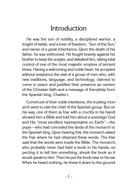## Introduction

He was the son of nobility, a disciplined warrior, a knight of battle, and a lover of freedom, "Son of the Sun," and owner of a great inheritance. Upon the death of his father, he was enthroned. He fought bravely against his brother to keep the scepter, and defeated him, taking total control of one of the most majestic empires of ancient times. Having a welcoming and noble heart, he accepted without resistance the visit of a group of men who, with new traditions, language, and technology, claimed to come in peace and justified their presence as carriers of the Christian faith and a message of friendship from the Spanish king, Charles I.

Convinced of their noble intentions, the trusting monarch went to visit the chief of the Spanish group. But on his way, one of them (a friar with a crucifix in his hand) showed him a Bible and told him about a sovereign God and His "most excellent representative on Earth"—the pope—who had conceded the lands of the monarch to the Spanish king. Upon hearing this, the monarch asked the friar where he had obtained these words. The friar said that the words were inside the Bible. The monarch, who probably never had held a book in his hands, expecting it to tell him something, shook the book so it would speak to him. Then he put the book near to his ear. When he heard nothing, he threw it down to the ground.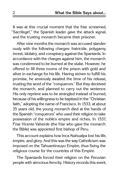It was at this crucial moment that the friar screamed, "Sacrilege!," the Spanish leader gave the attack signal, and the trusting monarch became their prisoner.

After nine months the monarch was accused slanderously with the following charges: fratricide, polygamy, incest, idolatry, and conspiracy against the Spaniards. In accordance with the charges against him, the monarch was condemned to be burned at the stake. However, he offered to fill three rooms of the prison with gold and silver in exchange for his life. Having striven to fulfill his promise, he anxiously awaited the time of his release, trusting the word of the "conquerors." But they deceived the monarch, and planned to carry out the sentence. His only reprieve was to be strangled instead of burned, because of his willingness to be baptized in the "Christian faith," adopting the name of Francisco. In 1533, at about 35 years old, the young monarch died at the hands of the Spanish "conquerors" who used their religion to take possession of the noble's empire and riches. In 1537, Friar Vicente Valverde (the friar who gave the monarch the Bible) was appointed first bishop of Peru.

This account explains how Inca Atahualpa lost his life, empire, and glory. And this was the way Catholicism was imposed on the Tahuantinsuyo Empire, thus fixing the religious course for the countries of this Empire.

The Spaniards forced their religion on the Peruvian people with atrocious ferocity. History records this event,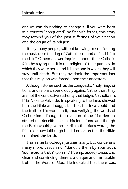and we can do nothing to change it. If you were born in a country "conquered" by Spanish forces, this story may remind you of the past sufferings of your nation and the origin of its religion.

Today many people, without knowing or considering the past, raise the flag of Catholicism and defend it "to the hilt." Others answer inquiries about their Catholic faith by saying that it is the religion of their parents, in which they were born, and it is the one in which they will stay until death. But they overlook the important fact that this religion was forced upon their ancestors.

Although stories such as the conquests, "holy" inquisitions, and reforms speak loudly against Catholicism, they are not the conclusive authority that judges Catholicism. Friar Vicente Valverde, in speaking to the Inca, showed him the Bible and suggested that the Inca could find the truth of his words in it, thus verifying the words of Catholicism. Though the reaction of the friar demonstrated the deceitfulness of his intentions, and though the Bible would give no credit to the friar's words, the friar did know (although he did not care) that the Bible contained **the truth.**

This same knowledge justifies many, but condemns many more. Jesus said, "Sanctify them by Your truth. **Your word is truth**" (John 17:17, emp. added). Jesus was clear and convincing: there is a unique and immutable truth—the Word of God. He indicated that there was,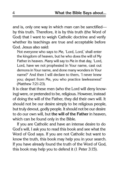and is, only one way in which man can be sanctified by this truth. Therefore, it is by this truth (the Word of God) that I want to weigh Catholic doctrine and verify whether its teachings are true and acceptable before God. Jesus also said:

Not everyone who says to Me, 'Lord, Lord,' shall enter the kingdom of heaven, but he who does the will of My Father in heaven. Many will say to Me in that day, 'Lord, Lord, have we not prophesied in Your name, cast out demons in Your name, and done many wonders in Your name?' And then I will declare to them, 'I never knew you; depart from Me, you who practice lawlessness!' (Matthew 7:21-23).

It is clear that these men (who the Lord will deny knowing) were, or pretended to be, religious. However, instead of doing the will of the Father, they did their own will. It should not be our desire simply to be religious people, but truly devout, godly people. It should not be our desire to do our own will, but **the will of the Father** in heaven, which can be found only in the Bible.

If you are Catholic and have an intense desire to do God's will, I ask you to read this book and see what the Word of God says. If you are not Catholic but want to know the truth, this book may help you in your search. If you have already found the truth of the Word of God, this book may help you to defend it (1 Peter 3:15).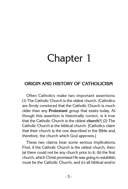## Chapter 1

## **Origin and History of Catholicism**

Often Catholics make two important assertions: (1) The Catholic Church is the oldest church. [Catholics are firmly convinced that the Catholic Church is much older than any **Protestant** group that exists today. Although this assertion is historically correct, is it true that the Catholic Church is the oldest **church**?] (2) The Catholic Church is the biblical church. [Catholics claim that their church is the one described in the Bible and, therefore, the church which God approves.]

These two claims bear some serious implications. First, if the Catholic Church is the oldest church, then: (a) there could not be any church prior to it; (b) the first church, which Christ promised He was going to establish, must be the Catholic Church; and (c) all biblical and/or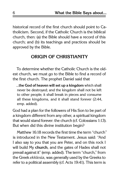historical record of the first church should point to Catholicism. Second, if the Catholic Church is the biblical church, then: (a) the Bible should have a record of this church; and (b) its teachings and practices should be approved by the Bible.

### **Origin of Christianity**

To determine whether the Catholic Church is the oldest church, we must go to the Bible to find a record of the first church. The prophet Daniel said that

...**the God of heaven will set up a kingdom** which shall never be destroyed; and the kingdom shall not be left to other people; it shall break in pieces and consume all these kingdoms, and it shall stand forever (2:44, emp. added).

God had a plan for the followers of His Son to be part of a kingdom different from any other, a spiritual kingdom that would stand forever: the church (cf. Colossians 1:13). But when did this divine institution begin?

Matthew 16:18 records the first time the term "church" is introduced in the New Testament. Jesus said: "And I also say to you that you are Peter, and on this rock I will build My **church**, and the gates of Hades shall not prevail against it" (emp. added). The term "church," from the Greek ekklesia, was generally used by the Greeks to refer to a political assembly (cf. Acts 19:41). This term is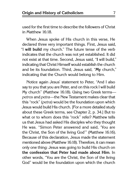used for the first time to describe the followers of Christ in Matthew 16:18.

When Jesus spoke of His church in this verse, He declared three very important things. First, Jesus said, "I **will build** my church." The future tense of the verb indicates that the church was not yet established. It did not exist at that time. Second, Jesus said, "**I** will build," indicating that Christ Himself would establish the church and be its foundation. Third, Jesus said, "**My** church," indicating that the Church would belong to Him.

Notice again Jesus' statement to Peter, "And I also say to you that you are Peter, and on this rock I will build My church" (Matthew 16:18). Using two Greek terms petros and petra—the New Testament makes clear that this "rock" (petra) would be the foundation upon which Jesus would build His church. [For a more detailed study about these Greek terms, see Chapter 2, p. 34.] But to what or to whom does this "rock" refer? Matthew tells us that Jesus had asked His disciples who they thought He was. "Simon Peter answered and said, 'You are the Christ, the Son of the living God'" (Matthew 16:16). Because of this declaration, Jesus made the statement mentioned above (Matthew 16:18). Therefore, it can mean only one thing: Jesus was going to build His church on **the confession that Peter had made about Him**. In other words, "You are the Christ, the Son of the living God" would be the foundation upon which the church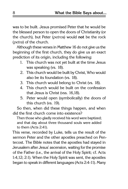was to be built. Jesus promised Peter that he would be the blessed person to open the doors of Christianity (or the church), but Peter (petros) would **not** be the rock (petra) of the church.

Although these verses in Matthew 16 do not give us the beginning of the first church, they do give us an exact prediction of its origin, including the following:

- 1. This church was not yet built at the time Jesus was speaking (vs. 18).
- 2. This church would be built by Christ, Who would also be its foundation (vs. 18).
- 3. This church would belong to Christ (vs. 18).
- 4. This church would be built on the confession that Jesus is Christ (vss. 16,18).
- 5. Peter would open (symbolically) the doors of this church (vs. 19).

So then, when did these things happen, and when did the first church come into existence?

Then those who gladly received his word were baptized; and that day about three thousand souls were added to them (Acts 2:41).

This verse, recorded by Luke, tells us the result of the sermon Peter and the other apostles preached on Pentecost. The Bible notes that the apostles had stayed in Jerusalem after Jesus' ascension, waiting for the promise of the Father (i.e., the arrival of the Holy Spirit; cf. Acts 1:4,12; 2:1). When the Holy Spirit was sent, the apostles began to speak in different languages (Acts 2:4-11). Many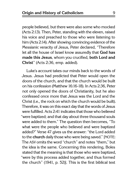people believed, but there were also some who mocked (Acts 2:13). Then, Peter, standing with the eleven, raised his voice and preached to those who were listening to him (Acts 2:14). After showing convincing evidence of the Messianic veracity of Jesus, Peter declared, "Therefore let all the house of Israel know assuredly that **God has made this Jesus**, whom you crucified, **both Lord and Christ**" (Acts 2:36, emp. added).

Luke's account takes our minds back to the words of Jesus. Jesus had predicted that Peter would open the doors of the church, and that the church would be built on his confession (Matthew 16:16-18). In Acts 2:36, Peter not only opened the doors of Christianity, but he also confessed once more that Jesus was the Lord and the Christ (i.e., the rock on which the church would be built). Therefore, it was on this exact day that the words of Jesus were fulfilled. Acts 2:41 indicates that those who believed "were baptized; and that day about three thousand souls were added to them." The question then becomes, "To what were the people who believed and were baptized added?" Verse 47 gives us the answer: "the Lord added to the **church** daily those who were being saved." [NOTE: The ASV omits the word "church" and notes "them," but the idea is the same. Concerning this rendering, Boles stated that the meaning is that those who were baptized, "were by this process added together, and thus formed the church" (1941, p. 52)]. This is the first biblical text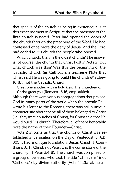that speaks of the church as being in existence; it is at this exact moment in Scripture that the presence of the **first** church is noted. Peter had opened the doors of the church through the preaching of the Word. He had confessed once more the deity of Jesus. And the Lord had added to His church the people who obeyed.

Which church, then, is the oldest church? The answer is, of course, the church that Christ built in Acts 2. But what church was this? Was this the beginning of the Catholic Church (as Catholicism teaches)? Note that Christ said He was going to build **His** church (Matthew 16:18), not the Catholic Church.

Greet one another with a holy kiss. **The churches of Christ** greet you (Romans 16:16, emp. added).

Although there were various congregations that praised God in many parts of the world when the apostle Paul wrote his letter to the Romans, there was still a unique characteristic about them: all of them belonged to Christ (i.e., they were churches **of** Christ), for Christ said that He would build His church. Therefore, all of them honorably bore the name of their Founder—Christ.

Acts 2 informs us that the church of Christ was established in Jerusalem on the Day of Pentecost (c. A.D. 30). It had a unique foundation, Jesus Christ (1 Corinthians 3:11). Christ, not Peter, was the cornerstone of the church (cf. 1 Peter 2:4-8). The church was comprised of a group of believers who took the title "Christians" (not "Catholics") by divine authority (Acts 11:26; cf. Isaiah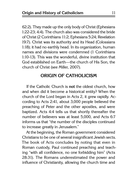62:2). They made up the only body of Christ (Ephesians 1:22-23; 4:4). The church also was considered the bride of Christ (2 Corinthians 11:2; Ephesians 5:24; Revelation 19:7). Christ was its authority and its Head (Colossians 1:18); it had no earthly head. In its organization, human names and divisions were condemned (1 Corinthians 1:10-13). This was the wonderful, divine institution that God established on Earth—the church of His Son, the church of Christ (see Miller, 2007).

### **Origin of Catholicism**

If the Catholic Church is **not** the oldest church, how and when did it become a historical entity? When the church of the Lord began in Acts 2, it grew rapidly. According to Acts 2:41, about 3,000 people believed the preaching of Peter and the other apostles, and were baptized. Acts 4:4 tells us that shortly thereafter the number of believers was at least 5,000, and Acts 6:7 informs us that "the number of the disciples continued to increase greatly in Jerusalem."

At the beginning, the Roman government considered Christians to be one of several insignificant Jewish sects. The book of Acts concludes by noting that even in Roman custody, Paul continued preaching and teaching "with all confidence, no one forbidding him" (Acts 28:31). The Romans underestimated the power and influence of Christianity, allowing the church time and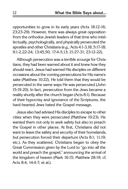opportunities to grow in its early years (Acts 18:12-16; 23:23-29). However, there was always great opposition from the orthodox Jewish leaders of that time who intellectually, psychologically, and physically persecuted the apostles and other Christians (e.g., Acts 4:1-3,18; 5:17-18; 9:1-2,22-24; 13:45,50; 17:4-5,13; 21:27-31; 23:12-22).

Although persecution was a terrible scourge for Christians, they had been warned about it and knew how they should react. Jesus had warned His disciples on different occasions about the coming persecutions for His name's sake (Matthew 10:22). He told them that they would be persecuted in the same ways He was persecuted (John 15:19-20). In fact, persecution from the Jews became a reality shortly after the church began (Acts 8:1). Because of their hypocrisy and ignorance of the Scriptures, the hard-hearted Jews hated the Gospel message.

Jesus also had advised His disciples to escape to other cities when they were persecuted (Matthew 10:23). He wanted them not only to seek safety but also to preach the Gospel in other places. At first, Christians did not want to leave the safety and security of their homelands, but persecution forced their departure (Acts 8:1; 11:19; etc.). As they scattered, Christians began to obey the Great Commission given by the Lord to "go into all the world and preach the gospel," announcing the arrival of the kingdom of heaven (Mark 16:15; Matthew 28:19; cf. Acts 8:4; 14:4-7; et al.).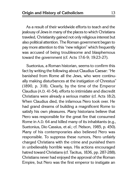As a result of their worldwide efforts to teach and the jealousy of Jews in many of the places to which Christians traveled, Christianity gained not only religious interest but also political attention. The Roman government began to pay more attention to this "new religion" which frequently was accused of being troublesome and blasphemous toward the government (cf. Acts 17:6-9; 19:23-27).

Suetonius, a Roman historian, seems to confirm this fact by writing the following about Claudius Caesar: "He banished from Rome all the Jews, who were continually making disturbances at the instigation of Chrestus" (1890, p. 318). Clearly, by the time of the Emperor Claudius (A.D. 41-54), efforts to intimidate and discredit Christians were already a serious matter (cf. Acts 18:2). When Claudius died, the infamous Nero took over. He had grand dreams of building a magnificent Rome to satisfy his own pleasures. Many historians believe that Nero was responsible for the great fire that consumed Rome in A.D. 64 and killed many of its inhabitants (e.g., Suetonius, Dio Cassius, et al.; cf. Nelson, 1985, p. 450). Many of his contemporaries also believed Nero was responsible. To suppress these rumors, Nero unfairly charged Christians with the crime and punished them in unbelievably horrible ways. His actions encouraged hatred toward Christians (cf. Tacitus, 1836, pp. 287-288). Christians never had enjoyed the approval of the Roman Empire, but Nero was the first emperor to instigate an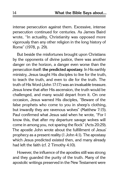intense persecution against them. Excessive, intense persecution continued for centuries. As James Baird wrote, "In actuality, Christianity was opposed more vigorously than any other religion in the long history of Rome" (1978, p. 29).

But beside the misfortunes brought upon Christians by the opponents of divine justice, there was another danger on the horizon, a danger even worse than the persecution itself: **the predicted apostasy**. In His earthly ministry, Jesus taught His disciples to live for the truth, to teach the truth, and even to die for the truth. The truth of His Word (John 17:17) was an invaluable treasure. Jesus knew that after His ascension, the truth would be challenged, and many would depart from it. On one occasion, Jesus warned His disciples, "Beware of the false prophets who come to you in sheep's clothing, but inwardly they are ravenous wolves" (Matthew 7:15). Paul confirmed what Jesus said when he wrote, "For I know this, that after my departure savage wolves will come in among you, not sparing the flock" (Acts 20:29). The apostle John wrote about the fulfillment of Jesus' prophecy as a present reality (1 John 4:1). The apostasy which Jesus predicted existed then, and many already had left the faith (cf. 2 Timothy 4:10).

However, the influence of the apostles still was strong and they guarded the purity of the truth. Many of the apostolic writings preserved in the New Testament were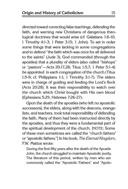directed toward correcting false teachings, defending the faith, and warning new Christians of dangerous theological doctrines that would arise (cf. Galatians 1:6-10; 1 Timothy 4:1-3; 1 Peter 3:15; 1 John). To set in order some things that were lacking in some congregations and to defend "the faith which was once for all delivered to the saints" (Jude 3), God commanded (through the apostles) that a plurality of elders (also called "bishops" or "pastors"—Acts 20:17,28; Titus 1:5,7; 1 Peter 5:1-4) be appointed in each congregation of the church (Titus 1:5-9; cf. Philippians 1:1; 1 Timothy 3:1-7). The elders were in charge of guiding and feeding the Lord's flock (Acts 20:28). It was their responsibility to watch over the church which Christ bought with His own blood (Ephesians 5:25; Hebrews 7:26-27).

Upon the death of the apostles (who left no apostolic successors), the elders, along with the deacons, evangelists, and teachers, took total responsibility of defending the faith. Many of them had been instructed directly by the apostles, and thus they were a fundamental part of the spiritual development of the church. [NOTE: Some of these men sometimes are called the "church fathers" or "apostolic fathers."] In his book, The Eternal Kingdom, F.W. Mattox wrote:

During the first fifty years after the death of the Apostle John, the church struggled to maintain Apostolic purity. The literature of this period, written by men who are commonly called the "Apostolic Fathers" and "Apolo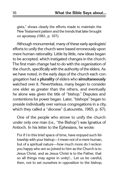gists," shows clearly the efforts made to maintain the New Testament pattern and the trends that later brought on apostasy (1961, p. 107).

Although monumental, many of these early apologists' efforts to unify the church were based erroneously upon mere human rationality. Little by little, new ideas began to be accepted, which instigated changes in the church. The first main change had to do with the organization of the church, specifically with the authority of the elders. As we have noted, in the early days of the church each congregation had a **plurality** of elders who **simultaneously** watched over it. Nevertheless, many began to consider one elder as greater than the others, and eventually he alone was given the title of "bishop." Disputes and contentions for power began. Later, "bishops" began to preside individually over various congregations in a city, which they called a "diocese" (Latourette, 1965, p. 67).

One of the people who strove to unify the church under only one man (i.e., "the Bishop") was Ignatius of Antioch. In his letter to the Ephesians, he wrote:

For if I in this brief space of time, have enjoyed such fellowship with your bishop—I mean not of a mere human, but of a spiritual nature—how much more do I reckon you happy who are so joined to him as the Church is to Jesus Christ, and as Jesus Christ is to the Father, that so all things may agree in unity!... Let us be careful, then, not to set ourselves in opposition to the bishop,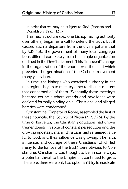in order that we may be subject to God (Roberts and Donaldson, 1973, 1:51).

This new structure (i.e., one bishop having authority over others) began as a call to defend the truth, but it caused such a departure from the divine pattern that by A.D. 150, the government of many local congregations differed completely from the simple organization outlined in the New Testament. This "innocent" change in the organization of the church was the seed which preceded the germination of the Catholic movement many years later.

In time, the bishops who exercised authority in certain regions began to meet together to discuss matters that concerned all of them. Eventually these meetings became councils where creeds and new ideas were declared formally binding on all Christians, and alleged heretics were condemned.

Constantine, Emperor of Rome, assembled the first of these councils, the Council of Nicea (A.D. 325). By the time of his reign, the Christian population had grown tremendously. In spite of constant persecution and the growing apostasy, many Christians had remained faithful to God, and their influence was growing. The faith, influence, and courage of these Christians (which led many to die for love of the truth) were obvious to Constantine. Christianity was thought to be, in some ways, a potential threat to the Empire if it continued to grow. Therefore, there were only two options: (1) try to eradicate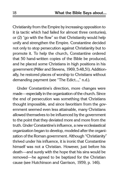Christianity from the Empire by increasing opposition to it (a tactic which had failed for almost three centuries), or (2) "go with the flow" so that Christianity would help unify and strengthen the Empire. Constantine decided not only to stop persecution against Christianity but to promote it. To help the church, Constantine ordered that 50 hand-written copies of the Bible be produced, and he placed some Christians in high positions in his government (Miller and Stevens, 1969, 5:48,51). Additionally, he restored places of worship to Christians without demanding payment (see "The Edict...," n.d.).

Under Constantine's direction, more changes were made—especially in the organization of the church. Since the end of persecution was something that Christians thought impossible, and since favoritism from the government seemed even less attainable, many Christians allowed themselves to be influenced by the government to the point that they deviated more and more from the truth. Under Constantine's influence, a new ecclesiastical organization began to develop, modeled after the organization of the Roman government. Although "Christianity" thrived under his influence, it is ironic that Constantine himself was not a Christian. However, just before his death—and surely with the hope that his sins would be removed—he agreed to be baptized for the Christian cause (see Hutchinson and Garrison, 1959, p. 146).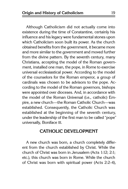Although Catholicism did not actually come into existence during the time of Constantine, certainly his influence and his legacy were fundamental stones upon which Catholicism soon built its power. As the church obtained benefits from the government, it became more and more similar to the government and moved further from the divine pattern. By the seventh century, many Christians, accepting the model of the Roman government, installed one man, the pope, in Rome to exercise universal ecclesiastical power. According to the model of the counselors for the Roman emperor, a group of cardinals was chosen to be advisors to the pope. According to the model of the Roman governors, bishops were appointed over dioceses. And, in accordance with the model of the Roman Universal (i.e., catholic) Empire, a new church—the Roman Catholic Church—was established. Consequently, the Catholic Church was established at the beginning of the seventh century, under the leadership of the first man to be called "pope" universally, Boniface III.

## **Catholic Development**

A new church was born, a church completely different from the church established by Christ. While the church of Christ was born in Jerusalem (Acts 1:12; 2:1; etc.), this church was born in Rome. While the church of Christ was born with spiritual power (Acts 2:2-4),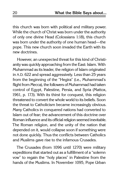this church was born with political and military power. While the church of Christ was born under the authority of only one divine Head (Colossians 1:18), this church was born under the authority of one human head—the pope. This new church soon invaded the Earth with its new doctrines.

However, an unexpected threat for this kind of Christianity was quickly approaching from the East: Islam. With Muhammad as its leader, the religion of Islam originated in A.D. 622 and spread aggressively. Less than 25 years from the beginning of the "Hegira" (i.e., Muhammad's flight from Mecca), the followers of Muhammad had taken control of Egypt, Palestine, Persia, and Syria (Mattox, 1961, p. 173). With its thirst for conquest, this religion threatened to convert the whole world to its beliefs. Soon the threat to Catholicism became increasingly obvious. Many Catholics in conquered nations had converted to Islam out of fear; the advancement of this doctrine over Roman influence and its official religion seemed inevitable. The Roman religion, and the unity of the nation that depended on it, would collapse soon if something were not done quickly. Thus the conflicts between Catholics and Muslims gave rise to the infamous Crusades.

The Crusades (from 1096 until 1270) were military expeditions that started out as a fulfillment of a "solemn vow" to regain the "holy places" in Palestine from the hands of the Muslims. In November 1095, Pope Urban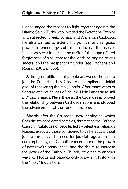II encouraged the masses to fight together against the Islamic Seljuk Turks who invaded the Byzantine Empire and subjected Greek, Syrian, and Armenian Catholics. He also wanted to extend his political and religious power. To encourage Catholics to involve themselves in a bloody war in the "name of God," the pope offered forgiveness of sins, care for the lands belonging to crusaders, and the prospect of plunder (see Hitchens and Roupp, 2001, p. 186).

Although multitudes of people answered the call to join the Crusades, they failed to accomplish the initial goal of recovering the Holy Lands. After many years of fighting and much loss of life, the Holy Lands were still in Muslim hands. Nevertheless, the Crusades improved the relationship between Catholic nations and stopped the advancement of the Turks in Europe.

Shortly after the Crusades, new ideologies, which Catholicism considered heresies, threatened the Catholic Church. Multitudes of people, led by relentless religious leaders, executed those considered to be heretics without judicial process. The need for judicial regulation concerning heresy, the Catholic concern about the growth of new revolutionary ideas, and the desire to increase the power of the Catholic Church, gave rise to another wave of bloodshed paradoxically known in history as the "Holy" Inquisition.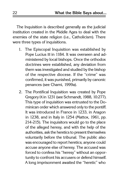The Inquisition is described generally as the judicial institution created in the Middle Ages to deal with the enemies of the state religion (i.e., Catholicism). There were three types of inquisitions.

- 1. The Episcopal Inquisition was established by Pope Lucius III in 1184. It was overseen and administered by local bishops. Once the orthodox doctrines were established, any deviation from them was investigated and studied by the bishop of the respective diocese. If the "crime" was confirmed, it was punished, primarily by canonic penances (see Chami, 1999a).
- 2. The Pontifical Inquisition was created by Pope Gregory IX in 1231 (see Schmandt, 1988, 10:277). This type of inquisition was entrusted to the Dominican order which answered only to the pontiff. It was introduced in France in 1233, in Aragon in 1238, and in Italy in 1254 (Mattox, 1961, pp. 214-215). The inquisitors would go to the place of the alleged heresy, and with the help of the authorities, ask the heretics to present themselves voluntarily before the tribunal. The public also was encouraged to report heretics; anyone could accuse anyone else of heresy. The accused was forced to confess his "heresy" without an opportunity to confront his accusers or defend himself. A long imprisonment awaited the "heretic" who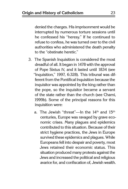denied the charges. His imprisonment would be interrupted by numerous torture sessions until he confessed his "heresy." If he continued to refuse to confess, he was turned over to the civil authorities who administered the death penalty to the "obstinate heretic."

- 3. The Spanish Inquisition is considered the most dreadful of all. It began in 1478 with the approval of Pope Sixtus IV, and it lasted until 1834 (see "Inquisition," 1997, 6:328). This tribunal was different from the Pontifical Inquisition because the inquisitor was appointed by the king rather than the pope, so the inquisitor became a servant of the state rather than the church (see Chami, 1999b). Some of the principal reasons for this inquisition were:
	- a. The Jewish "threat"—In the  $14<sup>th</sup>$  and  $15<sup>th</sup>$ centuries, Europe was ravaged by grave economic crises. Many plagues and epidemics contributed to this situation. Because of their strict hygiene practices, the Jews in Europe survived these epidemics and plagues. While Europeans fell into despair and poverty, most Jews retained their economic status. This situation produced many protests against the Jews and increased the political and religious avarice for, and confiscation of, Jewish wealth.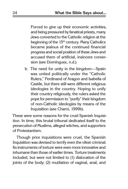Forced to give up their economic activities, and being pressured by fanatical priests, many Jews converted to the Catholic religion at the beginning of the 15<sup>th</sup> century. Many Catholics became jealous of the continued financial progress and social position of these Jews and accused them of artificial, insincere conversion (see Domínguez, n.d.).

b. The need for unity in the kingdom—Spain was united politically under the "Catholic Rulers," Ferdinand of Aragon and Isabella of Castile, but there still were different religious ideologies in the country. Hoping to unify their country religiously, the rulers asked the pope for permission to "purify" their kingdom of non-Catholic ideologies by means of the Inquisition (see Chami, 1999b).

These were some reasons for the cruel Spanish Inquisition. In time, this brutal tribunal dedicated itself to the persecution of Muslims, alleged witches, and supporters of Protestantism.

Though prior inquisitions were cruel, the Spanish Inquisition was devised to terrify even the vilest criminal. Its instruments of torture were even more innovative and inhumane than those of earlier times. Torture treatments included, but were not limited to (1) dislocation of the joints of the body; (2) mutilation of vaginal, anal, and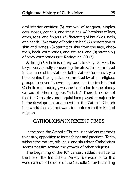oral interior cavities; (3) removal of tongues, nipples, ears, noses, genitals, and intestines; (4) breaking of legs, arms, toes, and fingers; (5) flattening of knuckles, nails, and heads; (6) sawing of bodies in half; (7) perforation of skin and bones; (8) tearing of skin from the face, abdomen, back, extremities, and sinuses; and (9) stretching of body extremities (see Rodriguez, 2007).

Although Catholicism may want to deny its past, history speaks loudly concerning the atrocities committed in the name of the Catholic faith. Catholicism may try to hide behind the injustices committed by other religious groups to cover its own disgrace, but the truth is that Catholic methodology was the inspiration for the bloody canvas of other religious "artists." There is no doubt that the Crusades and Inquisitions played a major role in the development and growth of the Catholic Church in a world that did not want to conform to this kind of religion.

## **Catholicism in Recent Times**

In the past, the Catholic Church used violent methods to destroy opposition to its teachings and practices. Today, without the torture, tribunals, and slaughter, Catholicism seems passive toward the growth of other religions.

The beginning of the  $16<sup>th</sup>$  century added new fuel to the fire of the Inquisition. Ninety-five reasons for this were nailed to the door of the Catholic Church building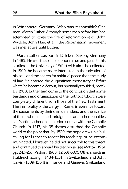in Wittenberg, Germany. Who was responsible? One man: Martin Luther. Although some men before him had attempted to ignite the fire of reformation (e.g., John Wycliffe, John Hus, et al.), the Reformation movement was ineffective until Luther.

Martin Luther was born in Eisleben, Saxony, Germany in 1483. He was the son of a poor miner and paid for his studies at the University of Erfurt with alms he collected. In 1505, he became more interested in the salvation of his soul and the search for spiritual peace than the study of law. He entered the Augustinian monastery at Erfurt where he became a devout, but spiritually troubled, monk. By 1508, Luther had come to the conclusion that some teachings and organization of the Catholic Church were completely different from those of the New Testament. The immorality of the clergy in Rome, irreverence toward the sacraments by their own defenders, and the avarice of those who collected indulgences and other penalties set Martin Luther on a collision course with the Catholic Church. In 1517, his 95 theses disturbed the Catholic world to the point that, by 1520, the pope drew up a bull calling for Luther to recant his teachings or be excommunicated. However, he did not succumb to this threat, and continued to spread his teachings (see Mattox, 1961, pp. 243-261; Pelikan, 1988, 12:531-533). Others, such as Huldreich Zwingli (1484-1531) in Switzerland and John Calvin (1509-1564) in France and Geneva, Switzerland,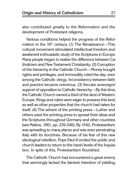also contributed greatly to the Reformation and the development of Protestant religions.

Various conditions helped the progress of the Reformation in the  $16<sup>th</sup>$  century. (1) The Renaissance—This cultural movement stimulated intellectual freedom and awakened enthusiastic study of the Scriptures in Europe. Many people began to realize the difference between Catholicism and New Testament Christianity. (2) Corruption of the hierarchy in the Catholic Church—Money bought rights and privileges, and immorality ruled the day, even among the Catholic clergy. Inconsistency between faith and practice became notorious. (3) Secular sovereigns' support of opposition to Catholic hierarchy—By this time, the Catholic Church owned a third of the land of Western Europe. Kings and rulers were eager to possess this land, as well as other properties that the church had taken for itself. (4) The advent of the printing press—Luther and others used the printing press to spread their ideas and the Scriptures throughout Germany and other countries (see Mattox, 1961, pp. 239-246). By 1542, Protestantism was spreading to many places and was even penetrating Italy with its doctrines. Because of his fear of this new ideological rebellion, Pope Paul III incited the public and church leaders to return to the harsh levels of the Inquisition. In spite of this, Protestantism flourished.

The Catholic Church had encountered a great enemy that seemingly lacked the faintest intention of yielding.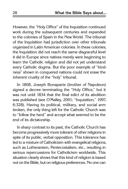However, the "Holy Office" of the Inquisition continued work during the subsequent centuries and expanded to the colonies of Spain in the New World. The tribunal of the Inquisition had jurisdiction over other tribunals organized in Latin American colonies. In these colonies, the Inquisition did not reach the same disgraceful level it did in Europe since natives merely were beginning to learn the Catholic religion and did not yet understand every Catholic dogma. But the poor example of "kindness" shown in conquered nations could not erase the inherent cruelty of the "holy" tribunal.

In 1808, Joseph Bonaparte (brother of Napoleon) signed a decree terminating the "Holy Office," but it was not until 1834 that the final edict of its abolition was published (see O'Malley, 2001; "Inquisition," 1997, 6:328). Having its political, military, and social arm broken, the only thing left for the Catholic Church was to "follow the herd" and accept what seemed to be the end of its dictatorship.

In sharp contrast to its past, the Catholic Church has become progressively more tolerant of other religions in spite of its public, verbal opposition. This tolerance has led to a mixture of Catholicism with evangelical religions, such as Lutheranism, Pentecostalism, etc., resulting in serious repercussions for Catholicism worldwide. This situation clearly shows that this kind of religion is based not on the Bible, but on religious preferences. No one can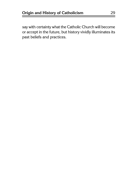say with certainty what the Catholic Church will become or accept in the future, but history vividly illuminates its past beliefs and practices.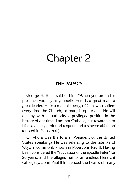# Chapter 2

# **the papacy**

George H. Bush said of him: "When you are in his presence you say to yourself: 'Here is a great man, a great leader.' He is a man of liberty, of faith, who suffers every time the Church, or man, is oppressed. He will occupy, with all authority, a privileged position in the history of our time. I am not Catholic, but towards him I feel a deeply profound respect and a sincere affection" (quoted in Mirás, n.d.).

Of whom was the former President of the United States speaking? He was referring to the late Karol Wojtyla, commonly known as Pope John Paul II. Having been considered the "successor of the apostle Peter" for 26 years, and the alleged heir of an endless hierarchical legacy, John Paul II influenced the hearts of many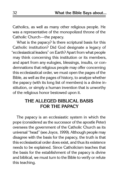Catholics, as well as many other religious people. He was a representative of the monopolized throne of the Catholic Church—the papacy.

What is the papacy? Is there scriptural basis for this Catholic institution? Did God designate a legacy of "ecclesiastical leaders" on Earth? Apart from what people may think concerning this institution or its members, and apart from any eulogies, blessings, insults, or condemnations that religious people may offer concerning this ecclesiastical order, we must open the pages of the Bible, as well as the pages of history, to analyze whether the papacy (with its long list of members) is a divine institution, or simply a human invention that is unworthy of the religious honor bestowed upon it.

# **The Alleged Biblical Basis for the Papacy**

The papacy is an ecclesiastic system in which the pope (considered as the successor of the apostle Peter) oversees the government of the Catholic Church as its universal "head" (see Joyce, 1999). Although people may disagree with the basis for the papacy, the truth is that this ecclesiastical order does exist, and thus its existence needs to be explained. Since Catholicism teaches that the basis for the establishment of the papacy is divine and biblical, we must turn to the Bible to verify or refute this teaching.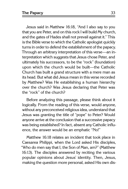Jesus said in Matthew 16:18, "And I also say to you that you are Peter, and on this rock I will build My church, and the gates of Hades shall not prevail against it." This is the Bible verse to which the Catholic apologist quickly turns in order to defend the establishment of the papacy. Through an arbitrary interpretation of this verse—an interpretation which suggests that Jesus chose Peter, and ultimately his successors, to be the "rock" (foundation) upon which the church would be built—the Catholic Church has built a grand structure with a mere man as its head. But what did Jesus mean in this verse recorded by Matthew? Was He establishing a human hierarchy over the church? Was Jesus declaring that Peter was the "rock" of the church?

Before analyzing this passage, please think about it logically. From the reading of this verse, would anyone, without any preconceived religious idea, understand that Jesus was granting the title of "pope" to Peter? Would anyone arrive at the conclusion that a successive papacy was being established? In fact, absent any Catholic influence, the answer would be an emphatic "No!"

Matthew 16:18 relates an incident that took place in Caesarea Philippi, when the Lord asked His disciples, "Who do men say that I, the Son of Man, am?" (Matthew 16:13). The disciples answered by reciting the various popular opinions about Jesus' identity. Then, Jesus, making the question more personal, asked His own dis-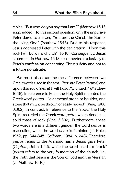ciples: "But who do **you** say that I am?" (Matthew 16:15, emp. added). To this second question, only the impulsive Peter dared to answer, "You are the Christ, the Son of the living God" (Matthew 16:16). Due to his response, Jesus addressed Peter with the declaration, "Upon this rock I will build my church" (16:18). Consequently, Jesus' statement in Matthew 16:18 is connected exclusively to Peter's **confession** concerning Christ's deity and not to a future pontificate.

We must also examine the difference between two Greek words used in the text: "You are Peter (petros) and upon this rock (petra) I will build My church" (Matthew 16:18). In reference to Peter, the Holy Spirit recorded the Greek word petros—"a detached stone or boulder, or a stone that might be thrown or easily moved" (Vine, 1966, 3:302). In contrast, in reference to the "rock," the Holy Spirit recorded the Greek word petra, which denotes a solid mass of rock (Vine, 3:302). Furthermore, these two words are in a different gender; the word petros is masculine, while the word *petra* is feminine (cf. Boles, 1952, pp. 344-345; Coffman, 1984, p. 248). Therefore, petros refers to the Aramaic name Jesus gave Peter (Cephas, John 1:42), while the word used for "rock" (petra) refers to the very foundation of the church, i.e., the truth that Jesus is the Son of God and the Messiah (cf. Matthew 16:16).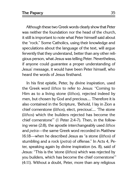Although these two Greek words clearly show that Peter was neither the foundation nor the head of the church, it still is important to note what Peter himself said about the "rock." Some Catholics, using their knowledge and speculations about the language of the text, will argue fervently that they understand, better than any other religious person, what Jesus was telling Peter. Nevertheless, if anyone could guarantee a proper understanding of Jesus' message, it would have been Peter himself, who heard the words of Jesus firsthand.

In his first epistle, Peter, by divine inspiration, used the Greek word lithos to refer to Jesus: "Coming to Him as to a living stone (lithos), rejected indeed by men, but chosen by God and precious.... Therefore it is also contained in the Scripture, 'Behold, I lay in Zion a chief cornerstone (lithos), elect, precious'.... 'The stone (lithos) which the builders rejected has become the chief cornerstone'" (1 Peter 2:4-7). Then, in the following verse (2:8), the apostle interchangeably used lithos and petra—the same Greek word recorded in Matthew 16:18—when he described Jesus as "a stone (lithos) of stumbling and a rock (petra) of offense." In Acts 4, Peter, speaking again by divine inspiration (vs. 8), said of Jesus: "This is the 'stone (lithos) which was rejected by you builders, which has become the chief cornerstone'" (4:11). Without a doubt, Peter, more than any religious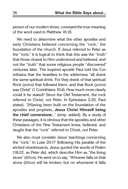person of our modern times, conveyed the true meaning of the word used in Matthew 16:18.

We need to determine what the other apostles and early Christians believed concerning the "rock," the foundation of the church. If Jesus referred to Peter as the "rock," it is logical to think that this was the "truth" that those closest to Him understood and believed, and not the "truth" that some religious people "discovered" centuries later. The inspired apostle Paul told the Corinthians that the Israelites in the wilderness "all drank the same spiritual drink. For they drank of that spiritual Rock (petra) that followed them, and that Rock (petra) was Christ" (1 Corinthians 10:4). How much more clearly could it be stated? Since the Old Testament, the rock referred to Christ, not Peter. In Ephesians 2:20, Paul stated, "[H]aving been built on the foundation of the apostles and prophets, **Jesus Christ Himself being the chief cornerstone**..." (emp. added). By a study of these passages, it is obvious that the apostles and other Christians of the New Testament knew, believed, and taught that the "rock" referred to Christ, not Peter.

We also must consider Jesus' teachings concerning the "rock." In Luke 20:17 (following His parable of the wicked vinedressers), Jesus quoted the words of Psalm 118:22, as Peter did, which describe Him as "the living stone" (lithos). He went on to say, "Whoever falls on that stone (lithos) will be broken; but on whomever it falls,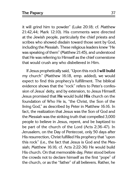it will grind him to powder" (Luke 20:18; cf. Matthew 21:42,44; Mark 12:10). His comments were directed at the Jewish people, particularly the chief priests and scribes who showed disdain toward those sent by God, including the Messiah. These religious leaders knew "He was speaking of them" (Matthew 21:45), and understood that He was referring to Himself as the chief cornerstone that would crush any who disbelieved in Him.

If Jesus prophetically said, "Upon this rock **I will build**  my church" (Matthew 16:18, emp. added), we would expect to find this prophecy's fulfillment. The biblical evidence shows that the "rock" refers to Peter's confession of Jesus' deity, and by extension, to Jesus Himself. Jesus promised that **He** would build **His** church on the foundation of Who He is, "the Christ, the Son of the living God," as described by Peter in Matthew 16:16. In fact, the realization that Jesus was the Son of God and the Messiah was the striking truth that compelled 3,000 people to believe in Jesus, repent, and be baptized to be part of the church of the Lord (Acts 2:36-47). In Jerusalem, on the Day of Pentecost, only 50 days after His resurrection, Christ fulfilled His prophecy that "upon this rock" (i.e., the fact that Jesus is God and the Messiah; Matthew 16:16; cf. Acts 2:22-36) He would build His church. On that memorable day, Peter stood before the crowds not to declare himself as the first "pope" of the church, or as the "father" of all believers. Rather, he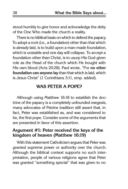stood humbly to give honor and acknowledge the deity of the One Who made the church a reality.

There is no biblical basis on which to defend the papacy. To adopt a rock (i.e., a foundation) other than that which is already laid, is to build upon a man-made foundation, which is unstable and one day will collapse. To accept a foundation other than Christ, is to usurp His God-given role as the Head of the church which He bought with His own blood (Acts 20:28). Paul wrote, "For **no other foundation can anyone lay** than that which is laid, which is Jesus Christ" (1 Corinthians 3:11, emp. added).

## **Was Peter a Pope?**

Although using Matthew 16:18 to establish the doctrine of the papacy is a completely unfounded exegesis, many advocates of Petrine tradition still assert that, in fact, Peter was established as, and was considered to be, the first pope. Consider some of the arguments that are presented in favor of this assertion.

### **Argument #1: Peter received the keys of the kingdom of heaven (Matthew 16:19)**

With this statement Catholicism argues that Peter was granted supreme power or authority over the church. Although the biblical context supports no such interpretation, people of various religions agree that Peter was granted "something special" that was given to no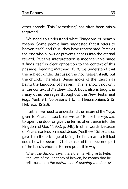other apostle. This "something" has often been misinterpreted.

We need to understand what "kingdom of heaven" means. Some people have suggested that it refers to heaven itself, and thus, they have represented Peter as the one who allows or prevents access into the eternal reward. But this interpretation is inconceivable since it finds itself in clear opposition to the context of this passage. Reading Matthew 16:18, we understand that the subject under discussion is not heaven itself, but the church. Therefore, Jesus spoke of the church as being the kingdom of heaven. This is shown not only in the context of Matthew 16:18, but it also is taught in many other passages throughout the New Testament (e.g., Mark 9:1; Colossians 1:13; 1 Thessalonians 2:12; Hebrews 12:28).

Further, we need to understand the nature of the "keys" given to Peter. H. Leo Boles wrote, "To use the keys was to open the door or give the terms of entrance into the kingdom of God" (1952, p. 348). In other words, because of Peter's confession about Jesus (Matthew 16:16), Jesus gave him the privilege of being the first man to tell lost souls how to become Christians and thus become part of the Lord's church. Barnes put it this way:

When the Saviour says, therefore, he will give to Peter the keys of the kingdom of heaven, he means that he will make him the instrument of opening the door of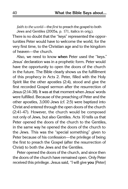faith to the world—the first to preach the gospel to both Jews and Gentiles (2005a, p. 171, italics in orig.).

There is no doubt that the "keys" represented the opportunities Peter would have to welcome the world, for the very first time, to the Christian age and to the kingdom of heaven—the church.

Also, we need to know **when** Peter used the "keys." Jesus' declaration was in a prophetic form. Peter would have the opportunity to open the doors of the church in the future. The Bible clearly shows us the fulfillment of this prophecy in Acts 2. Peter, filled with the Holy Spirit like the other apostles (2:4), stood and give the first recorded Gospel sermon after the resurrection of Jesus (2:14-38). It was at that moment when Jesus' words were fulfilled. Because of the preaching of Peter and the other apostles, 3,000 Jews (cf. 2:5) were baptized into Christ and entered through the open doors of the church (2:41-47). However, the church would be composed not only of Jews, but also Gentiles. Acts 10 tells us that Peter opened the doors of the church to the Gentiles, in the same way he opened the doors of the church to the Jews. This was the "special something" given to Peter because of his confession—the privilege of being the first to preach the Gospel (after the resurrection of Christ) to both the Jews and the Gentiles.

Peter opened the doors of the church, and since then the doors of the church have remained open. Only Peter received this privilege. Jesus said, "I will give **you** [Peter]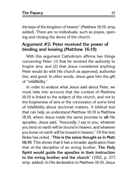the keys of the kingdom of heaven" (Matthew 16:19, emp. added). There are no individuals, such as popes, opening and closing the doors of the church.

### **Argument #2: Peter received the power of binding and loosing (Matthew 16:19)**

With this argument Catholicism affirms two things concerning Peter: (1) that he received the authority to forgive sins; and (2) that Jesus considered anything Peter would do with His church as approved, authoritative, and good. In other words, Jesus gave him the gift of "infallibility."

In order to analyze what Jesus said about Peter, we must take into account that the context of Matthew 16:19 is linked to the subject of the church, and not to the forgiveness of sins or the concession of some kind of infallibility about doctrinal matters. A biblical text that can help us understand Matthew 16:19 is Matthew 18:18, where Jesus made the same promise to **all** His apostles. Jesus said, "Assuredly, I say to you, whatever you bind on earth will be bound in heaven, and whatever you loose on earth will be loosed in heaven." Of this text, Boles has noted, "**This is the same thought as in Matt. 16:19**. This shows that it has a broader application than that of the discipline of an erring brother. **The Holy Spirit would guide the apostles in their instruction to the erring brother and the church**" (1952, p. 377, emp. added). In His declaration in Matthew 16:19, Jesus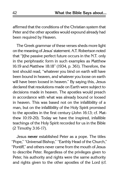affirmed that the conditions of the Christian system that Peter and the other apostles would expound already had been required by Heaven.

The Greek grammar of these verses sheds more light on the meaning of Jesus' statement. A.T. Robertson noted that "[t]he passive perfect future occurs in the N.T. only in the periphrastic form in such examples as Matthew 16:19 and Matthew 18:18" (1934, p. 361). Therefore, the text should read, "whatever you bind on earth will have been bound in heaven, and whatever you loose on earth will have been loosed in heaven." By saying this, Jesus declared that resolutions made on Earth were subject to decisions made in heaven. The apostles would preach in accordance with what was already bound or loosed in heaven. This was based not on the infallibility of a man, but on the infallibility of the Holy Spirit promised to the apostles in the first century (John 16:13; cf. Matthew 10:19-20). Today we have the inspired, infallible teachings of the Holy Spirit recorded for us in the Bible (2 Timothy 3:16-17).

Jesus **never** established Peter as a pope. The titles "Pope," "Universal Bishop," "Earthly Head of the Church," "Pontiff," and others never came from the mouth of Jesus to describe Peter. Regardless of the privileges given to Peter, his authority and rights were the same authority and rights given to the other apostles of the Lord (cf.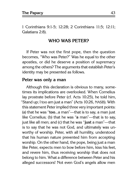1 Corinthians 9:1-5; 12:28; 2 Corinthians 11:5; 12:11; Galatians 2:8).

#### **Who Was Peter?**

If Peter was not the first pope, then the question becomes, "Who was Peter?" Was he equal to the other apostles, or did he deserve a position of supremacy among the others? The arguments that establish Peter's identity may be presented as follows.

#### **Peter was only a man**

Although this declaration is obvious to many, sometimes its implications are overlooked. When Cornelius lay prostrate before Peter (cf. Acts 10:25), he told him, "Stand up; I too am just a man" (Acts 10:26, NASB). With this statement Peter implied three very important points: (a) that he was "**too**...a man"—that is to say, a man just like Cornelius; (b) that he was "**a** man"—that is to say, just like all men; and (c) that he was "**just** a man"—that is to say that he was not God, and ultimately was unworthy of worship. Peter, with all humility, understood that his human nature prevented him from accepting worship. On the other hand, the pope, being just a man like Peter, expects men to bow before him, kiss his feet, and revere him, thus receiving worship that does not belong to him. What a difference between Peter and his alleged successors! Not even God's angels allow men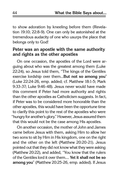to show adoration by kneeling before them (Revelation 19:10; 22:8-9). One can only be astonished at the tremendous audacity of one who usurps the place that belongs only to God!

#### **Peter was an apostle with the same authority and rights as the other apostles**

On one occasion, the apostles of the Lord were arguing about who was the greatest among them (Luke 22:24), so Jesus told them, "The kings of the Gentiles exercise lordship over them...**But not so among you**" (Luke 22:24-26, emp. added; cf. Matthew 18:1-5; Mark 9:33-37; Luke 9:46-48). Jesus never would have made this comment if Peter had more authority and rights than the other apostles as Catholicism suggests. In fact, if Peter was to be considered more honorable than the other apostles, this would have been the opportune time to clarify this point to the rest of the apostles who were "hungry for another's glory." However, Jesus assured them that this would not be the case among His apostles.

On another occasion, the mother of John and James came before Jesus with them, asking Him to allow her two sons to sit by Him in His kingdom, one on the right and the other on the left (Matthew 20:20-21). Jesus pointed out that they did not know what they were asking (Matthew 20:22), and added, "You know that the rulers of the Gentiles lord it over them.... **Yet it shall not be so among you**" (Matthew 20:25-26, emp. added). If Jesus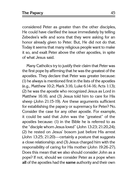considered Peter as greater than the other disciples, He could have clarified the issue immediately by telling Zebedee's wife and sons that they were asking for an honor already given to Peter. But, He did not do that. Today it seems that many religious people want to make it so, and exalt Peter above the other apostles, in spite of what Jesus said.

Many Catholics try to justify their claim that Peter was the first pope by affirming that he was the greatest of the apostles. They declare that Peter was greater because: (1) he always is mentioned first in the lists of the apostles (e.g., Matthew 10:2; Mark 3:16; Luke 6:14-16; Acts 1:13); (2) he was the apostle who recognized Jesus as Lord in Matthew 16:16; and (3) Jesus told him to care for His sheep (John 21:15-19). Are these arguments sufficient for establishing the papacy or supremacy for Peter? No. Consider the case for any other apostle. For example, it could be said that John was the "greatest" of the apostles because: (1) in the Bible he is referred to as the "disciple whom Jesus loved" (John 13:23; 21:20,24); (2) he rested on Jesus' bosom just before His arrest (John 13:25; 21:20)—certainly a posture that suggests a close relationship; and (3) Jesus charged him with the responsibility of caring for His mother (John 19:26-27). Does this mean that we also should consider John as a pope? If not, should we consider Peter as a pope when **all** of the apostles had the **same** authority and their own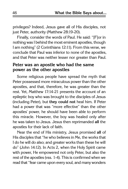privileges? Indeed, Jesus gave all of His disciples, not just Peter, authority (Matthew 28:19-20).

Finally, consider the words of Paul. He said: "[F]or in nothing was I behind the most eminent apostles, though I am nothing" (2 Corinthians 12:11). From this verse, we conclude that Paul was inferior to none of the apostles, and that Peter was neither lesser nor greater than Paul.

#### **Peter was an apostle who had the same power as the other apostles**

Some religious people have spread the myth that Peter possessed more miraculous power than the other apostles, and that, therefore, he was greater than the rest. Yet, Matthew 17:14-21 presents the account of an epileptic boy who was brought to the disciples of Jesus (including Peter), but **they could not** heal him. If Peter had a power that was "more effective" than the other apostles' power, he should have been able to perform this miracle. However, the boy was healed only after he was taken to Jesus. Jesus then reprimanded **all** the apostles for their lack of faith.

Near the end of His ministry, Jesus promised **all** of His disciples that "he who believes in Me, the works that I do he will do also; and greater works than these he will do" (John 14:12). In Acts 2, when the Holy Spirit came with power, He empowered not only Peter, but also the rest of the apostles (vss. 1-4). This is confirmed when we read that "fear came upon every soul, and many wonders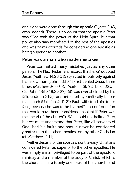and signs were done **through the apostles**" (Acts 2:43, emp. added). There is no doubt that the apostle Peter was filled with the power of the Holy Spirit, but that power also was manifested in the rest of the apostles and was **never** grounds for considering one apostle as being superior to another.

#### **Peter was a man who made mistakes**

Peter committed many mistakes just as any other person. The New Testament records that he: (a) doubted Jesus (Matthew 14:28-31); (b) acted impulsively against his fellow man (John 18:10-11); (c) denied Jesus three times (Matthew 26:69-75; Mark 14:66-72; Luke 22:54- 62; John 18:15-18,25-27); (d) was overwhelmed by his failure (John 21:3); and (e) acted hypocritically before the church (Galatians 2:11-21; Paul "withstood him to his face, because he was to be blamed"—a confrontation that would have been considered insolent if Peter was the "head of the church"). We should not belittle Peter, but we must understand that Peter, like all servants of God, had his faults and should never be considered **greater** than the other apostles, or any other Christian (cf. Matthew 11:11).

Neither Jesus, nor the apostles, nor the early Christians considered Peter as superior to the other apostles. He was simply a man privileged to be part of the apostolic ministry and a member of the body of Christ, which is the church. There is only one Head of the church, and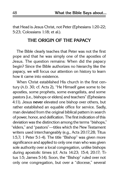that Head is Jesus Christ, not Peter (Ephesians 1:20-22; 5:23; Colossians 1:18; et al.).

#### **The Origin of the Papacy**

The Bible clearly teaches that Peter was not the first pope and that he was simply one of the apostles of Jesus. The question remains: When did the papacy begin? Since the Bible authorizes no hierarchy like the papacy, we will focus our attention on history to learn how it came into existence.

When Christ established His church in the first century (A.D. 30; cf. Acts 2), "He Himself gave some to be apostles, some prophets, some evangelists, and some pastors [i.e., bishops or elders] and teachers" (Ephesians 4:11). Jesus **never** elevated one bishop over others, but rather established an equable office for service. Sadly, man deviated from the original biblical pattern in search of power, honor, and deification. The first indication of this deviation was the distinction among the terms "bishops," "elders," and "pastors"—titles which the New Testament writers used interchangeably (e.g., Acts 20:17,28; Titus 1:5,7; 1 Peter 5:1-4). The title "Bishop" was given more significance and applied to only one man who was given sole authority over a local congregation, unlike bishops during apostolic times (cf. Acts 14:23; 15:4; 20:17; Titus 1:5; James 5:14). Soon, the "Bishop" ruled over not only one congregation, but over a "diocese," several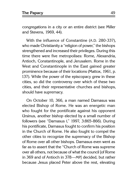congregations in a city or an entire district (see Miller and Stevens, 1969, 44).

With the influence of Constantine (A.D. 280-337), who made Christianity a "religion of power," the bishops strengthened and increased their privileges. During this time there were five metropolises: Rome, Alexandria, Antioch, Constantinople, and Jerusalem. Rome in the West and Constantinople in the East gained greater prominence because of their locations (Mattox, 1961, p. 137). While the power of the episcopacy grew in these cities, so did the controversy over which of these two cities, and their representative churches and bishops, should have supremacy.

On October 10, 366, a man named Damasus was elected Bishop of Rome. He was an energetic man who fought for the pontificate against his opponent Ursinus, another bishop elected by a small number of followers (see "Damasus I," 1997, 3:865-866). During his pontificate, Damasus fought to confirm his position in the Church of Rome. He also fought to compel the other cities to recognize the supremacy of the Bishop of Rome over all other bishops. Damasus even went as far as to assert that the "Church of Rome was supreme over all others, not because of what the council [of Rome in 369 and of Antioch in 378—MP] decided, but rather because Jesus placed Peter above the rest, elevating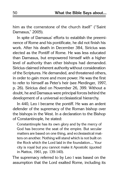him as the cornerstone of the church itself" ("Saint Damasus," 2005).

In spite of Damasus' efforts to establish the preeminence of Rome and his pontificate, he did not finish his work. After his death in December 384, Siricius was elected as the Pontiff of Rome. He was less educated than Damasus, but empowered himself with a higher level of authority than other bishops had demanded. Siricius claimed inherent authority without consideration of the Scriptures. He demanded, and threatened others, in order to gain more and more power. He was the first to refer to himself as Peter's heir (see Merdinger, 1997, p. 26). Siricius died on November 26, 399. Without a doubt, he and Damasus were principal forces behind the development of a universal ecclesiastical hierarchy.

In 440, Leo I became the pontiff. He was an ardent defender of the supremacy of the Roman bishop over the bishops in the West. In a declaration to the Bishop of Constantinople, he stated:

Constantinople has its own glory and by the mercy of God has become the seat of the empire. But secular matters are based on one thing, and ecclesiastical matters on another. Nothing will stand which is not built on the Rock which the Lord laid in the foundation.... Your city is royal but you cannot make it Apostolic (quoted in Mattox, 1961, pp. 139-140).

The supremacy referred to by Leo I was based on the assumption that the Lord exalted Rome, including its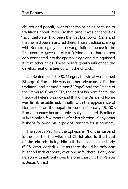church and pontiff, over other major cities because of traditions about Peter. By that time it was accepted as "fact" that Peter had been the first Bishop of Rome and that he had been martyred there. Those traditions, along with Rome's legacy as an evangelistic influence in the first century, gave the city a "divine aura" that supposedly connected it to the apostolic age and distinguished it from other cities. These beliefs greatly influenced the development of a hierarchy in the church.

On September 13, 590, Gregory the Great was named Bishop of Rome. He was another advocate of Petrine tradition, and named himself "Pope" and the "Head of the Universal Church." By the end of his pontificate, the theory of Peter's primacy and that of the Bishop of Rome was firmly established. Finally, with the appearance of Boniface III on the papal throne on February 19, 607, Roman papacy became universally accepted. Boniface III lived only a few months after his election. Many other bishops followed his legacy of "runners for supremacy."

The apostle Paul told the Ephesians, "For the husband is the head of the wife, and **Christ also is the head of the church**, being Himself the savior of the body" (5:23, emp. added). Just as there should be only **one** husband with authority over one wife, there is only **one** Person with authority over the one church. That Person is Jesus Christ!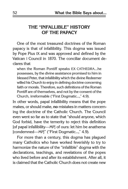## **The "Infallible" History of the Papacy**

One of the most treasured doctrines of the Roman papacy is that of infallibility. This dogma was issued by Pope Pius IX and was approved and defined by the Vatican I Council in 1870. The conciliar document declares that

when the Roman Pontiff speaks EX CATHEDRA...he possesses, by the divine assistance promised to him in blessed Peter, that infallibility which the divine Redeemer willed his Church to enjoy in defining doctrine concerning faith or morals. Therefore, such definitions of the Roman Pontiff are of themselves, and not by the consent of the Church, irreformable ("First Dogmatic...," 4.9).

In other words, papal infallibility means that the pope makes, or should make, **no** mistakes in matters concerning the doctrine of the Catholic Church. The Council even went so far as to state that "should anyone, which God forbid, have the temerity to reject this definition [of papal infallibility—MP] of ours: let him be anathema [condemned—MP]" ("First Dogmatic...," 4.9).

For more than a century, this dogma has plagued many Catholics who have worked feverishly to try to harmonize the nature of the "infallible" dogma with the declarations, teachings, and revelations of the popes who lived before and after its establishment. After all, it is claimed that the Catholic Church does not create new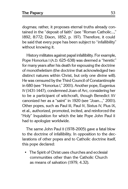dogmas; rather, it proposes eternal truths already contained in the "deposit of faith" (see "Roman Catholic...," 1892, 8:772; Dixon, 1852, p. 197). Therefore, it could be said that every pope has been subject to "infallibility" without knowing it.

History militates against papal infallibility. For example, Pope Honorius I (A.D. 625-638) was deemed a "heretic" for many years after his death for espousing the doctrine of monotheletism (the doctrine that acknowledged two distinct natures within Christ, but only one divine will). He was censured by the Third Council of Constantinople in 680 (see "Honorius I," 2001). Another pope, Eugenius IV (1431-1447), condemned Joan of Arc, considering her to be a participant of witchcraft, though Benedict XV canonized her as a "saint" in 1920 (see "Joan...," 2001). Other popes, such as Paul III, Paul IV, Sixtus IV, Pius IX, et al., authorized, promoted, incited, and reinforced the "Holy" Inquisition for which the late Pope John Paul II had to apologize worldwide.

The same John Paul II (1978-2005) gave a fatal blow to the doctrine of infallibility. In opposition to the declarations of other popes and to Catholic doctrine itself, this pope declared:

∙ The Spirit of Christ uses churches and ecclesial communities other than the Catholic Church as means of salvation (1979, 4.32).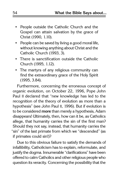- ∙ People outside the Catholic Church and the Gospel can attain salvation by the grace of Christ (1990, 1.10).
- ∙ People can be saved by living a good moral life, without knowing anything about Christ and the Catholic Church (1993, 3).
- ∙ There is sanctification outside the Catholic Church (1995, 1.12).
- ∙ The martyrs of any religious community can find the extraordinary grace of the Holy Spirit (1995, 3.84).

Furthermore, concerning the erroneous concept of organic evolution, on October 22, 1996, Pope John Paul II declared that "new knowledge has led to the recognition of the theory of evolution as more than a hypothesis" (see John Paul II, 1996). But if evolution is to be considered **more** than merely a hypothesis, Adam disappears! Ultimately, then, how can it be, as Catholics allege, that humanity carries the sin of the first man? Should they not say, instead, that humanity carries the "sin" of the last primate from which we "descended" (as if primates could sin!)?

Due to this obvious failure to satisfy the demands of infallibility, Catholicism has to explain, reformulate, and justify the dogma. Innumerable "clarifications" have been offered to calm Catholics and other religious people who question its veracity. Concerning the possibility that the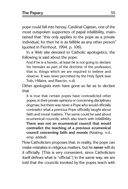pope could fall into heresy, Cardinal Cajetan, one of the most outspoken supporters of papal infallibility, maintained that "this only applies to the pope as a private individual, for then he is as fallible as any other person" (quoted in Fernhout, 1994, p. 106).

In a Web site devoted to Catholic apologetics, the following is said about the pope:

And if he is a heretic, at least he is not going to declare his heresies as part of the doctrine of the profession, that is, things which we are required to believe and observe. It was never permitted by the Holy Spirit (see Toth, Hillaire, and Rascón, n.d).

Other apologists even have gone so far as to declare that

it is true that certain popes have contradicted other popes, in their private opinions or concerning disciplinary dogmas; but there was never a Pope who would officially contradict what a previous Pope officially taught about faith and moral matters. The same could be said about ecumenical councils, which also teach with infallibility. **There was not an ecumenical council that would contradict the teaching of a previous ecumenical council concerning faith and morals** (Keating, n.d., emp. added).

Now Catholicism proposes that, in reality, the pope can make mistakes in religious matters, but he **never** will do it officially. [This is very convenient, since Catholicism itself defines what is "official."] In the same way, we are told that the councils invoked by the popes teach with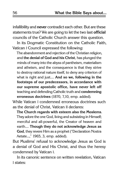infallibility and **never** contradict each other. But are these statements true? We are going to let the two last **official** councils of the Catholic Church answer this question.

In its Dogmatic Constitution on the Catholic Faith, Vatican I Council expressed the following:

The abandonment and rejection of the Christian religion, and **the denial of God and his Christ**, has plunged the minds of many into the abyss of pantheism, materialism and atheism, and the consequence is that they strive to destroy rational nature itself, to deny any criterion of what is right and just.... **And so we, following in the footsteps of our predecessors, in accordance with our supreme apostolic office, have never left off** teaching and defending Catholic truth and **condemning erroneous doctrines** (1870, 7,10, emp. added).

While Vatican I condemned erroneous doctrines such as the denial of Christ, Vatican II declares:

**The Church regards with esteem also the Moslems**. They adore the one God, living and subsisting in Himself; merciful and all-powerful, the Creator of heaven and earth.... **Though they do not acknowledge Jesus as God**, they revere Him as a prophet ("Declaration Nostra Aetate...," 1965, 3, emp. added).

But Muslims' refusal to acknowledge Jesus as God is a denial of God and His Christ, and thus the heresy condemned by Vatican I.

In its canonic sentence on written revelation, Vatican I states: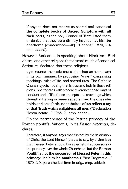If anyone does not receive as sacred and canonical **the complete books of Sacred Scripture with all their parts**, as the holy Council of Trent listed them, or denies that they were divinely inspired: **let him be anathema** [condemned—MP] ("Canons," 1870, 2.4, emp. added).

However, Vatican II, in speaking about Hinduism, Buddhism, and other religions that discard much of canonical Scripture, declared that these religions

try to counter the restlessness of the human heart, each in its own manner, by proposing "ways," comprising teachings, rules of life, and **sacred** rites. The Catholic Church rejects nothing that is true and holy in these religions. She regards with sincere reverence those ways of conduct and of life, those precepts and teachings which, **though differing in many aspects from the ones she holds and sets forth, nonetheless often reflect a ray of that Truth which enlightens all men** ("Declaration Nostra Aetate...," 1965, 2, emp. added).

On the permanence of the Petrine primacy of the Roman pontiffs, Vatican I, in its Pastor Aeternus, declares:

Therefore, **if anyone says** that it is not by the institution of Christ the Lord himself (that is to say, by divine law) that blessed Peter should have perpetual successors in the primacy over the whole Church; or **that the Roman Pontiff is not the successor of blessed Peter in this primacy: let him be anathema** ("First Dogmatic...," 1870, 2.5, parenthetical item in orig., emp. added).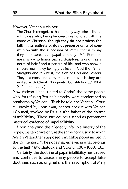However, Vatican II claims:

The Church recognizes that in many ways she is linked with those who, being baptized, are honored with the name of Christian, **though they do not profess the faith in its entirety or do not preserve unity of communion with the successor of Peter** [that is to say, they do not accept the papal hierarchy—MP]. For there are many who honor Sacred Scripture, taking it as a norm of belief and a pattern of life, and who show a sincere zeal. They lovingly believe in God the Father Almighty and in Christ, the Son of God and Saviour. They are consecrated by baptism, in which **they are united with Christ** ("Dogmatic Constitution...," 1964, 2.15, emp. added).

Now Vatican II has "united to Christ" the same people who, for refusing Petrine hierarchy, were condemned as anathema by Vatican I. Truth be told, the Vatican II Council, invoked by John XXIII, cannot coexist with Vatican I Council, invoked by Pius IX (the father of the dogma of infallibility). These two councils stand as permanent historical evidence of papal fallibility.

Upon analyzing the allegedly infallible history of the popes, we can arrive only at the same conclusion to which Adrian VI (another supposedly infallible pope) arrived in the 16<sup>th</sup> century: "The pope may err even in what belongs to the faith" (McClintock and Strong, 1867-1880, 1:83).

Certainly, the doctrine of papal infallibility has caused, and continues to cause, many people to accept false doctrines such as original sin, the assumption of Mary,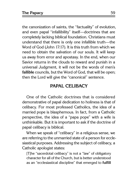the canonization of saints, the "factuality" of evolution, and even papal "infallibility" itself—doctrines that are completely lacking biblical foundation. Christians must understand that there is only one infallible truth—the Word of God (John 17:17). It is this truth from which we need to obtain the salvation of our souls. It will keep us away from error and apostasy. In the end, when our Savior returns in the clouds to reward and punish in a universal Judgment, it will not be the words of men's **fallible** councils, but the Word of God, that will be open; then the Lord will give the "canonical" sentence.

## **Papal Celibacy**

One of the Catholic doctrines that is considered demonstrative of papal dedication to holiness is that of celibacy. For most professed Catholics, the idea of a married pope is blasphemous. In fact, from a Catholic perspective, the idea of a "papa pope" with a wife is unthinkable. But it is important to ask if the doctrine of papal celibacy is biblical.

When we speak of "celibacy" in a religious sense, we are referring to the unmarried state of a person for ecclesiastical purposes. Addressing the subject of celibacy, a Catholic apologist states:

[T]he "sacerdotal celibacy" is not a "law" of obligatory character for all of the Church, but is better understood as an "ecclesiastical discipline" that emerged to **fulfill**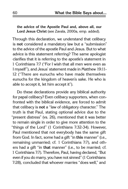**the advice of the Apostle Paul and, above all, our Lord Jesus Christ** (see Zavala, 2000a, emp. added).

Through this declaration, we understand that celibacy is **not** considered a mandatory law but a "submission" to the advice of the apostle Paul and Jesus. But to what advice is this statement referring? The same apologist clarifies that it is referring to the apostle's statement in 1 Corinthians 7:7 ("For I wish that all men were even as I myself"), and Jesus' statement made in Matthew 19:11- 12 ("There are eunuchs who have made themselves eunuchs for the kingdom of heaven's sake. He who is able to accept it, let him accept it").

Do these declarations provide any biblical authority for papal celibacy? Even celibacy supporters, when confronted with the biblical evidence, are forced to admit that celibacy is **not** a "law of obligatory character." The truth is that Paul, stating optional advice due to the "present distress" (vs. 26), mentioned that it was better to remain single in order to give more attention to the "things of the Lord" (1 Corinthians 7:32-34). However, Paul mentioned that not everybody has the same gift from God. In fact, some had a gift "in **this** manner" (i.e., remaining unmarried; cf. 1 Corinthians 7:7), and others had a gift "in **that** manner" (i.e., to be married; cf. 1 Corinthians 7:7). Therefore, Paul, having declared, "But even if you do marry, you have not sinned" (1 Corinthians 7:28), concluded that whoever marries "does well," and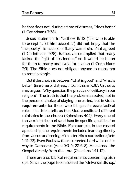he that does not, during a time of distress, "does better" (1 Corinthians 7:38).

Jesus' statement in Matthew 19:12 ("He who is able to accept it, let him accept it") did **not** imply that the "incapacity" to accept celibacy was a sin. Paul agreed (1 Corinthians 7:28). Rather, Jesus implied that many lacked the "gift of abstinence," so it would be better for them to marry and avoid fornication (1 Corinthians 7:9). The Bible does not obligate anyone to marry nor to remain single.

But if the choice is between "what is good" and "what is better" (in a time of distress; 1 Corinthians 7:38), Catholics may argue: "Why question the practice of celibacy in our religion?" The truth is that the problem is rooted, not in the personal choice of staying unmarried, but in God's **requirements** for those who fill specific ecclesiastical roles. The Bible tells us that God constituted different ministries in the church (Ephesians 4:11). Every one of those ministries had (and has) its specific qualification requirements in the Bible. For example, in the case of apostleship, the requirements included learning directly from Jesus and seeing Him after His resurrection (Acts 1:21-22). Even Paul saw the resurrected Lord while on his way to Damascus (Acts 9:3-5; 22:6-8). He learned the Gospel directly from the Lord (Galatians 1:11-12).

There are also biblical requirements concerning bishops. Since the pope is considered the "Universal Bishop,"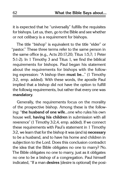it is expected that he "universally" fulfills the requisites for bishops. Let us, then, go to the Bible and see whether or not celibacy is a requirement for bishops.

The title "bishop" is equivalent to the title "elder" or "pastor." These three terms refer to the same person in the same office (e.g., Acts 20:17,20; Titus 1:5,7; 1 Peter 5:1-2). In 1 Timothy 3 and Titus 1, we find the biblical requirements for bishops. Paul began his statement about the requirements for bishops with the following expression: "A bishop then **must be**..." (1 Timothy 3:2, emp. added). With these words, the apostle Paul implied that a bishop did not have the option to fulfill the followig requirements, but rather that every one was **mandatory**.

Generally, the requirements focus on the morality of the prospective bishop. Among these is the following: "**the husband of one wife**...one who rules his own house well, **having his children** in submission with all reverence" (1 Timothy 3:2,4, emp. added). If we connect these requirements with Paul's statement in 1 Timothy 3:2, we learn that for the bishop it was (and is) **necessary**  to be a husband, and to have his home and children in subjection to the Lord. Does this conclusion contradict the idea that the Bible obligates no one to marry? No. The Bible obligates no one to marry, just as it obligates no one to be a bishop of a congregation. Paul himself indicated, "If a man **desires** [desire is optional] the posi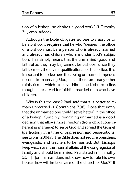tion of a bishop, he **desires** a good work" (1 Timothy 3:1, emp. added).

Although the Bible obligates no one to marry or to be a bishop, it **requires** that he who "desires" the office of a bishop must be a person who is already married and already has children who are under God's subjection. This simply means that the unmarried (good and faithful as they may be) cannot be bishops, since they fail to meet the divine qualifications for this office. It is important to notice here that being unmarried impedes no one from serving God, since there are many other ministries in which to serve Him. The bishop's office, though, is reserved for faithful, married men who have children.

Why is this the case? Paul said that it is better to remain unmarried (1 Corinthians 7:38). Does that imply that the unmarried one could "serve better" in the office of a bishop? Certainly, remaining unmarried is a good decision that allows more freedom (from obligations inherent in marriage) to serve God and spread the Gospel (particularly in a time of oppression and persecutions; see Lyons, 2004a). The Bible does not require preachers, evangelists, and teachers to be married. But, bishops keep watch over the internal affairs of the congregational **family** and should be married. Paul stated in 1 Timothy 3:5: "[F]or if a man does not know how to rule his own house, how will he take care of the church of God?" It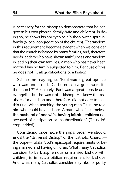is necessary for the bishop to demonstrate that he can govern his own physical family (wife and children). In doing so, he shows his ability to be a bishop over a spiritual family (a local congregation of the church). The wisdom in this requirement becomes evident when we consider that the church is formed by many families, and, therefore, needs leaders who have shown faithfulness and wisdom in leading their own families. A man who has never been married has no family subjected to him. Because of this, he does **not** fit all qualifications of a bishop.

Still, some may argue, "Paul was a great apostle who was unmarried. Did he not do a great work for the church?" Absolutely! Paul was a great apostle and evangelist, but he was **not** a bishop. He knew the requisites for a bishop and, therefore, did not dare to take this title. When teaching the young man Titus, he told him who could be a bishop: "A man [who] is blameless, **the husband of one wife, having faithful children** not accused of dissipation or insubordination" (Titus 1:6, emp. added).

Considering once more the papal order, we should ask if the "Universal Bishop" of the Catholic Church the pope—fulfills God's episcopal requirements of being married and having children. What many Catholics consider to be blasphemous (a married bishop with children) is, in fact, a biblical requirement for bishops. And, what many Catholics consider a symbol of purity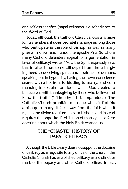and selfless sacrifice (papal celibacy) is disobedience to the Word of God.

Today, although the Catholic Church allows marriage for its members, it **does prohibit** marriage among those who participate in the role of bishop (as well as many priests, monks, and nuns). The apostle Paul (to whom many Catholic defenders appeal for argumentation in favor of celibacy) wrote: "Now the Spirit expressly says that in latter times some will depart from the faith, giving heed to deceiving spirits and doctrines of demons, speaking lies in hypocrisy, having their own conscience seared with a hot iron, **forbidding to marry**, and commanding to abstain from foods which God created to be received with thanksgiving by those who believe and know the truth" (1 Timothy 4:1-3, emp. added). The Catholic Church prohibits marriage when it **forbids** a bishop to marry. It falls away from the faith when it rejects the divine requirements for bishops and instead requires the opposite. Prohibition of marriage is a false doctrine about which the Holy Spirit warned us.

# **The "Chaste" History of Papal Celibacy**

Although the Bible clearly does not support the doctrine of celibacy as a requisite to any office of the church, the Catholic Church has established celibacy as a distinctive mark of the papacy and other Catholic offices. In fact,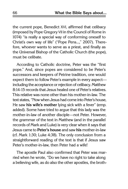the current pope, Benedict XVI, affirmed that celibacy (imposed by Pope Gregory VII in the Council of Rome in 1074) "is really a special way of conforming oneself to Christ's own way of life" ("Pope Pens...," 2007). Therefore, whoever wants to serve as a priest, and finally as the Universal Bishop of the Catholic Church (the pope), must be celibate.

According to Catholic doctrine, Peter was the "first pope." And, since popes are considered to be Peter's successors and keepers of Petrine tradition, one would expect them to follow Peter's example in every aspect including the acceptance or rejection of celibacy. Matthew 8:14-15 records that Jesus healed one of Peter's relatives. This relative was none other than his mother-in-law. The text states, "Now when Jesus had come into Peter's house, He saw **his wife's mother** lying sick with a fever" (emp. added). Some have tried to argue that this lady was the mother-in-law of another disciple—not Peter. However, the grammar of the text in Matthew (and in the parallel records of Mark and Luke) is very clear when it says that Jesus came to **Peter's house** and saw **his** mother-in-law (cf. Mark 1:30; Luke 4:38). The only conclusion from a straightforward reading of the text is that if Jesus saw Peter's mother-in-law, then Peter had a wife!

The apostle Paul also confirmed that Peter was married when he wrote, "Do we have no right to take along a believing wife, as do also the other apostles, the broth-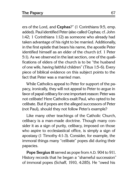ers of the Lord, and **Cephas**?" (1 Corinthians 9:5, emp. added). Paul identified Peter (also called Cephas; cf. John 1:42; 1 Corinthians 1:12) as someone who already had taken advantage of his right to be married. Additionally, in the first epistle that bears his name, the apostle Peter identified himself as an elder of the church (cf. 1 Peter 5:1). As we observed in the last section, one of the qualifications of elders of the church is to be "the husband of one wife, having faithful children" (Titus 1:5-6). Every piece of biblical evidence on this subject points to the fact that Peter was a married man.

While Catholics appeal to Peter for support of the papacy, ironically, they will not appeal to Peter to argue in favor of papal celibacy for one important reason: Peter was not celibate! Here Catholics exalt Paul, who opted to be celibate. But if popes are the alleged successors of Peter (not Paul), should they not follow Peter's example?

Like many other teachings of the Catholic Church, celibacy is a man-made doctrine. Though many consider it as a sign of purity, celibacy, imposed on those who aspire to ecclesiastical office, is simply a sign of apostasy (1 Timothy 4:1-3). Consider, for example, the immoral things many "celibate" popes did during their papacies.

**Pope Sergius III** served as pope from A.D. 904 to 911. History records that he began a "shameful succession" of immoral popes (Schaff, 1910, 4:285). He "owed his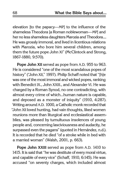elevation [to the papacy—MP] to the influence of the shameless Theodora [a Roman noblewoman—MP] and her no less shameless daughters Marozia and Theodora.... He was grossly immoral, and lived in licentious relations with Marozia, who bore him several children, among them the future pope John XI" (McClintock and Strong, 1867-1880, 9:570).

**Pope John XII** served as pope from A.D. 955 to 963. He is considered "one of the most scandalous popes of history" ("John XII," 1997). Philip Schaff noted that "[h]e was one of the most immoral and wicked popes, ranking with Benedict IX., John XXIII., and Alexander VI. He was charged by a Roman Synod, no one contradicting, with almost every crime of which...human nature is capable, and deposed as a monster of iniquity" (1910, 4:287). Writing around A.D. 1000, a Catholic monk recorded that "John XII loved hunting, had vain thoughts, liked women reunions more than liturgical and ecclesiastical assemblies, was pleased by tumultuous insolences of young people and, concerning lasciviousness and audacity, he surpassed even the pagans" (quoted in Hernández, n.d.). It is recorded that he died "of a stroke while in bed with a married woman" (Walsh, 2001, p. 663).

**Pope John XXIII** served as pope from A.D. 1410 to 1415. It is said that "he was destitute of every moral virtue, and capable of every vice" (Schaff, 1910, 6:145). He was accused "on seventy charges, which included almost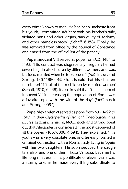every crime known to man. He had been unchaste from his youth,...committed adultery with his brother's wife, violated nuns and other virgins, was guilty of sodomy and other nameless vices" (Schaff, 6:158). Finally, he was removed from office by the council of Constance and erased from the official list of the papacy.

**Pope Innocent VIII** served as pope from A.D. 1484 to 1492. "His conduct was disgracefully irregular: he had seven illegitimate children by different women, and was, besides, married when he took orders" (McClintock and Strong, 1867-1880, 4:593). It is said that his children numbered "16, all of them children by married women" (Schaff, 1910, 6:438). It also is said that "the success of Innocent VIII in increasing the population of Rome was a favorite topic with the wits of the day" (McClintock and Strong, 4:594).

**Pope Alexander VI** served as pope from A.D. 1492 to 1503. In their Cyclopedia of Biblical, Theological, and Ecclesiastical Literature, McClintock and Strong point out that Alexander is considered "the most depraved of all the popes" (1867-1880, 4:594). They explained: "His youth was a very dissolute one; and he early formed a criminal connection with a Roman lady living in Spain with her two daughters. He soon seduced the daughters also; and one of them, Rosa Vanozza, became his life-long mistress.... His pontificate of eleven years was a stormy one, as he made every thing subordinate to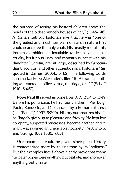the purpose of raising his bastard children above the heads of the oldest princely houses of Italy" (1:145-146). A Roman Catholic historian says that he was "one of the greatest and most horrible monsters in nature that could scandalize the holy chair. His beastly morals, his immense ambition, his insatiable avarice, his detestable cruelty, his furious lusts, and monstrous incest with his daughter Lucretia, are, at large, described by Guicciardini Ciaconius, and other authentic papal historians" (as quoted in Barnes, 2005b, p. 82). The following words summarize Pope Alexander's life: "To Alexander nothing was sacred,—office, virtue, marriage, or life" (Schaff, 1910, 6:462).

**Pope Paul III** served as pope from A.D. 1534 to 1549. Before his pontificate, he had four children—Pier Luigi, Paolo, Ranuccio, and Costanza—by a Roman mistress (see "Paul III," 1997, 9:205). History summarizes his life as "largely given up to pleasure and frivolity. He kept low company, supported mistresses, became a father, and in many ways gained an unenviable notoriety" (McClintock and Strong, 1867-1880, 7:831).

More examples could be given, since papal history is characterized more by its sins than by its "holiness." But the examples listed above clearly prove that many "celibate" popes were anything but celibate, and moreover, anything but chaste.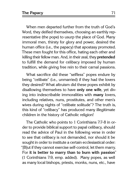When men departed further from the truth of God's Word, they deified themselves, choosing an earthly representative (the pope) to usurp the place of God. Many immoral men, thirsty for glory and power, desired the human office (i.e., the papacy) that apostasy promoted. These men fought for this office, hating each other and killing their fellow man. And, in their zeal, they **pretended** to fulfill the demand for celibacy imposed by human tradition, while giving free rein to their carnal passions.

What sacrifice did these "selfless" popes endure by being "celibate" (i.e., unmarried) if they had the lovers they desired? What altruism did these popes exhibit by disallowing themselves to have **only one wife**, yet diving into indescribable immoralities with **many** lovers, including relatives, nuns, prostitutes, and other men's wives during nights of "celibate solitude"? The truth is, this kind of "celibacy" has produced many illegitimate children in the history of Catholic religion!

The Catholic who points to 1 Corinthians 7:7-8 in order to provide biblical support to papal celibacy, should read the advice of Paul in the following verse in order to see that celibacy is not demanded, nor should it be sought in order to institute a certain ecclesiastical order: "[B]ut if they cannot exercise self-control, let them marry. For **it is better to marry than to burn with passion**" (1 Corinthians 7:9, emp. added). Many popes, as well as many local bishops, priests, monks, nuns, etc., have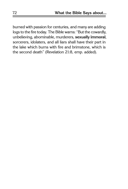burned with passion for centuries, and many are adding logs to the fire today. The Bible warns: "But the cowardly, unbelieving, abominable, murderers, **sexually immoral**, sorcerers, idolaters, and all liars shall have their part in the lake which burns with fire and brimstone, which is the second death" (Revelation 21:8, emp. added).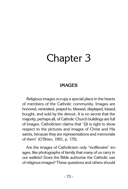# Chapter 3

## **Images**

Religious images occupy a special place in the hearts of members of the Catholic community. Images are honored, venerated, prayed to, blessed, displayed, kissed, bought, and sold by the devout. It is no secret that the majority, perhaps all, of Catholic Church buildings are full of images. Catholicism claims that "[i]t is right to show respect to the pictures and images of Christ and His saints, because they are representations and memorials of them" (O'Brien, 1901, p. 175).

Are the images of Catholicism only "inoffensive" images, like photographs of family that many of us carry in our wallets? Does the Bible authorize the Catholic use of religious images? These questions and others should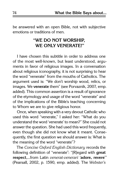be answered with an open Bible, not with subjective emotions or traditions of men.

#### **"We Do Not Worship, We Only Venerate!"**

I have chosen this subtitle in order to address one of the most well-known, but least understood, arguments in favor of religious images. In a conversation about religious iconography, it is not surprising to hear the word "venerate" from the mouths of Catholics. The argument used is: "We don't worship wood, relics, or images. We **venerate** them" (see Porvaznik, 2007, emp. added). This common assertion is a result of ignorance of the etymology and usage of the word "venerate" and of the implications of the Bible's teaching concerning to Whom we are to give religious honor.

Once, when speaking with a very devout Catholic who used this word "venerate," I asked her: "What do you understand the word 'venerate' to mean?" She could not answer the question. She had used this word frequently, even though she did not know what it meant. Consequently, the first question we should answer is: What is the meaning of the word "venerate"?

The Concise Oxford English Dictionary records the following definition of "venerate": "[R]egard with **great respect**,...from Latin venerat-venerari '**adore, revere**'" (Pearsall, 2002, p. 1590, emp. added). The Webster's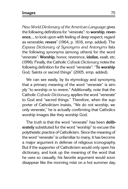New World Dictionary of the American Language gives the following definitions for "venerate": to **worship**, **reverence**..., to look upon with feeling of deep respect; regard as venerable; **revere**" (1964, p. 1616, emp. added). The Espasa Dictionary of Synonyms and Antonyms lists the following synonyms (among others) for the word "venerate": **Worship**, honor, reverence, **idolize**, exalt, etc. (1996). Finally, the Catholic Cofrade Dictionary notes the following definition for the word "venerate": "**To worship**  God, Saints or sacred things" (2005, emp. added).

We can see easily, by its etymology and synonymy, that a primary meaning of the word "venerate" is simply "to worship or to revere." Additionally, note that the Catholic Cofrade Dictionary applies the word "venerate" to God and "sacred things." Therefore, when the supporter of Catholicism insists, "We do not worship, we only venerate," he is actually confirming that Catholics worship images like they worship God.

The truth is that the word "venerate" has been **deliberately** substituted for the word "worship" to excuse the polytheistic practice of Catholicism. Since the meaning of the word "venerate" is unfamiliar to many, it has become a major argument in defense of religious iconography. But if the supporter of Catholicism would only open his dictionary, and look up the meaning of the word that he uses so casually, his favorite argument would soon disappear like the morning mist on a hot summer day.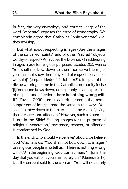In fact, the very etymology and correct usage of the word "venerate" exposes the error of iconography. We completely agree that Catholics "only venerate" (i.e., they worship).

But what about respecting images? Are the images of the so-called "saints" and of other "sacred" objects, worthy of respect? What does the Bible say? In addressing images made for religious purposes, Exodus 20:5 warns: "You shall not bow down to them nor serve them [i.e., you shall not show them any kind of respect, service, or worship]" (emp. added; cf. 1 John 5:21). In spite of the divine warning, some in the Catholic community insist: "[I]f someone bows down, doing it only as an expression of respect and affection, **there is nothing wrong with it**" (Zavala, 2000b, emp. added). It seems that some supporters of images read the verse in this way: "You shall not bow down to them, except in the case of giving them respect and affection." However, such a statement is not in the Bible! Making images for the purpose of religious "veneration," reverence, respect, or affection is condemned by God.

In the end, who should we believe? Should we believe God Who tells us, "You shall not bow down to images," or religious people who tell us, "There is nothing wrong with it"? In the beginning, God warned man: "[F]or in the day that you eat of it you shall surely die" (Genesis 2:17). But the serpent said to the woman: "You will not surely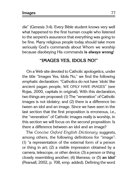die" (Genesis 3:4). Every Bible student knows very well what happened to the first human couple who listened to the serpent's assurance that everything was going to be fine. Many religious people today should take more seriously God's commands about Whom we worship because disobeying His commands **is always wrong**!

#### **"Images Yes, Idols No!"**

On a Web site devoted to Catholic apologetics, under the title "Images Yes, Idols No," we find the following emphatic declaration: "Catholics do not have 'idols' like ancient pagan people, WE ONLY HAVE IMAGES" (see Rojas, 2000, capitals in original). With this declaration, two things are proposed: (1) The "veneration" of Catholic images is not idolatry; and (2) there is a difference between an idol and an image. Since we have seen in the last section that the first proposition is erroneous, i.e., the "veneration" of Catholic images really is worship, in this section we will focus on the second proposition: Is there a difference between an idol and an image?

The Concise Oxford English Dictionary suggests, among others, the following definitions for "image": (1) "a representation of the external form of a person or thing in art; (2) a visible impression obtained by a camera, telescope, or other device; (3) a person or thing closely resembling another; (4) likeness; or (5) **an idol**" (Pearsall, 2002, p. 708, emp. added). Defining the word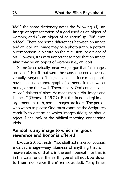"idol," the same dictionary notes the following: (1) "**an image** or representation of a god used as an object of worship; and (2) an object of adulation" (p. 706, emp. added). There are some differences between an image and an idol. An image may be a photograph, a portrait, a comparison, a picture on the television, or a piece of art. However, it is very important to note that an image **also** may be an object of worship (i.e., an idol).

Some (who actually mean well) argue that "all images are idols." But if that were the case, one could accuse virtually everyone of being an idolater, since most people have at least one photograph of someone in their wallet, purse, or on their wall. Theoretically, God could also be called "idolatrous" since He made man in His "image and likeness" (Genesis 1:26-27). But this is not a legitimate argument. In truth, some images are idols. The person who wants to please God must examine the Scriptures carefully to determine which images (idols) he should reject. Let's look at the biblical teaching concerning idols.

#### **An idol is any image to which religious reverence and honor is offered**

Exodus 20:4-5 reads: "You shall not make for yourself a carved **image—any likeness** of anything that is in heaven above, or that is in the earth beneath, or that is in the water under the earth; **you shall not bow down to them nor serve them**" (emp. added). Many times,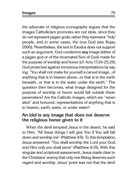the advocate of religious iconography argues that the images Catholicism promotes are not idols, since they do not represent pagan gods; rather they represent "holy" people, and in some cases, the true God (see Rojas, 2000). Nevertheless, the text in Exodus does not support such an argument. God condemns **any** image (either of a pagan god or of the incarnated Son of God) made for the purpose of worship and honor (cf. Acts 17:24-25,29). God protected against erroneous interpretations by saying: "You shall not make for yourself a carved image...of anything that is in heaven above...or that is in the earth beneath...or that is in the water under the earth." The question then becomes, what image designed for the purpose of worship or honor would fall outside these parameters? Are the Catholic images, which are "venerated" and honored, representations of anything that is in heaven, earth, water, or under water?

#### **An idol is any image that does not deserve the religious honor given to it**

When the devil tempted Jesus in the desert, he said to Him: "All these things I will give You if You will fall down and worship me" (Matthew 4:9). To this temptation, Jesus answered: "You shall worship the Lord your God, and Him only you shall serve" (Matthew 4:10). With this singular and scriptural assessment, Jesus made clear to the Christians' enemy that only one Being deserves such regard and worship. Jesus' point was not that the devil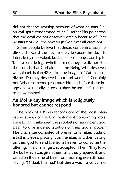did not deserve worship because of what he **was** (i.e., an evil spirit condemned to hell), rather His point was that the devil did not deserve worship because of what he **was not** (i.e., the sovereign God over all creation).

Some people believe that Jesus condemns worship directed toward the devil merely because the devil is intrinsically malevolent, but that He condones worship to "benevolent" beings (whether or not they are divine). But the truth is that God alone is the Being Who deserves worship (cf. Isaiah 42:8). Are the images of Catholicism divine? Do they deserve honor and worship? Certainly not! When someone prostrates himself before these images, he voluntarily agrees to obey the tempter's request to be worshiped.

#### **An idol is any image which is religiously honored but cannot respond**

The book of 1 Kings records one of the most interesting stories of the Old Testament concerning idols. Here Elijah challenged the prophets of an ancient god, Baal, to give a demonstration of their god's "power." The challenge consisted of preparing an altar, cutting a bull in pieces, placing it on the altar, and then calling on their god to send fire from heaven to consume the offering. The challenge was accepted. Then, "they took the bull which was given them, and they prepared it, and called on the name of Baal from morning even till noon, saying, 'O Baal, hear us!' But **there was no voice; no**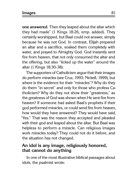**one answered**. Then they leaped about the altar which they had made" (1 Kings 18:26, emp. added). They certainly worshipped, but Baal could not answer, simply because he was not God. In contrast, Elijah prepared an altar and a sacrifice, soaked them completely with water, and prayed to Almighty God. God instantly sent fire from heaven, that not only consumed the altar and the offering, but also "licked up the water" around the altar (1 Kings 18:30-38).

The supporters of Catholicism argue that their images do perform miracles (see Cruz, 1993; Nickell, 1999), but where is the evidence for their "miracles"? Why do they do them "in secret" and only for those who profess Catholicism? Why do they not show their "greatness," as the greatness of God was shown when He sent fire from heaven? If someone had asked Baal's prophets if their god performed miracles, or could send fire from heaven, how would they have answered? They would have said, "Yes." That was the reason they accepted and pleaded with their god and leaped about the altar. But Baal was helpless to perform a miracle. Can religious images work miracles today? They could not do it before, and the situation has not changed.

#### **An idol is any image, religiously honored, that cannot do anything**

In one of the most illustrative biblical passages about idols, the psalmist wrote: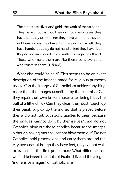Their idols are silver and gold, the work of men's hands. They have mouths, but they do not speak; eyes they have, but they do not see; they have ears, but they do not hear; noses they have, but they do not smell; they have hands, but they do not handle; feet they have, but they do not walk; nor do they mutter through their throat. Those who make them are like them; so is everyone who trusts in them (115:4-8).

What else could be said? This seems to be an exact description of the images made for religious purposes today. Can the images of Catholicism achieve anything more than the images described by the psalmist? Can they repair their own broken noses after being hit by the ball of a little child? Can they clean their dust, touch up their paint, or pick up the money that is placed before them? Do not Catholics light candles to them because the images cannot do it by themselves? And do not Catholics blow out those candles because the images, although having mouths, cannot blow them out? Do not Catholics hold processions and carry them around the city because, although they have feet, they cannot walk or even take the first public bus? What difference do we find between the idols of Psalm 115 and the alleged "inoffensive images" of Catholicism?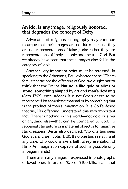#### **An idol is any image, religiously honored, that degrades the concept of Deity**

Advocates of religious iconography may continue to argue that their images are not idols because they are not representations of false gods; rather they are representations of "holy" people and the true God. But we already have seen that these images also fall in the category of idols.

Another very important point must be stressed. In speaking to the Athenians, Paul exhorted them: "Therefore, since we are the offspring of God, **we ought not to think that the Divine Nature is like gold or silver or stone, something shaped by art and man's devising**" (Acts 17:29, emp. added). It is not God's desire to be represented by something material or by something that is the product of man's imagination. It is God's desire that we, His offspring, understand this very important fact: There is nothing in this world—not gold or silver or anything else—that can be compared to God. To represent His nature in a material object is to minimize His greatness. Jesus also declared: "No one has seen God at any time" (John 1:18). If no one has seen Him at any time, who could make a faithful representation of Him? An imagination capable of such is possible only in pagan minds!

There are many images—expressed in photographs of loved ones, in art, on \$50 or \$100 bills, etc.—that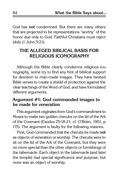God has **not** condemned. But there are many others that are projected to be representations "worthy" of the honor due only to God. Faithful Christians must reject idols (1 John 5:21).

### **The Alleged Biblical Basis for Religious Iconography**

Although the Bible clearly condemns religious iconography, some try to find any hint of biblical support for devotion to man-made images. They have twisted Bible verses to create a shield of protection against the clear teachings of the Word of God, and have formulated different arguments.

#### **Argument #1: God commanded images to be made for veneration**

This argument originates from God's commandment to Moses to make two golden cherubs on the lid of the Ark of the Covenant (Exodus 25:18-21; cf. O'Brien, 1901, p. 175). The argument is faulty for the following reasons.

First, God commanded that the cherubs be made **not**  as objects of veneration or worship. The cherubs were to sit on the lid of the Ark of the Covenant, but they were no more special than the other objects or furnishings of the tabernacle. Each object in the tabernacle (and later the temple) had special significance and purpose, but none was an object of worship.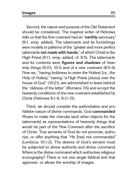Second, the nature and purpose of the Old Testament should be considered. The inspired writer of Hebrews tells us that the first covenant had an "**earthly** sanctuary" (9:1, emp. added). The tabernacle and its furnishings were models or patterns of the "greater and more perfect tabernacle **not made with hands**," of which Christ is the High Priest (9:11, emp. added; cf. 8:5). The tabernacle and its contents were **figures and shadows** of heavenly things (9:23; 10:1) and of a new covenant (8:5-6). Now we, "having boldness to enter the Holiest [i.e., the Holy of Holies]," having "a High Priest [Jesus] over the house of God" (10:21), are admonished to leave behind the "oldness of the letter" (Romans 7:6) and accept the heavenly conditions of the new covenant established by Christ (Hebrews 8:1-6; 9:11-15).

Third, we should consider the authoritative and prohibitive nature of divine commands. God **commanded** Moses to make the cherubs (and other objects for the tabernacle) as representations of heavenly things that would be part of the New Covenant after the sacrifice of Christ. True servants of God do not promote, authorize, or offer anything that "He [has] not commanded" (Leviticus 10:1-2). The desires of God's servant must be subjected to divine authority and divine command. Where is the divine command which authorizes religious iconography? There is not one single biblical text that approves or allows the worship of images.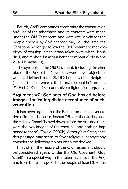Fourth, God's commands concerning the construction and use of the tabernacle and its contents were made under the Old Testament and were exclusively for the people chosen by God at that time, i.e., the Israelites. Christians no longer follow the Old Testament methodology of worship, since it was taken away when Jesus died, and replaced it with a better covenant (Colossians 2:14; Hebrews 10).

The symbols of the Old Covenant, including the cherubs on the Ark of the Covenant, were never objects of worship. Neither Exodus 25:18-21 nor any other Scripture (such as the reference to the bronze serpent in Numbers 21:9; cf. 2 Kings 18:4) authorize religious iconography.

#### **Argument #2: Servants of God bowed before images, indicating divine acceptance of such veneration**

It has been argued that the Bible promotes the veneration of images because Joshua 7:6 says that Joshua and the elders of Israel "bowed down before the Ark, and there were the two images of the cherubs, and nothing happened to them" (Zavala, 2000b). Although at first glance this passage may seem to favor religious iconography, consider the following points often overlooked.

First of all, the nature of the Old Testament should be considered again. Under the Old Covenant, God "dwelt" in a special way in the tabernacle (over the Ark), and from there He spoke to the people of Israel (Exodus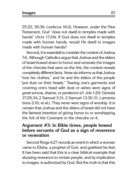25:22; 30:36; Leviticus 16:2). However, under the New Testament, God "does not dwell in temples made with hands" (Acts 17:24). If God does not dwell in temples made with human hands, would He dwell in images made with human hands?

Second, it is essential to consider the context of Joshua 7:6. Although Catholics argue that Joshua and the elders of Israel bowed down to honor and venerate the images of the cherubs that were on the Ark, the context reveals completely different facts. Verse six informs us that Joshua "tore his clothes," and he and the elders of the people "put dust on their heads." Tearing one's garments and covering one's head with dust or ashes were signs of great sorrow, shame, or penitence (cf. Job 1:20; Genesis 37:29,34; 2 Samuel 3:31; 2 Samuel 13:30-31; Lamentations 2:10; et al.). They never were signs of worship. It is certain that Joshua and the elders of Israel did not have the faintest intention of giving honor to or worshipping the Ark of the Covenant or the cherubs on it.

#### **Argument #3: In Bible times, people bowed before servants of God as a sign of reverence or veneration**

Second Kings 4:27 records an event in which a woman came to Elisha, a prophet of God, and grabbed his feet. It has been said that this is a clear biblical example that showing reverence to certain people, and by implication to images, is authorized by God. But the truth is that this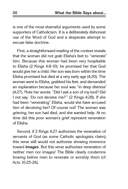is one of the most shameful arguments used by some supporters of Catholicism. It is a deliberately dishonest use of the Word of God and a desperate attempt to excuse false doctrine.

First, a straightforward reading of the context reveals that the woman did not grab Elisha's feet to "venerate" him. Because this woman had been very hospitable to Elisha (2 Kings 4:8-10), he promised her that God would give her a child. Her son was born within the time Elisha promised but died at a very early age (4:20). The woman went to Elisha, grabbed his feet, and demanded an explanation because her soul was "in deep distress" (4:27). Note her words: "Did I ask a son of my lord? Did I not say, 'Do not deceive me?'" (2 Kings 4:28). If she had been "venerating" Elisha, would she have accused him of deceiving her? Of course not! The woman was grieving, her son had died, and she wanted help. At no time did this poor woman's grief represent veneration of Elisha.

Second, if 2 Kings 4:27 authorizes the veneration of servants of God (as some Catholic apologists claim), this verse still would not authorize showing reverence toward **images**. But this verse authorizes veneration of neither men nor images! The Bible clearly condemns bowing before men to venerate or worship them (cf. Acts 10:25-26).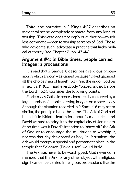**Images** 89

Third, the narrative in 2 Kings 4:27 describes an incidental scene completely separate from any kind of worship. This verse does not imply or authorize—much less command—men to worship servants of God. Those who advocate such, advocate a practice that lacks biblical authority (see Chapter 2, pp. 43-44).

#### **Argument #4: In Bible times, people carried images in processions**

It is said that 2 Samuel 6 describes a religious procession in which an icon was carried because "David gathered all the choice men of Israel" (6:1), "set the ark of God on a new cart" (6:3), and everybody "played music before the Lord" (6:5). Consider the following points.

Modern-day Catholic processions are characterized by a large number of people carrying images on a special day. Although the situation recorded in 2 Samuel 6 may seem similar, the principle is not the same. The Ark of God had been left in Kiriath-Jearim for about four decades, and David wanted to bring it to the capital city of Jerusalem. At no time was it David's intention to "show off" the Ark of God or to encourage the multitudes to worship it, nor was that day designated as holy. In Jerusalem, the Ark would occupy a special and permanent place in the temple that Solomon (David's son) would build.

The Ark was never to be worshipped. God never commanded that the Ark, or any other object with religious significance, be carried in religious processions like the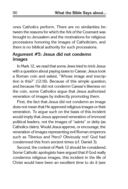ones Catholics perform. There are no similarities between the reasons for which the Ark of the Covenant was brought to Jerusalem and the motivations for religious processions honoring the images of Catholicism, and there is no biblical authority for such processions.

#### **Argument #5: Jesus did not condemn images**

In Mark 12, we read that some Jews tried to trick Jesus with a question about paying taxes to Caesar. Jesus took a Roman coin and asked, "Whose image and inscription is this?" (12:16). Because of this simple question, and because He did not condemn Caesar's likeness on the coin, some Catholics argue that Jesus authorized veneration of images by indirectly promoting them.

First, the fact that Jesus did not condemn an image does not mean that He approved religious images or their veneration. To argue such on the basis of this incident would imply that Jesus approved veneration of immoral political leaders, not the images of "saints" or deity (as Catholics claim). Would Jesus approve, or encourage, the veneration of images representing evil Roman emperors such as Tiberius and Nero? Obviously not! God had condemned this from ancient times (cf. Daniel 3).

Second, the context of Mark 12 should be considered. Some Catholic apologists have argued that if God really condemns religious images, this incident in the life of Christ would have been an excellent time to do it (see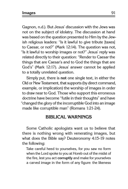Gagnon, n.d.). But Jesus' discussion with the Jews was not on the subject of idolatry. The discussion at hand was based on the question presented to Him by the Jewish religious leaders: "Is it lawful to give tribute [taxes] to Caesar, or not?" (Mark 12:14). The question was not, "Is it lawful to worship images or not?" Jesus' reply was related directly to their question: "Render to Caesar the things that are Caesar's and to God the things that are God's" (Mark 12:17). Jesus' answer cannot be applied to a totally unrelated question.

Simply put, there is **not** one single text, in either the Old or New Testament, that supports (by direct command, example, or implication) the worship of images in order to draw near to God. Those who support this erroneous doctrine have become "futile in their thoughts" and have "changed the glory of the incorruptible God into an image made like corruptible man" (Romans 1:21-24).

#### **Biblical Warnings**

Some Catholic apologists want us to believe that there is nothing wrong with venerating images, but what does the Bible say? Deuteronomy 4:15-19 notes the following:

Take careful heed to yourselves, for you saw no form when the Lord spoke to you at Horeb out of the midst of the fire, lest you act **corruptly** and make for yourselves a carved image in the form of any figure: the likeness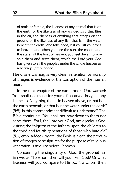of male or female, the likeness of any animal that is on the earth or the likeness of any winged bird that flies in the air, the likeness of anything that creeps on the ground or the likeness of any fish that is in the water beneath the earth. And take heed, lest you lift your eyes to heaven, and when you see the sun, the moon, and the stars, all the host of heaven, you feel driven to worship them and serve them, which the Lord your God has given to all the peoples under the whole heaven as a heritage (emp. added).

The divine warning is very clear: veneration or worship of images is evidence of the corruption of the human heart.

In the next chapter of the same book, God warned: "You shall not make for yourself a carved image—any likeness of anything that is in heaven above, or that is in the earth beneath, or that is in the water under the earth" (5:8). Is this commandment difficult to understand? The Bible continues: "You shall not bow down to them nor serve them. For I, the Lord your God, am a jealous God, visiting the **iniquity** of the fathers upon the children to the third and fourth generations of those who hate Me" (5:9, emp. added). Again, the Bible is clear: the production of images or sculptures for the purpose of religious veneration is iniquity before Jehovah.

Concerning the singularity of God, the prophet Isaiah wrote: "To whom then will you liken God? Or what likeness will you compare to Him?... 'To whom then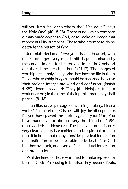**Images** 93

will you liken Me, or to whom shall I be equal?' says the Holy One" (40:18,25). There is no way to compare a man-made object to God, or to make an image that represents His greatness. Those who attempt to do so degrade the person of God.

Jeremiah declared: "Everyone is dull-hearted, without knowledge; every metalsmith is put to shame by the carved image; for his molded image is falsehood, and there is no breath in them" (51:17). The images of worship are simply false gods; they have no life in them. Those who worship images should be ashamed because "their molded images are wind and confusion" (Isaiah 41:29). Jeremiah added: "They [the idols] are futile, a work of errors; in the time of their punishment they shall perish" (51:18).

In an illustrative passage concerning idolatry, Hosea wrote: "Do not rejoice, O Israel, with joy like other peoples, for you have played the **harlot** against your God. You have made love for hire on every threshing floor" (9:1, emp. added; cf. Hosea 8). The biblical comparison is very clear: idolatry is considered to be spiritual prostitution. It is ironic that many consider physical fornication or prostitution to be detestable activities before God, but they overlook, and even defend, spiritual fornication and prostitution.

Paul declared of those who tried to make representations of God: "Professing to be wise, they became **fools**,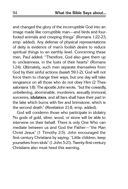and changed the glory of the incorruptible God into an image made like corruptible man—and birds and fourfooted animals and creeping things" (Romans 1:22-23, emp. added). Any defense of physical representations of deity is evidence of man's foolish desire to reduce spiritual things to an earthly level. Concerning these men, Paul added: "Therefore, God also gave them up to uncleanness, in the lusts of their hearts" (Romans 1:24). Ultimately, such men separate themselves from God by their sinful actions (Isaiah 59:1-2). God will not force them to change their ways, but one day will take vengeance on all those who do not obey Him (2 Thessalonians 1:8). The apostle John wrote, "but the cowardly, unbelieving, abominable, murderers, sexually immoral, sorcerers, **idolaters**, and all liars shall have their part in the lake which burns with fire and brimstone, which is the second death" (Revelation 21:8, emp. added).

God will condemn those who participate in idolatry. No gods of gold, silver, wood, or stone will be able to intervene on their behalf. There is only One Who can mediate between us and God the Father—"the Man Christ Jesus" (1 Timothy 2:5). John encouraged the first-century Christians by saying: "Little children, keep yourselves from idols" (1 John 5:21). Twenty-first-century Christians also must heed this warning.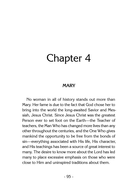## Chapter 4

#### **Mary**

No woman in all of history stands out more than Mary. Her fame is due to the fact that God chose her to bring into the world the long-awaited Savior and Messiah, Jesus Christ. Since Jesus Christ was the greatest Person ever to set foot on the Earth—the Teacher of teachers, the Man Who has changed more lives than any other throughout the centuries, and the One Who gives mankind the opportunity to be free from the bonds of sin—everything associated with His life, His character, and His teachings has been a source of great interest to many. The desire to know more about the Lord has led many to place excessive emphasis on those who were close to Him and uninspired traditions about them.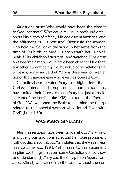Questions arise: Who would have been the closest to God Incarnate? Who could tell us, in profound detail, about His nights of infancy, His adolescent anxieties, and the afflictions of His ministry? Obviously, the woman who held the Savior of the world in her arms from the time of His birth, calmed His crying with her lullabies, healed His childhood wounds, and watched Him grow and become a man, would have been closer to Him than any other human being. So, by virtue of her relationship to Jesus, some argue that Mary is deserving of greater honor than anyone else who ever has obeyed God.

Catholics have elevated Mary to a higher level than God ever intended. The supporters of human traditions have united their forces to make Mary not just a "maidservant of the Lord" (Luke 1:38), but rather the "Mother of God." We will open the Bible to examine the things related to this special woman who "found favor with God" (Luke 1:30).

#### **Was Mary Sinless?**

Many assertions have been made about Mary, and many religious traditions surround her. One prominent Catholic declaration about Mary states that she was sinless (see Catechism..., 1994, 491). In reality, this statement implies two things that even some Catholics do not know or understand: (1) Mary was the only person (apart from Jesus Christ) who came into the world without the con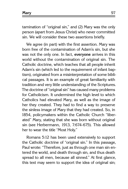tamination of "original sin," and (2) Mary was the only person (apart from Jesus Christ) who never committed sin. We will consider these two assertions briefly.

We agree (in part) with the first assertion. Mary was born free of the contamination of Adam's sin, but she was not the only one. In fact, **everyone** arrives in this world without the contamination of original sin. The Catholic doctrine, which teaches that all people inherit Adam's sin (which led to the requirement of infant baptism), originated from a misinterpretation of some biblical passages. It is an example of great familiarity with tradition and very little understanding of the Scriptures. The doctrine of "original sin" has caused many problems for Catholicism. It undermined the high level to which Catholics had elevated Mary, as well as the image of her they created. They had to find a way to preserve the sinless image of Mary that they had created. So, in 1854, policymakers within the Catholic Church "liberated" Mary, stating that she was born without original sin (see Herbermann, 1913, 7:674-675). This allowed her to wear the title "Most Holy."

Romans 5:12 has been used extensively to support the Catholic doctrine of "original sin." In this passage, Paul wrote: "Therefore, just as through one man sin entered the world, and death through sin, and thus death spread to all men, because all sinned." At first glance, this text may seem to support the idea of original sin;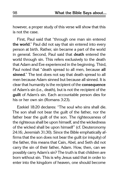however, a proper study of this verse will show that this is not the case.

First, Paul said that "through one man sin entered **the world**." Paul did not say that sin entered into every person at birth. Rather, sin became a part of the world in general. Second, Paul said that **death** entered the world through sin. This refers exclusively to the death that Adam and Eve experienced in the beginning. Third, Paul noted that "death spread to all men, because **all sinned**." The text does not say that death spread to all men because Adam sinned but because all sinned. It is clear that humanity is the recipient of the **consequence** of Adam's sin (i.e., death), but is not the recipient of the **guilt** of Adam's sin. Each accountable person dies for his or her own sin (Romans 3:23).

Ezekiel 18:20 declares: "The soul who sins shall die. The son shall not bear the guilt of the father, nor the father bear the guilt of the son. The righteousness of the righteous shall be upon himself, and the wickedness of the wicked shall be upon himself" (cf. Deuteronomy 24:16; Jeremiah 31:30). Since the Bible emphatically affirms that the son does not bear the guilt (or iniquity) of the father, this means that Cain, Abel, and Seth did not carry the sin of their father, Adam. How, then, can we possibly carry Adam's sin? The truth is that children are born without sin. This is why Jesus said that in order to enter into the kingdom of heaven, one should become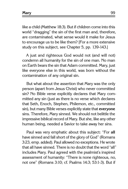**Mary** 99

like a child (Matthew 18:3). But if children come into this world "dragging" the sin of the first man and, therefore, are contaminated, what sense would it make for Jesus to encourage us to be like them? [For a more extensive study on this subject, see Chapter 5, pp. 139-143.]

A just and righteous God would not (and will not) condemn all humanity for the sin of one man. No man on Earth bears the sin that Adam committed. Mary, just like everyone else in this world, was born without the contamination of any original sin.

But what about the assertion that Mary was the only person (apart from Jesus Christ) who never committed sin? No Bible verse explicitly declares that Mary committed any sin (just as there is no verse which declares that Seth, Enoch, Stephen, Philemon, etc., committed sin), but many Bible verses explicitly state that **everyone**  sins. Therefore, Mary sinned. We should not belittle the impressive biblical record of Mary. But she, like any other human being, needed a Savior to take away her sins.

Paul was very emphatic about this subject: "For **all** have sinned and fall short of the glory of God" (Romans 3:23, emp. added). Paul allowed no exceptions. He wrote that all have sinned. There is no doubt that the word "all" includes Mary. Paul agreed with the psalmist's inspired assessment of humanity: "There is none righteous, no, not one" (Romans 3:10; cf. Psalms 14:3; 53:1-3). But if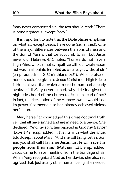Mary never committed sin, the text should read: "There is none righteous, except Mary."

It is important to note that the Bible places emphasis on what all, except Jesus, have done (i.e., sinned). One of the major differences between the sons of men and the Son of Man is that we succumb to sin, but Jesus never did. Hebrews 4:15 notes: "For we do not have a High Priest who cannot sympathize with our weaknesses, but was in all points tempted as we are, yet **without sin**" (emp. added; cf. 2 Corinthians 5:21). What praise or honor should be given to Jesus Christ (our High Priest) if He achieved that which a mere human had already achieved? If Mary never sinned, why did God give the high priesthood of the church to Jesus instead of her? In fact, the declaration of the Hebrews writer would lose its power if someone else had already achieved sinless perfection.

Mary herself acknowledged this great doctrinal truth, i.e., that all have sinned and are in need of a Savior. She declared: "And my spirit has rejoiced in God **my Savior**" (Luke 1:47, emp. added). This fits with what the angel told Joseph about Mary: "And she will bring forth a Son, and you shall call His name Jesus, for **He will save His people from their sins**" (Matthew 1:21, emp. added). Jesus came to save mankind from the bondage of sin. When Mary recognized God as her Savior, she also recognized that, just as any other human being, she needed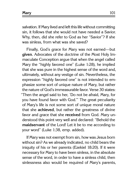salvation. If Mary lived and left this life without committing sin, it follows that she would not have needed a Savior. Why, then, did she refer to God as her "Savior"? If she was sinless, from what was she saved?

Finally, God's grace for Mary was not earned—but **given**. Advocates of the doctrine of the Most Holy Immaculate Conception argue that when the angel called Mary the "highly favored one" (Luke 1:28), he implied that she was pure in the highest sense of the word and, ultimately, without any vestige of sin. Nevertheless, the expression "highly favored one" is not intended to emphasize some sort of unique nature of Mary, but rather the nature of God's immeasurable favor. Verse 30 states: "Then the angel said to her, 'Do not be afraid, Mary, for you have found favor with God.'" The great peculiarity of Mary's life is not some sort of unique moral nature that she **achieved**, but rather the greatness of divine favor and grace that she **received** from God. Mary understood this point very well and declared: "Behold the **maidservant** of the Lord! Let it be to me according to your word" (Luke 1:38, emp. added).

If Mary was not exempt from sin, how was Jesus born without sin? As we already indicated, no child bears the iniquity of his or her parents (Ezekiel 18:20). If it were necessary for Mary to have been sinless, in the absolute sense of the word, in order to have a sinless child, then sinlessness also would be required of Mary's parents,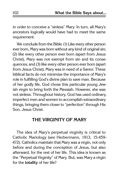in order to conceive a "sinless" Mary. In turn, all Mary's ancestors logically would have had to meet the same requirement.

We conclude from the Bible: (1) Like every other person ever born, Mary was born without any kind of original sin; (2) like every other person ever born (apart from Jesus Christ), Mary was not exempt from sin and its consequences; and (3) like every other person ever born (apart from Jesus Christ), Mary was in need of a Savior. These biblical facts do not minimize the importance of Mary's role in fulfilling God's divine plan to save man. Because of her godly life, God chose this particular young Jewish virgin to bring forth the Messiah. However, she was not sinless. Throughout history, God has used ordinary, imperfect men and women to accomplish extraordinary things, bringing them closer to "perfection" through His Son, Jesus Christ.

#### **The Virginity of Mary**

The idea of Mary's perpetual virginity is critical to Catholic Mariology (see Herbermann, 1913, 15:459- 472). Catholics maintain that Mary was a virgin, not only before and during the conception of Jesus, but also afterward, for the rest of her life. This idea is known as the "Perpetual Virginity" of Mary. But, was Mary a virgin for the **totality** of her life?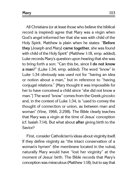All Christians (or at least those who believe the biblical record is inspired) agree that Mary was a virgin when God's angel informed her that she was with child of the Holy Spirit. Matthew is plain when he states: "**Before they** [Joseph and Mary] **came together**, she was found with child of the Holy Spirit" (Matthew 1:18, emp. added). Luke records Mary's question upon hearing that she was to bring forth a son: "Can this be, since **I do not know a man**?" (Luke 1:34, emp. added). The word "know" in Luke 1:34 obviously was used not for "having an idea or notion about a man," but in reference to "having conjugal relations." [Mary thought it was impossible for her to have conceived a child since "she did not know a man."] The word "know" comes from the Greek ginosko and, in the context of Luke 1:34, is "used to convey the thought of connection or union, as between man and woman" (Vine, 1966, 2:298). The Bible clearly teaches that Mary was a virgin at the time of Jesus' conception (cf. Isaiah 7:14). But what about **after** giving birth to the Savior?

First, consider Catholicism's ideas about virginity itself. If they define virginity as "the intact conservation of a woman's hymen" (the membrane located in the vulva), naturally Mary would have "lost her virginity" at the moment of Jesus' birth. The Bible records that Mary's conception was miraculous (Matthew 1:18), but to say that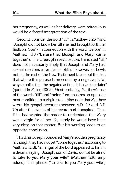her pregnancy, as well as her delivery, were miraculous would be a forced interpretation of the text.

Second, consider the word "till" in Matthew 1:25 ("and [Joseph] did not know her **till** she had brought forth her firstborn Son"), in connection with the word "before" in Matthew 1:18 ("**before** they [Joseph and Mary] came together"). The Greek phrase heos hou, translated "till," does not necessarily imply that Joseph and Mary had sexual relations after Jesus' birth. However, as Lewis noted, the rest of the New Testament bears out the fact that where this phrase is preceded by a negative, it "**always** implies that the negated action did take place later" (quoted in Miller, 2003). Most probably, Matthew's use of the words "till" and "before" emphasizes an opposite post-condition to a virgin state. Also note that Matthew wrote his gospel account (between A.D. 40 and A.D. 70) after the events of his record had transpired. Thus, if he had wanted the reader to understand that Mary was a virgin for all her life, surely he would have been very clear on that matter. But his wording leads to an opposite conclusion.

Third, as Joseph pondered Mary's sudden pregnancy (although they had not yet "come together," according to Matthew 1:18), "an angel of the Lord appeared to him in a dream, saying, 'Joseph, son of David, do not be afraid to **take to you Mary your wife**'" (Matthew 1:20, emp. added). This phrase ("to take to you Mary your wife"),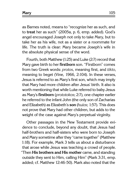**Mary** 105

as Barnes noted, means to "recognize her as such, and to **treat** her as such" (2005a, p. 6, emp. added). God's angel encouraged Joseph not only to take Mary, but to take her as his wife, not as a sister or a roommate for life. The truth is clear: Mary became Joseph's wife in the absolute physical sense of the word.

Fourth, both Matthew (1:25) and Luke (2:7) record that Mary gave birth to her **firstborn** son. "Firstborn" comes from two Greek words: protos, meaning first, and tikto, meaning to beget (Vine, 1966, 2:104). In these verses, Jesus is referred to as Mary's first son, which may imply that Mary had more children after Jesus' birth. It also is worth mentioning that while Luke referred to baby Jesus as Mary's **firstborn** (prototokos; 2:7), one chapter earlier he referred to the infant John (the only son of Zacharias and Elizabeth) as Elizabeth's **son** (huios; 1:57). This does not prove that Mary had other children, but adds to the weight of the case against Mary's perpetual virginity.

Other passages in the New Testament provide evidence to conclude, beyond any doubt, that Jesus had half-brothers and half-sisters who were born to Joseph and Mary sometime after they "came together" (Matthew 1:18). For example, Mark 3 tells us about a disturbance that arose while Jesus was teaching a crowd of people. "Then **His brothers and His mother** came, and standing outside they sent to Him, calling Him" (Mark 3:31, emp. added; cf. Matthew 12:46-50). Mark also noted that the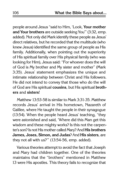people around Jesus "said to Him, 'Look, **Your mother and Your brothers** are outside seeking You'" (3:32, emp. added). Not only did Mark identify these people as Jesus' direct relatives, but he recorded that the multitude (who knew Jesus) identified the same group of people as His family. Additionally, when pointing out the superiority of His spiritual family over His physical family (who was looking for Him), Jesus said: "For whoever does the will of God is My brother and My sister and mother" (Mark 3:35). Jesus' statement emphasizes the unique and intimate relationship between Christ and His followers. He did not intend to convey that those who do the will of God are His spiritual **cousins**, but His spiritual **brothers** and **sisters**!

Matthew 13:53-58 is similar to Mark 3:31-35. Matthew records Jesus' arrival in His hometown, Nazareth of Galilee, where He taught the people in their synagogue (13:54). When the people heard Jesus' teaching, "they were astonished and said, 'Where did this Man get this wisdom and these mighty works? Is this not the carpenter's son? Is not His mother called Mary? And **His brothers James, Joses, Simon, and Judas**? And **His sisters**, are they not all with us?'" (13:54-56, emp. added).

Various theories attempt to avoid the fact that Joseph and Mary had children together. One of the theories maintains that the "brothers" mentioned in Matthew 13 were His apostles. This theory fails to recognize that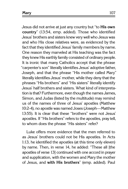**Mary** 107

Jesus did not arrive at just any country but "to **His own country**" (13:54, emp. added). Those who identified Jesus' brothers and sisters knew very well who Jesus was and who His close relatives were, as evidenced by the fact that they identified Jesus' family members by name. One reason they marveled at His teaching was the fact they knew His earthly family consisted of ordinary people. It is ironic that many Catholics accept that the phrase "carpenter's son" literally identifies Jesus' adoptive father, Joseph, and that the phrase "His mother called Mary" literally identifies Jesus' mother, while they deny that the phrases "His brothers" and "His sisters" literally identify Jesus' half brothers and sisters. What kind of interpretation is that? Furthermore, even though the names James, Simon, and Judas (listed by the multitude) may remind us of the names of three of Jesus' apostles (Matthew 10:2-4), no apostle was named Joses (Joseph—Matthew 13:55). It is clear that these "brothers" were not Jesus' apostles. If "His brothers" refers to the apostles, pray tell, to whom does the phrase "His sisters" refer?

Luke offers more evidence that the men referred to as Jesus' brothers could not be His apostles. In Acts 1:13, he identified the apostles (at this time only eleven) by name. Then, in verse 14, he added: "These all [the apostles of verse 13] continued with one accord in prayer and supplication, with the women and Mary the mother of Jesus, and **with His brothers**" (emp. added). Paul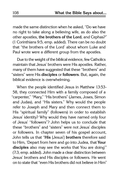made the same distinction when he asked, "Do we have no right to take along a believing wife, as do also the other apostles, **the brothers of the Lord**, and Cephas?" (1 Corinthians 9:5, emp. added). There can be no doubt that "the brothers of the Lord' about whom Luke and Paul wrote were a different group from the apostles.

Due to the weight of the biblical evidence, few Catholics maintain that Jesus' brothers were His apostles. Rather, many of them have suggested that these "brothers" and "sisters" were His **disciples** or **followers**. But, again, the biblical evidence is overwhelming.

When the people identified Jesus in Matthew 13:53- 58, they connected Him with a family composed of a "carpenter," "Mary," "His brothers" (James, Joses, Simon and Judas), and "His sisters." Why would the people refer to Joseph and Mary and then connect them to His "spiritual family" (followers) in order to establish Jesus' identity? Why would they have named only four of Jesus' "followers"? John helps us to conclude that these "brothers" and "sisters" were not Jesus' disciples or followers. In chapter seven of his gospel account, John tells us that "**His** [Jesus'] **brothers** therefore said to Him, 'Depart from here and go into Judea, that **Your disciples** also may see the works that You are doing'" (7:3, emp. added). John made a clear distinction between Jesus' brothers and His disciples or followers. He went on to state that "even His brothers did not believe in Him"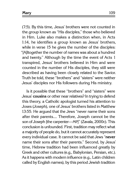(7:5). By this time, Jesus' brothers were not counted in the group known as "His disciples," those who believed in Him. Luke also makes a distinction when, in Acts 1:14, he identifies a group known as Jesus' brothers, while in verse 15 he gives the number of the disciples: "[A]ltogether the number of names was about a hundred and twenty." Although by the time the event of Acts 1 transpired, Jesus' brothers believed in Him and were counted in the number of His disciples, they still were described as having been closely related to the Savior. Truth be told, these "brothers" and "sisters" were neither Jesus' disciples nor His followers during His ministry.

Is it possible that these "brothers" and "sisters" were Jesus' **cousins** or other near relatives? In trying to defend this theory, a Catholic apologist turned his attention to Joses (Joseph), one of Jesus' brothers listed in Matthew 13:55. He argued that the Jews "never name their sons after their parents.... Therefore, Joseph cannot be the son of Joseph [the carpenter—MP]" (Zavala, 2000c). This conclusion is unfounded. First, tradition may reflect what a majority of people do, but it cannot accurately represent every individual case. It cannot be said that Jews "**never** name their sons after their parents." Second, by Jesus' time, Hebrew tradition had been influenced greatly by Greek and other cultures (e.g., Babylonian, Persian, etc.). As it happens with modern influence (e.g., Latin children called by English names), by this period Jewish tradition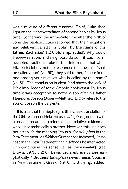was a mixture of different customs. Third, Luke shed light on the Hebrew tradition of naming babies by Jesus' time. Concerning the immediate time after the birth of John the baptizer, Luke recorded that the "neighbors and relatives...called him [John] **by the name of his father, Zacharias**" (1:58-59, emp. added). Why would Hebrew relatives and neighbors do so if it was not an accepted tradition? Luke further informs us that when Elizabeth (John's mother) responded that the child "shall be called John" (vs. 60), they said to her, "There is no one among your relatives who is called by this name" (vs. 61). The conclusion is clear (and shows the lack of Bible knowledge of some Catholic apologists): By Jesus' time it was acceptable to name a son after his father. Therefore, Joseph (Joses—Matthew 13:55) refers to the son of Joseph the carpenter.

It is true that the Septuagint (the Greek translation of the Old Testament Hebrew) uses adelphos (brother) with a broader meaning to refer to a near relative or kinsman who is not technically a brother. However, this use does not establish the meaning "cousin" for adelphos in the New Testament. As Walther Gunther has indicated, "In no case in the New Testament can adelphos be interpreted with certainty in this sense [i.e., as cousins—MP]" (see Brown, 1975, 1:256). Lewis declared, even more emphatically, "'Brothers' (adelphos) never means 'cousins' in New Testament Greek" (1976, 1:181, emp. added).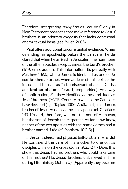Therefore, interpreting adelphos as "cousins" only in New Testament passages that make reference to Jesus' brothers is an arbitrary exegesis that lacks contextual and/or textual basis (see Miller, 2003).

Paul offers additional circumstantial evidence. When defending his apostleship before the Galatians, he declared that when he arrived in Jerusalem, he "saw none of the other apostles except **James**, the **Lord's brother**" (1:19, emp. added). This information fits perfectly with Matthew 13:55, where James is identified as one of Jesus' brothers. Further, when Jude wrote his epistle, he introduced himself as "a bondservant of Jesus Christ, and **brother of James**" (vs. 1, emp. added). As a way of confirmation, Matthew identified James and Jude as Jesus' brothers. [NOTE: Contrary to what some Catholics have declared (e.g., Tapias, 2006; Arráiz, n.d.), this James, brother of Jesus, was not James the apostle (cf. Galatians 1:17-19) and, therefore, was not the son of Alphaeus, but the son of Joseph the carpenter. As far as we know, neither of the two apostles with the name James had a brother named Jude (cf. Matthew 10:2-3).]

If Jesus, indeed, had physical half-brothers, why did He commend the care of His mother to one of His disciples while on the cross (John 19:25-27)? Does this show that Jesus had no brothers who could take care of His mother? No. Jesus' brothers disbelieved in Him during His ministry (John 7:5). [Apparently they became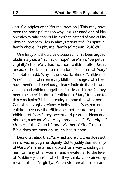Jesus' disciples after His resurrection.] This may have been the principal reason why Jesus trusted one of His apostles to take care of His mother instead of one of His physical brothers. Jesus always prioritized His spiritual family above His physical family (Matthew 12:48-50).

One last point should be discussed. It has been argued obstinately (as a "last ray of hope" for Mary's "perpetual virginity") that Mary had no more children after Jesus because the Bible never mentions "children of Mary" (see Salza, n.d.). Why is the specific phrase "children of Mary" needed when so many biblical passages, which we have mentioned previously, clearly indicate that she and Joseph had children together after Jesus' birth? Do they need the specific phrase "children of Mary" to come to this conclusion? It is interesting to note that while some Catholic apologists refuse to believe that Mary had other children because the Bible does not record the phrase "children of Mary," they accept and promote ideas and phrases, such as "Most Holy Immaculate," "Ever Virgin," "Mother of the Church," and "Mother of God," that the Bible does not mention, much less support.

Demonstrating that Mary had more children does not, in any way, impugn her dignity. But to justify their worship of Mary, Marianists have looked for a way to distinguish her from any other woman and elevate her to the level of "sublimely pure"—which, they think, is obtained by means of her "virginity." When God created man and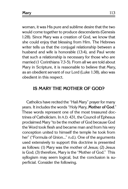woman, it was His pure and sublime desire that the two would come together to produce descendants (Genesis 1:28). Since Mary was a creation of God, we know that she could enjoy that blessing from Him. The Hebrews writer tells us that the conjugal relationship between a husband and wife is honorable (13:4), and Paul wrote that such a relationship is necessary for those who are married (1 Corinthians 7:3-5). From all we are told about Mary in Scripture, it is reasonable to believe that Mary, as an obedient servant of our Lord (Luke 1:38), also was obedient in this respect.

### **Is Mary the Mother of God?**

Catholics have recited the "Hail Mary" prayer for many years. It includes the words "Holy Mary, **Mother of God**." These words represent one of the most treasured doctrines of Catholicism. In A.D. 431, the Council of Ephesus proclaimed Mary "to be the mother of God because God the Word took flesh and became man and from his very conception united to himself the temple he took from her" ("Formula of Union..." n.d.). One of the arguments used extensively to support this doctrine is presented as follows: (1) Mary was the mother of Jesus; (2) Jesus is God; (3) therefore, Mary is the "Mother of God." This syllogism may seem logical, but the conclusion is superficial. Consider the following.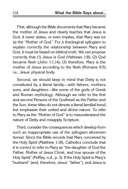First, although the Bible documents that Mary became the mother of Jesus and clearly teaches that Jesus is God, it never states, or even implies, that Mary was (or is) the "Mother of God." For a theological syllogism to explain correctly the relationship between Mary and God, it must be based on biblical truth. We can propose correctly that (1) Jesus is God (Hebrews 1:8); (2) God became flesh (John 1:1,14); (3) therefore, Mary is the mother of Jesus according to the flesh (Romans 9:5), i.e., Jesus' physical body.

Second, we should keep in mind that Deity is not constituted by a literal family—with fathers, mothers, sons, and daughters—like some of the gods of Greek and Roman mythology. Although we refer to the first and second Persons of the Godhead as the Father and the Son, these titles do not denote a literal familial bond, but emphasize their united and divine nature. To refer to Mary as the "Mother of God" is to misunderstand the nature of Deity and misapply Scripture.

Third, consider the consequences which develop from such an inappropriate use of the syllogism aforementioned. Since the Bible records that Mary conceived by the Holy Spirit (Matthew 1:18), Catholics conclude that it is correct to refer to Mary as "the daughter of God the Father, Mother of Jesus Christ, and true spouse of the Holy Spirit" (Peffley, n.d., p. 3). If the Holy Spirit is Mary's "husband" (and, therefore, Jesus' "father"), and Jesus is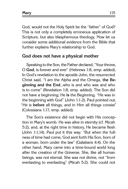**Mary** 115

God, would not the Holy Spirit be the "father" of God? This is not only a completely erroneous application of Scripture, but also blasphemous theology. Now let us consider some additional evidence from the Bible that further explains Mary's relationship to God.

#### **God does not have a physical mother**

Speaking to the Son, the Father declared, "Your throne, O **God**, is forever and ever" (Hebrews 1:8, emp. added). In God's revelation to the apostle John, the resurrected Christ said, "I am the Alpha and the Omega, **the Beginning and the End**...who is and who was and who is to come" (Revelation 1:8, emp. added). The Son did not have a beginning; He **is** the Beginning. "He was in the beginning with God" (John 1:1-2). Paul pointed out, "He is **before** all things, and in Him all things consist" (Colossians 1:17, emp. added).

The Son's existence did not begin with His conception in Mary's womb. He was alive in eternity (cf. Micah 5:2), and, at the right time in history, He became flesh (John 1:1,14). Paul put it this way: "But when the fullness of time had come, God sent forth His Son, born of a woman, born under the law" (Galatians 4:4). On the other hand, Mary came into a time-bound world long after the creation of the Universe. She, like all human beings, was not eternal. She was not divine, not "from everlasting to everlasting" (Micah 5:2). She could not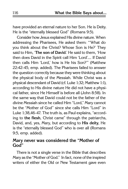have provided an eternal nature to her Son. He is Deity. He is the "eternally blessed God" (Romans 9:5).

Consider how Jesus explained His divine nature. When addressing the Pharisees, He asked them: "'What do you think about the Christ? Whose Son is He?' They said to Him, '**The son of David**.' He said to them, 'How then does David in the Spirit call Him 'Lord'.... If David then calls Him 'Lord,' how is He his Son?'" (Matthew 22:42-45, emp. added). The Pharisees failed to answer the question correctly because they were thinking about the physical body of the Messiah. While Christ was a physical descendant of David (cf. Luke 1:32; Matthew 1:1), according to His divine nature He did not have a physical father, since He Himself is before all (John 8:58). In the same way that David could not be the father of the divine Messiah since he called Him "Lord," Mary cannot be the "Mother of God" since she calls Him "Lord" in Luke 1:38,46-47. The truth is, as Paul explains, "according to **the flesh**, Christ came" through the patriarchs, David, and, yes, Mary, but according to **His deity**, He is the "eternally blessed God" who is over all (Romans 9:5, emp. added).

#### **Mary never was considered the "Mother of God"**

There is not a single verse in the Bible that describes Mary as the "Mother of God." In fact, none of the inspired writers of either the Old or New Testament gave even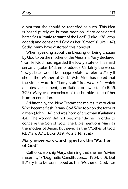| Mary | 117 |
|------|-----|
|      |     |

a hint that she should be regarded as such. This idea is based purely on human tradition. Mary considered herself as a "**maidservant** of the Lord" (Luke 1:38, emp. added) and considered God as her "Savior" (Luke 1:47). Sadly, many have distorted this concept.

When speaking about the blessing of being chosen by God to be the mother of the Messiah, Mary declared: "For He [God] has regarded the **lowly state** of His maidservant" (Luke 1:48, emp. added). Certainly the words "lowly state" would be inappropriate to refer to Mary if she is the "Mother of God." W.E. Vine has noted that the Greek word for "lowly state" is tapeinosis, which denotes "abasement, humiliation, or low estate" (1966, 3:23). Mary was conscious of the humble state of her **human** condition.

Additionally, the New Testament makes it very clear Who became flesh. It was **God** Who took on the form of a man (John 1:14) and was born of a woman (Galatians 4:4). The woman did not become "divine" in order to conceive the Son of God. The Bible mentions Mary as the mother of Jesus, but never as the "Mother of God" (cf. Mark 3:31; Luke 8:19; Acts 1:14; et al.).

#### **Mary never was worshipped as the "Mother of God"**

Catholics worship Mary, claiming that she has "divine maternity" ("Dogmatic Constitution...," 1964, 8.3). But if Mary is to be worshipped as the "Mother of God," we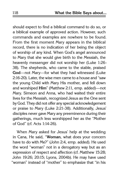should expect to find a biblical command to do so, or a biblical example of approved action. However, such commands and examples are nowhere to be found. From the first moment Mary appears in the biblical record, there is no indication of her being the object of worship of any kind. When God's angel announced to Mary that she would give birth to the Messiah, the heavenly messenger did not worship her (Luke 1:26- 38). The shepherds, who came to the stable, praised **God**—not Mary—for what they had witnessed (Luke 2:16-20). Later, the wise men came to a house and "saw the young Child with Mary His mother, and fell down and worshiped **Him**" (Matthew 2:11, emp. added)—not Mary. Simeon and Anna, who had waited their entire lives for the Messiah, recognized Jesus as the One sent by God. They did not offer any special acknowledgement or praise to Mary (Luke 2:21-38). Additionally, Jesus' disciples never gave Mary any preeminence during their gatherings, much less worshipped her as the "Mother of God" (cf. Acts 1:14-26).

When Mary asked for Jesus' help at the wedding in Cana, He said, "**Woman**, what does your concern have to do with Me?" (John 2:4, emp. added). He used the word "woman" not in a derogatory way but as an expression of respect and affection (cf. Matthew 15:28; John 19:26; 20:15; Lyons, 2004b). He may have used "woman" instead of "mother" to emphasize that "in his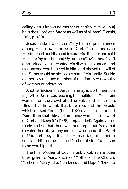calling Jesus knows no mother or earthly relative, [but] he is their Lord and Savior as well as of all men" (Lenski, 1961, p. 189).

Jesus made it clear that Mary had no preeminence among His followers or before God. On one occasion, "He stretched out His hand toward His disciples and said, 'Here are **My mother** and My brothers!'" (Matthew 12:49, emp. added). Jesus wanted His disciples to understand that anyone who believed in Him and obeyed the will of the Father would be blessed as part of His family. But He did not say that any member of that family was worthy of worship or adoration.

Another incident in Jesus' ministry is worth mentioning. While Jesus was teaching the multitudes, "a certain woman from the crowd raised her voice and said to Him, 'Blessed is the womb that bore You, and the breasts which nursed You!'" (Luke 11:27). Jesus responded, "**More than that,** blessed are those who hear the word of God and keep it" (11:28, emp. added). Again, Jesus made it clear that there was nothing about Mary that elevated her above anyone else who heard the Word of God and obeyed it. Jesus Himself taught us not to consider His mother as the "Mother of God," a person to be worshipped.

The title "Mother of God" is unbiblical, as are other titles given to Mary, such as "Mother of the Church," "Mother of Mercy, Life, Gentleness, and Hope," "Door to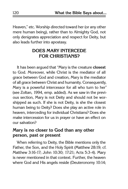Heaven," etc. Worship directed toward her (or any other mere human being), rather than to Almighty God, not only denigrates appreciation and respect for Deity, but also leads further into apostasy.

# **Does Mary Intercede for Christians?**

It has been argued that "Mary is the creature **closest** to God. Moreover, while Christ is the mediator of all grace between God and creation, Mary is the mediator of all grace between Christ and humanity. Consequently, Mary is a powerful intercessor for all who turn to her" (see Zoltan, 1994, emp. added). As we saw in the previous section, Mary is not Deity and should not be worshipped as such. If she is not Deity, is she the closest human being to Deity? Does she play an active role in heaven, interceding for individual Christians? Does she make intercession for us in prayer or have an effect on our salvation?

#### **Mary is no closer to God than any other person, past or present**

When referring to Deity, the Bible mentions only the Father, the Son, and the Holy Spirit (Matthew 28:19; cf. Matthew 3:16-17; John 10:30; 17:21; Acts 5:3-4). Mary is never mentioned in that context. Further, the heaven where God and His angels reside (Deuteronomy 10:14;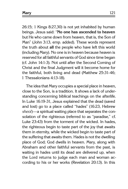26:15; 1 Kings 8:27,30) is not yet inhabited by human beings. Jesus said: "**No one has ascended to heaven** but He who came down from heaven, that is, the Son of Man" (John 3:13, emp. added). These words represent the truth about **all** the people who have left this world (including Mary). No one is in heaven because heaven is reserved for all faithful servants of God since time began (cf. John 14:1-3). Not until after the Second Coming of Christ and the final Judgment will it become home for the faithful, both living and dead (Matthew 25:31-46; 1 Thessalonians 4:13-18).

The idea that Mary occupies a special place in heaven, close to the Son, is a tradition. It shows a lack of understanding concerning biblical teachings on the afterlife. In Luke 16:19-31, Jesus explained that the dead (saved and lost) go to a place called "hades" (16:23, Hebrew sheol)—a spiritual waiting place that separates the consolation of the righteous (referred to as "paradise," cf. Luke 23:43) from the torment of the wicked. In hades, the righteous begin to taste part of the joy that awaits them in eternity, while the wicked begin to taste part of the suffering that awaits them. Hades is not the dwelling place of God; God dwells in heaven. Mary, along with Abraham and other faithful servants from the past, is waiting in hades until its dead are delivered up, when the Lord returns to judge each man and woman according to his or her works (Revelation 20:13). In this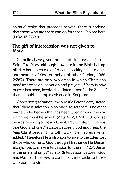spiritual realm that precedes heaven, there is nothing that those who are there can do for those who are here (Luke 16:27-31).

## **The gift of intercession was not given to Mary**

Catholics have given the title of "Intercessor for the Saints" to Mary, although nowhere in the Bible is it applied to her. "Intercession" means "seeking the presence and hearing of God on behalf of others" (Vine, 1966, 2:267). There are only two areas in which Christians need intercession: salvation and prayers. If Mary is now, or ever has been, involved as "Intercessor for the Saints," there should be ample evidence in Scripture.

Concerning salvation, the apostle Peter clearly stated that "there is salvation in no one else; for there is no other name under heaven that has been given among men by which we must be saved" (Acts 4:12, NASB). Of course, he was referring to Jesus Christ. Paul wrote: "[T]here is one God and one Mediator between God and men, the Man Christ Jesus" (1 Timothy 2:5). The Hebrews writer added: "Therefore He is also able to save to the uttermost those who come to God through Him, since He [Jesus] always lives to make intercession for them" (7:25). Jesus is **the one and only** Mediator (Intercessor) between God and Man, and He lives to continually intercede for those who come to God.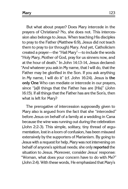But what about prayer? Does Mary intercede in the prayers of Christians? No, she does not. This intercession also belongs to Jesus. When teaching His disciples to pray to the Father (Matthew 6:9), Jesus did not teach them to pray to (or through) Mary. And yet, Catholicism created a prayer—the "Hail Mary"—to include the words "Holy Mary, Mother of God, pray for us sinners now, and at the hour of death." In John 14:13-14, Jesus declared: "And whatever you ask in My name, that I will do, that the Father may be glorified in the Son. If you ask anything in My name, I will do it" (cf. John 16:24). Jesus is **the only One** Who can mediate or intercede in our prayers, since "[a]ll things that the Father has are [His]" (John 16:15). If all things that the Father has are the Son's, then what is left for Mary?

The prerogative of intercession supposedly given to Mary also is argued from the fact that she "interceded" before Jesus on behalf of a family at a wedding in Cana because the wine was running out during the celebration (John 2:2-3). This simple, solitary, tiny thread of argumentation, lost in a loom of confusion, has been misused extensively by the supporters of Marianism. By going to Jesus with a request for help, Mary was not intervening on behalf of anyone's spiritual needs; she only **reported** the situation to Jesus. Moreover, consider Jesus' response: "Woman, what does your concern have to do with Me?" (John 2:4). With these words, He emphasized that Mary's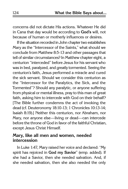concerns did not dictate His actions. Whatever He did in Cana that day would be according to **God's** will, not because of human or motherly influences or desires.

If the situation recorded in John chapter two establishes Mary as the "Intercessor of the Saints," what should we conclude from Matthew 8:5-13 and other passages that tell of similar circumstances? In Matthew chapter eight, a centurion "interceded" before Jesus for his servant who was in bed, paralyzed, and greatly tormented. Seeing the centurion's faith, Jesus performed a miracle and cured the sick servant. Should we consider this centurion as the "Intercessor for the Paralytics, the Sick, and the Tormented"? Should any paralytic, or anyone suffering from physical or mental illness, pray to this man of great faith, asking him to intercede with God on their behalf? [The Bible further condemns the act of invoking the dead (cf. Deuteronomy 18:10-13; 1 Chronicles 10:13-14; Isaiah 8:19).] Neither this centurion, nor Abraham, nor Mary, nor anyone else—living or dead—can intercede before the throne of God in favor of the faithful Christian, except Jesus Christ Himself.

#### **Mary, like all men and women, needed intercession**

In Luke 1:47, Mary raised her voice and declared: "My spirit has rejoiced in **God my Savior**" (emp. added). If she had a Savior, then she needed salvation. And, if she needed salvation, then she also needed the only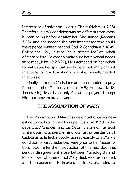Intercessor of salvation—Jesus Christ (Hebrews 7:25). Therefore, Mary's condition was no different from every human being before or after her. She sinned (Romans 3:23), and she needed the only Intercessor who could make peace between her and God (2 Corinthians 5:18-19; Colossians 1:20). Just as Jesus "interceded" on behalf of Mary before He died to make sure her physical needs were met (John 19:26-27), He interceded on her behalf to make sure her spiritual needs were met. Mary cannot intercede for any Christian since she, herself, needed intercession.

Finally, although Christians are commanded to pray for one another (1 Thessalonians 5:25; Hebrews 13:18; James 5:16), Jesus is our only Mediator in prayer. Through Him our prayers are answered.

## **The Assumption of Mary**

The "Assumption of Mary" is one of Catholicism's newest dogmas. Proclaimed by Pope Pius XII in 1950, in the papal bull Munificentissimus Deus, it is one of the most ambiguous, changeable, and confusing teachings of Catholicism. In fact, nobody can say exactly what Mary's condition or circumstances were prior to her "assumption." Soon after the introduction of this new doctrine, serious disagreement arose between Mariologists and Pius XII over whether or not Mary died, was resurrected, and then ascended to heaven, or simply ascended to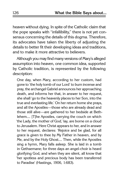heaven without dying. In spite of the Catholic claim that the pope speaks with "infallibility," there is not yet consensus concerning the details of this dogma. Therefore, its advocates have taken the liberty of adjusting the details to better fit their developing ideas and traditions, and to make it more attractive to believers.

Although you may find many versions of Mary's alleged assumption into heaven, one common idea, supported by Catholic tradition, is represented by the following description:

One day, when Mary, according to her custom, had gone to 'the holy tomb of our Lord' to burn incense and pray, the archangel Gabriel announces her approaching death, and informs her that, in answer to her request, she shall 'go to the heavenly places to her Son, into the true and everlasting life.' On her return home she prays, and all the Apostles—those who are already dead and those still alive—are gathered to her bedside at Bethlehem.... [T]he Apostles, carrying the couch on which 'the Lady, the mother of God,' lay, are borne on a cloud to Jerusalem. Here Christ appears to her, and in answer to her request, declares: 'Rejoice and be glad, for all grace is given to thee by My Father in heaven, and by Me, and by the Holy Ghost.... Then, while the Apostles sing a hymn, Mary falls asleep. She is laid in a tomb in Gethsemane; for three days an angel-choir is heard glorifying God, and when they are silent, all know that 'her spotless and precious body has been transferred to Paradise' (Hastings, 1906, 1:683).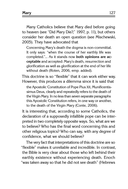| Mary |  |
|------|--|
|      |  |

Many Catholics believe that Mary died before going to heaven (see "Did Mary Die?," 1997, p. 11), but others consider her death an open question (see Mischewski, 2005). They have advocated that

Concerning Mary's death the dogma is non-committal. It only says: "when the course of her earthly life was completed."... As it stands now **both opinions are acceptable** and accepted: Mary's death, resurrection and glorification as well as glorification at the end of her life without death (Roten, 2006, emp. added).

This doctrine is so "flexible" that it can work either way. However, this produces a dilemma since it is said that the Apostolic Constitution of Pope Pius XII, Munificentissimus Deus, clearly and repeatedly refers to the death of the Virgin Mary. In no less than seven separate paragraphs this Apostolic Constitution refers, in one way or another, to the death of the Virgin Mary (Conte, 2006).

It is interesting that, according to some Catholics, the declaration of a supposedly infallible pope can be interpreted in two completely opposite ways. So, what are we to believe? Who has the final word concerning this and other religious topics? Who can say, with any degree of confidence, what we should believe?

The very fact that interpretations of this doctrine are so "flexible" makes it unreliable and incredible. In contrast, the Bible is very clear about those who left behind their earthly existence without experiencing death. Enoch "was taken away so that he did not see death" (Hebrews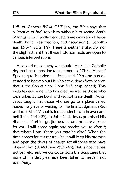11:5; cf. Genesis 5:24). Of Elijah, the Bible says that a "chariot of fire" took him without him seeing death (2 Kings 2:11). Equally clear details are given about Jesus' death, burial, resurrection, and ascension (1 Corinthians 15:3-4; Acts 1:9). There is neither ambiguity nor the slightest hint that these historical facts are open to various interpretations.

A second reason why we should reject this Catholic dogma is its opposition to statements of Christ Himself. Speaking to Nicodemus, Jesus said: "**No one has ascended to heaven** but He who came down from heaven, that is, the Son of Man" (John 3:13, emp. added). This includes everyone who has died, as well as those who were taken by the Lord and did not taste death. Again, Jesus taught that those who die go to a place called hades—a place of waiting for the final Judgment (Revelation 20:13-15) that is independent from heaven and hell (Luke 16:19-23). In John 14:3, Jesus promised His disciples, "And if I go [to heaven] and prepare a place for you, I will come again and receive you to Myself; that where I am, there you may be also." When the time comes for His return, Jesus will keep His promise and open the doors of heaven for all those who have obeyed Him (cf. Matthew 25:31-46). But, since He has not yet returned, we conclude from the Scriptures that none of His disciples have been taken to heaven, not even Mary.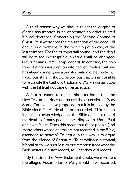A third reason why we should reject the dogma of Mary's assumption is its opposition to other related biblical doctrines. Concerning the Second Coming of Christ, Paul wrote that the resurrection of the dead will occur "in a moment, in the twinkling of an eye, at the last trumpet. For the trumpet will sound, and the dead will be raised incorruptible, and **we shall be changed**" (1 Corinthians 15:52, emp. added). In contrast, the doctrine of Mary's assumption into heaven implies that she has already undergone a transformation of her body into a glorious state. It should be obvious that it is impossible to reconcile the Catholic tradition of Mary's assumption with the biblical doctrine of resurrection.

A fourth reason to reject this doctrine is that the New Testament does not record the ascension of Mary. Some Catholics have proposed that it is implied by the Bible since Mary's death is not recorded. This reasoning fails to acknowledge that the Bible does not record the deaths of many people, including John, Mark, Paul, and even Pilate. Does this mean that these people (and many others whose deaths are not recorded in the Bible) ascended to heaven? To argue in this way is to argue from the silence of Scripture. To establish a historical, biblical truth, we should turn our attention from what the Bible writers did **not** record, to what they **did** record.

By the time the New Testament books were written, the alleged Assumption of Mary would have occurred.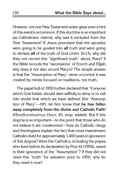However, not one New Testament writer gives even a hint of this event's occurrence. If this doctrine is so important (as Catholicism claims), why was it excluded from the New Testament? If Jesus promised that the apostles were going to be guided into **all** truth and were going to declare **all** of the truth of God (John 16:13), why did they not record this "significant truth" about Mary? If the Bible records the "ascensions" of Enoch and Elijah, why does it not also record Mary's? The simple answer is that the "Assumption of Mary" never occurred; it was created by minds focused on traditions, not truth.

The papal bull of 1950 further declared that "if anyone, which God forbid, should dare willfully to deny or to call into doubt that which we have defined [the "Assumption of Mary"—MP], let him know that **he has fallen away completely from the divine and Catholic Faith**" (Munificentissimus Deus, 45, emp. added). But if this dogma is so important—to the point that those who do not believe it are condemned—how do Catholic clergy and theologians explain the fact that most mainstream Catholics lived for approximately 1,400 years in ignorance of this dogma? Were the Catholics, including the popes, who lived before its declaration by Pius XII (1950), saved in their ignorance of the "Assumption"? If they did not need this "truth" for salvation prior to 1950, why do they need it now?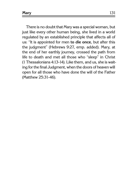There is no doubt that Mary was a special woman, but just like every other human being, she lived in a world regulated by an established principle that affects all of us: "It is appointed for men **to die once**, but after this the judgment" (Hebrews 9:27, emp. added). Mary, at the end of her earthly journey, crossed the path from life to death and met all those who "sleep" in Christ (1 Thessalonians 4:13-14). Like them, and us, she is waiting for the final Judgment, when the doors of heaven will open for all those who have done the will of the Father (Matthew 25:31-46).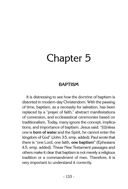# Chapter 5

## **baptism**

It is distressing to see how the doctrine of baptism is distorted in modern-day Christendom. With the passing of time, baptism, as a necessity for salvation, has been replaced by a "prayer of faith," abstract manifestations of conversion, and ecclesiastical ceremonies based on traditionalism. Today, many ignore the concept, implications, and importance of baptism. Jesus said: "[U]nless one is **born of water** and the Spirit, he cannot enter the kingdom of God" (John 3:5, emp. added). Paul wrote that there is "one Lord, one faith, **one baptism"** (Ephesians 4:5, emp. added). These New Testament passages and others make it clear that baptism is not merely a religious tradition or a commandment of men. Therefore, it is very important to understand it correctly.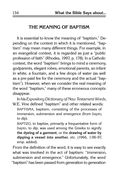## **The Meaning of Baptism**

It is essential to know the meaning of "baptism." Depending on the context in which it is mentioned, "baptism" may mean many different things. For example, in an evangelical context, it is regarded as just a "public profession of faith" (Rhodes, 1997, p. 178). In a Catholic context, the word "baptism" brings to mind a ceremony, godparents, elegant robes, emotional parents, an infant in white, a fountain, and a few drops of water (as well as a pre-paid fee for the ceremony and the actual "baptism"). However, when we consider the real meaning of the word "baptism," many of these erroneous concepts disappear.

In his Expository Dictionary of New Testament Words, W.E. Vine defined "baptism" and other related words:

BAPTISMA, baptism, consisting of the processes of immersion, submersion and emergence (from bapto, to dip).

BAPTIZO, to baptize, primarily a frequentative form of bapto, to dip, was used among the Greeks to signify **the dyeing of a garment**, or the **drawing of water by dipping a vessel into another**, etc. (1966, 1:96-97, emp. added).

From the definition of the word, it is easy to see exactly what was involved in the act of baptism: "immersion, submersion and emergence." Unfortunately, the word "baptism" has been passed from generation to generation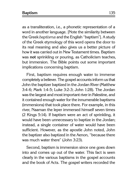as a transliteration, i.e., a phonetic representation of a word in another language. [Note the similarity between the Greek baptisma and the English "baptism"]. A study of the Greek etymology of this word opens the door to its real meaning and also gives us a better picture of how it was carried out in New Testament times. Baptism was **not** sprinkling or pouring, as Catholicism teaches, but immersion. The Bible points out some important implications concerning baptism.

First, baptism requires enough water to immerse completely a believer. The gospel accounts inform us that John the baptizer baptized in the Jordan River (Matthew 3:4-6; Mark 1:4-5; Luke 3:2-3; John 1:28). The Jordan was the largest and most important river in Palestine, and it contained enough water for the innumerable baptisms (immersions) that took place there. For example, in this river, Naaman the leper immersed himself seven times (2 Kings 5:14). If baptism were an act of sprinkling, it would have been unnecessary to baptize in the Jordan; instead, a single container of water would have been sufficient. However, as the apostle John noted, John the baptizer also baptized in the Aenon, "because there was much water there" (John 3:23).

Second, baptism is immersion since one goes down into and comes up out of the water. This fact is seen clearly in the various baptisms in the gospel accounts and the book of Acts. The gospel writers recorded the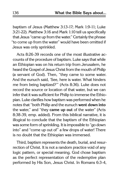baptism of Jesus (Matthew 3:13-17; Mark 1:9-11; Luke 3:21-22). Matthew 3:16 and Mark 1:10 tell us specifically that Jesus "came up from the water." Certainly the phrase "to come up from the water" would have been omitted if Jesus was only sprinkled.

Acts 8:26-39 records one of the most illustrative accounts of the procedure of baptism. Luke says that while an Ethiopian was on his return trip from Jerusalem, he heard the Gospel of Jesus Christ from the mouth of Philip (a servant of God). Then, "they came to some water. And the eunuch said, 'See, here is water. What hinders me from being baptized?'" (Acts 8:36). Luke does not record the source or location of that water, but we can infer that it was sufficient for Philip to immerse the Ethiopian. Luke clarifies how baptism was performed when he notes that "both Philip and the eunuch **went down into** the water," and "they **came up out** of the water" (Acts 8:38-39, emp. added). From this biblical narrative, it is illogical to conclude that the baptism of the Ethiopian was some form of sprinkling. It is impossible to "go down into" and "come up out of" a few drops of water! There is no doubt that the Ethiopian was immersed.

Third, baptism represents the death, burial, and resurrection of Christ. It is not a random practice void of any logic pattern, or special meaning. God chose baptism as the perfect representation of the redemptive plan performed by His Son, Jesus Christ. In Romans 6:3-4,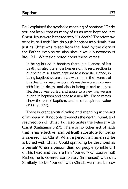**Baptism** 137

Paul explained the symbolic meaning of baptism: "Or do you not know that as many of us as were baptized into Christ Jesus were baptized into His death? Therefore we were buried with Him through baptism into death, that just as Christ was raised from the dead by the glory of the Father, even so we also should walk in newness of life." R.L. Whiteside noted about these verses:

In being buried in baptism there is a likeness of his death; so also there is a likeness of his resurrection in our being raised from baptism to a new life. Hence, in being baptized we are united with him in the likeness of this death and resurrection. We are therefore, partakers with him in death, and also in being raised to a new life. Jesus was buried and arose to a new life; we are buried in baptism and arise to a new life. These verses show the act of baptism, and also its spiritual value (1988, p. 132).

There is great spiritual value and meaning in the act of immersion. It not only re-enacts the death, burial, and resurrection of Christ, but also unites the believer with Christ (Galatians 3:27). There is no other act of faith that is an effective (and biblical) substitute for being immersed into Christ. When a person is immersed, he is buried with Christ. Could sprinkling be described as a **burial**? When a person dies, do people sprinkle dirt on his head and declare him "buried"? Of course not! Rather, he is covered completely (immersed) with dirt. Similarly, to be "buried" with Christ, we must be cov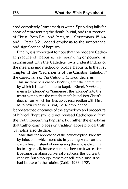ered completely (immersed) in water. Sprinkling falls far short of representing the death, burial, and resurrection of Christ. Both Paul and Peter, in 1 Corinthians 15:1-4 and 1 Peter 3:21, added emphasis to the importance and significance of baptism.

Finally, it is important to note that the modern Catholic practice of "baptism," i.e., sprinkling or pouring, is inconsistent with the Catholics' own understanding of the meaning and method of biblical baptism. In the first chapter of the "Sacraments of the Christian Initiation," the Catechism of the Catholic Church declares:

This sacrament is called Baptism, after the central rite by which it is carried out: to baptize (Greek baptizein) means to **"plunge" or "immerse"; the "plunge" into the water** symbolizes the catechumen's burial into Christ's death, from which he rises up by resurrection with him, as "a new creature" (1994, 1214, emp. added).

It appears that ignorance of the etymology and procedure of biblical "baptism" did not mislead Catholicism from the truth concerning baptism, but rather the emphasis that Catholicism places on tradition above biblical truth. Catholics also declare:

To facilitate the application of the new discipline, baptism by infusion—which consists in pouring water on the child's head instead of immersing the whole child in a basin—gradually became common because it was easier; it became the almost universal practice in the fourteenth century. But although immersion fell into disuse, it still had its place in the rubrics (Cabié, 1988, 3:72).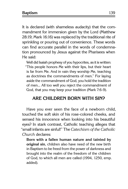It is declared (with shameless audacity) that the commandment for immersion given by the Lord (Matthew 28:19; Mark 16:16) was replaced by the traditional rite of sprinkling or pouring out of convenience. These words can find accurate parallel in the words of condemnation pronounced by Jesus against the Pharisees when He said:

Well did Isaiah prophesy of you hypocrites, as it is written: "This people honors Me with their lips, but their heart is far from Me. And in vain they worship Me, teaching as doctrines the commandments of men." For laying aside the commandment of God, you hold the tradition of men... All too well you reject the commandment of God, that you may keep your tradition (Mark 7:6-9).

# **Are Children Born with Sin?**

Have you ever seen the face of a newborn child, touched the soft skin of his rose-colored cheeks, and sensed his innocence when looking into his beautiful eyes? In stark contrast, Catholic teaching alleges that "small infants are sinful!" The Catechism of the Catholic Church declares:

**Born with a fallen human nature and tainted by original sin**, children also have need of the new birth in Baptism to be freed from the power of darkness and brought into the realm of the freedom of the children of God, to which all men are called (1994, 1250, emp. added).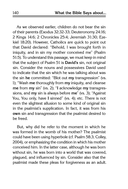As we observed earlier, children do not bear the sin of their parents (Exodus 32:32-33; Deuteronomy 24:16; 2 Kings 14:6; 2 Chronicles 25:4; Jeremiah 31:30; Ezekiel 18:20). However, Catholics are quick to point out that David declared: "Behold, I was brought forth in iniquity, and in sin my mother conceived me" (Psalm 51:5). To understand this passage, we must keep in mind that the subject of Psalm 51 is **David's** sin, not original sin. Consider the nouns and possessives David used to indicate that the sin which he was talking about was the sin **he** committed: "Blot out **my** transgression" (vs. 1); "Wash **me** thoroughly from **my** iniquity, and cleanse **me** from **my** sin" (vs. 2); "**I** acknowledge **my** transgressions, and **my** sin is always before **me**" (vs. 3); "Against You, You only, have **I** sinned" (vs. 4); etc. There is not even the slightest allusion to some kind of original sin in the psalmist's supplication. In fact, it was from his **own** sin and transgression that the psalmist desired to be freed.

But, why did he refer to the moment in which he was formed in the womb of his mother? The psalmist could have been using hyperbole (cf. Psalm 58:3; Colley, 2004), or emphasizing the condition in which his mother conceived him. In the latter case, although he was born without sin, he was born into a world that was covered, plagued, and influenced by sin. Consider also that the psalmist made these pleas for forgiveness as an adult.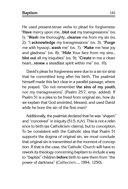He used present-tense verbs to plead for forgiveness: "**Have** mercy upon me...**blot out** my transgressions" (vs. 1); "**Wash** me thoroughly...**cleanse** me from my sin (vs. 2); "I **acknowledge** my transgressions" (vs. 3); "**Purge** me with hyssop...**wash** me" (vs. 7); "**Make** me hear joy and gladness" (vs. 8); "**Hide** Your face from my sins... **blot out** all my iniquities" (vs. 9); "**Create** in me a clean heart...**renew** a steadfast spirit within me" (vs. 10).

David's pleas for forgiveness were due to a sin (or sins) that he committed long after his birth. The psalmist himself made this fact clear in a parallel passage, where he prayed: "Do not remember **the sins of my youth**, nor my transgressions" (Psalm 25:7, emp. added). If Psalm 51 is a plea to be freed from original sin, how do we explain that God anointed, blessed, and used David while he bore the sin of the first man?

Additionally, the psalmist declared that he was "shapen" and "conceived" in iniquity (51:5, KJV). This is not a reference to birth (as Catholicism claims), but to conception. To be consistent with the Catholic idea that Psalm 51 supports the dogma of original sin, we must conclude that original sin is transmitted at the moment of conception. If that is the case, the Catholic Church will have to rework its theology concerning baptism to include a way to "baptize" children **before** birth to save them from "the power of darkness" (Cathecism..., 1994, 1250).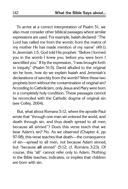To arrive at a correct interpretation of Psalm 51, we also must consider other biblical passages where similar expressions are used. For example, Isaiah declared: "The Lord has called me from the womb; from the matrix of my mother He has made mention of my name" (49:1). In Jeremiah 1:5, God told His prophet: "Before I formed you in the womb I knew you; before you were born I sanctified you." If by the expression, "I was brought forth in iniquity" (Psalm 51:5), David alluded to the original sin he bore, how do we explain Isaiah and Jeremiah's declarations of sanctity from the womb? Were these two prophets born without the contamination of original sin? According to Catholicism, only Jesus and Mary were born in a completely holy condition. These passages cannot be reconciled with the Catholic dogma of original sin (see Colley, 2004).

But, what about Romans 5:12, where the apostle Paul wrote that "through one man sin entered the world, and death through sin, and thus death spread to all men, because all sinned"? Does this verse teach that we bear Adam's sin? No. As we observed (Chapter 4, pp. 97-98), this verse teaches that death—the consequence of sin—spread to all men, not because Adam sinned, but "because **all** sinned" (5:12; cf. Romans 3:23). Of course, this "all" cannot refer only to Adam. Nothing in the Bible teaches, indicates, or implies that children are born with sin.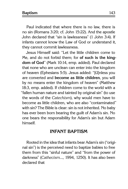**Baptism** 143

Paul indicated that where there is no law, there is no sin (Romans 3:20; cf. John 15:22). And the apostle John declared that "sin is lawlessness" (1 John 3:4). If infants cannot know the Law of God or understand it, they cannot commit lawlessness.

Jesus Himself said: "Let the little children come to Me, and do not forbid them; for **of such is the kingdom of God**" (Mark 10:14, emp. added). Paul declared that none who are unclean can enter into the kingdom of heaven (Ephesians 5:5). Jesus added: "[U]nless you are converted and **become as little children**, you will by no means enter the kingdom of heaven" (Matthew 18:3, emp. added). If children come to the world with a "fallen human nature and tainted by original sin" (to use the words of the Catechism), why would men have to become as little children, who are also "contaminated" with sin? The Bible is clear: sin is not inherited. No baby has ever been born bearing the guilt of Adam's sin. No one bears the responsibility for Adam's sin but Adam himself.

#### **Infant Baptism**

Rooted in the idea that infants bear Adam's sin ("original sin") is the perceived need to baptize babies to free them from this "sinful nature" and "from the power of darkness" (Cathecism..., 1994, 1250). It has also been declared that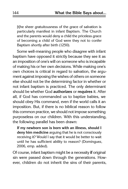[t]he sheer gratuitousness of the grace of salvation is particularly manifest in infant Baptism. The Church and the parents would deny a child the priceless grace of becoming a child of God were they not to confer Baptism shortly after birth (1250).

Some well-meaning people who disagree with infant baptism have opposed it strictly because they see it as an imposition of one's will on someone who is incapable of making his or her own decisions. While making one's own choices is critical in regard to salvation, the argument against imposing the wishes of others on someone else should not be the determining factor in whether or not infant baptism is practiced. The only determinant should be whether God **authorizes** or **requires** it. After all, if God has commanded us to baptize babies, we should obey His command, even if the world calls it an imposition. But, if there is no biblical reason to follow this common practice, we should not impose something purposeless on our children. With this understanding, the following parallel has been drawn:

**If my newborn son is born with an illness, should I deny him medicine** arguing that he is not consciously receiving it? Would I say that it would be better to wait until he has sufficient ability to reason? (Domínguez, 2006, emp. added).

Of course, infant baptism might be a necessity **if** original sin were passed down through the generations. However, children do not inherit the sins of their parents,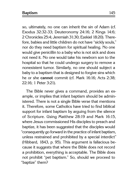so, ultimately, no one can inherit the sin of Adam (cf. Exodus 32:32-33; Deuteronomy 24:16; 2 Kings 14:6; 2 Chronicles 25:4; Jeremiah 31:30; Ezekiel 18:20). Therefore, babies and little children do not have "sickly souls," nor do they need baptism for spiritual healing. No one would give penicillin to a baby who is not sick and does not need it. No one would take his newborn son to the hospital so that he could undergo surgery to remove a nonexistent tumor. Similarly, no one should subject a baby to a baptism that is designed to forgive sins which he or she **cannot** commit (cf. Mark 16:16; Acts 2:38; 22:16; 1 Peter 3:21).

The Bible never gives a command, provides an example, or implies that infant baptism should be administered. There is not a single Bible verse that mentions it. Therefore, some Catholics have tried to find biblical support for infant baptism by arguing from the silence of Scripture. Using Matthew 28:19 and Mark 16:15, where Jesus commissioned His disciples to preach and baptize, it has been suggested that the disciples would "consequently go forward in the practice of infant baptism, unless restrained and prohibited by a special interdict" (Hibbard, 1843, p. 95). This argument is fallacious because it suggests that where the Bible does not record a prohibition, everything is acceptable. The Bible does not prohibit "pet baptism." So, should we proceed to "baptize" them?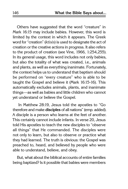Others have suggested that the word "creature" in Mark 16:15 may include babies. However, this word is limited by the context in which it appears. The Greek word for "creation" (ktisis) is used to designate the act of creation or the creative actions in progress. It also refers to the product of creation (see Vine, 1966, 1:254,255). In its general usage, this word includes not only babies, but also the totality of what was created, i.e., animals and plants, as well as everything inanimate. Fortunately, the context helps us to understand that baptism should be performed on "every creature" who is able to be taught the Gospel and believe it (Mark 16:15-16). This automatically excludes animals, plants, and inanimate things—as well as babies and little children who cannot yet understand or believe the Gospel.

 In Matthew 28:19, Jesus told the apostles to "Go therefore and make **disciples** of all nations" (emp. added). A disciple is a person who learns at the feet of another. This certainly cannot include infants. In verse 20, Jesus told His apostles to teach the new disciples to "observe all things" that He commanded. The disciples were not only to learn, but also to observe or practice what they had learned. The truth is obvious: the Gospel was preached to, heard, and believed by people who were able to understand, believe, and obey.

But, what about the biblical accounts of entire families being baptized? Is it possible that babies were members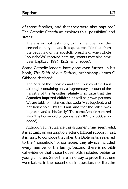of those families, and that they were also baptized? The Catholic Catechism explores this "possibility" and states:

There is explicit testimony to this practice from the second century on, and **it is quite possible** that, from the beginning of the apostolic preaching, when whole "households" received baptism, infants may also have been baptized (1994, 1252, emp. added).

Some Catholic leaders have gone even further. In his book, The Faith of our Fathers, Archbishop James C. Gibbons declared:

The Acts of the Apostles and the Epistles of St. Paul, although containing only a fragmentary account of the ministry of the Apostles, **plainly insinuate that the Apostles baptized children** as well as grown persons. We are told, for instance, that Lydia "was baptized, and her household," by St. Paul; and that the jailer "was baptized, and all his family." The same Apostle baptized also "the household of Stephanas" (1891, p. 308, emp. added).

Although at first glance this argument may seem valid, it is actually an assumption lacking biblical support. First, it is hasty to conclude that when the Bible writers referred to the "household" of someone, they always included every member of the family. Second, there is no biblical evidence that those households included babies or young children. Since there is no way to prove that there were babies in the households in question, nor that the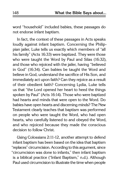word "household" included babies, these passages do not endorse infant baptism.

In fact, the context of these passages in Acts speaks loudly against infant baptism. Concerning the Philippian jailer, Luke tells us exactly which members of "all his family" (Acts 16:33) were baptized. They were those who were taught the Word by Paul and Silas (16:32), and those who rejoiced with the jailer, having "believed in God" (16:34). Can babies be taught the Word and believe in God, understand the sacrifice of His Son, and immediately act upon faith? Can they rejoice as a result of their obedient faith? Concerning Lydia, Luke tells us that "the Lord opened her heart to heed the things spoken by Paul" (Acts 16:14). Those who were baptized had hearts and minds that were open to the Word. Do babies have open hearts and discerning minds? The New Testament clearly teaches that baptism was performed on people who were taught the Word, who had open hearts, who carefully listened to and obeyed the Word, and who rejoiced because they made the conscious decision to follow Christ.

Using Colossians 2:11-12, another attempt to defend infant baptism has been based on the idea that baptism "replaces" circumcision. According to this argument, since "circumcision was done to infants," then infant baptism is a biblical practice ("Infant Baptism," n.d.). Although Paul used circumcision to illustrate the time when people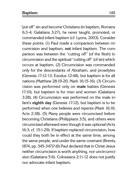"put off" sin and become Christians (in baptism, Romans 6:3-4; Galatians 3:27), he never taught, promoted, or commanded infant baptism (cf. Lyons, 2003). Consider these points: (1) Paul made a comparison between circumcision and baptism, **not** infant baptism. The comparison was between the "cutting off" (of the flesh) in circumcision and the spiritual "cutting off" (of sin) which occurs at baptism. (2) Circumcision was commanded only for the descendants of Abraham, and proselytes (Genesis 17:12-13; Exodus 12:48), but baptism is for all nations (Matthew 28:19-20; Mark 16:15-16). (3) Circumcision was performed only on **male** babies (Genesis 17:10), but baptism is for men and women (Galatians 3:28). (4) Circumcision was performed on the male infant's **eighth day** (Genesis 17:12), but baptism is to be performed when one believes and repents (Mark 16:16; Acts 2:38). (5) Many people were circumcised before becoming Christians (Philippians 3:5), and others were circumcised afterward even though it was optional (Acts 16:3; cf. 15:1-29). If baptism replaced circumcision, how could they both be in effect at the same time, among the same people, and under the same covenant (Brents, 1874, pp. 345-347)? (6) Paul declared that in Christ Jesus neither circumcision is worth anything, nor uncircumcision (Galatians 5:6). Colossians 2:11-12 does not justify nor advocate infant baptism.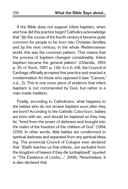If the Bible does not support infant baptism, when and how did this practice begin? Catholics acknowledge that "[i]n the course of the fourth century it became quite common for people to be born into Christian families, and by the next century, in the whole Mediterranean world, this was the common pattern. This means that the process of baptism changed considerably. Infant baptism became the general pattern" (Orlandis, 1993, p. 35; cf. Koch, 1997, p. 116). In A.D. 418, the Council of Carthage officially accepted this practice and enacted a condemnation for those who opposed it (see "Canons," n.d., 2). This is one more piece of evidence that infant baptism is not commanded by God, but rather is a man-made tradition.

Finally, according to Catholicism, what happens to the babies who do not receive baptism soon after they are born? According to the Catholic Catechism, babies are born with sin, and should be baptized so they may be "freed from the power of darkness and brought into the realm of the freedom of the children of God" (1994, 1250). In other words, little babies are condemned in spiritual darkness and separated from any spiritual blessing. The provincial Council of Cologne even declared that "[f]aith teaches us that infants...are excluded from the kingdom of heaven if they die [unbaptized]" (quoted in "The Existence of Limbo...," 2006). Nevertheless, it is also declared that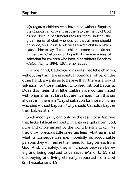[a]s regards children who have died without Baptism, the Church can only entrust them to the mercy of God, as she does in her funeral rites for them. Indeed, the great mercy of God who desires that all men should be saved, and Jesus' tenderness toward children which caused him to say: "Let the children come to me, do not hinder them," allow us to hope that **there is a way of salvation for children who have died without Baptism** (Catechism..., 1994, 1261, emp. added).

On one hand, Catholicism asserts that little children, without baptism, are in spiritual bondage, while, on the other hand, it wants us to believe that "there is a way of salvation for those children who died without baptism." Does this mean that little children are contaminated with original sin at birth but are liberated from this sin at death? If there is a "way of salvation for those children who died without baptism," why should Catholics baptize their babies at all?

Such incongruity can only be the result of a doctrine that lacks biblical authority. Infants are gifts from God, pure and unblemished by the world (Psalm 127:3). As they grow, precious little ones can learn what sin is, and what its consequences are. Hopefully, as accountable persons they will realize their need for forgiveness from God. And, ultimately, they will choose between believing and being baptized to be saved (Mark 16:16), and disobeying and living eternally separated from God (2 Thessalonians 1:9).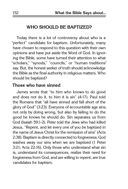#### **Who Should Be Baptized?**

Today there is a lot of controversy about who is a "perfect" candidate for baptism. Unfortunately, many have chosen to respond to this question with their own opinions and have put aside the Word of God. In ignoring the Bible, some have turned their attention to what "scholars," "synods," "councils," or "human traditions" say. But, the honest seeker of truth should acknowledge the Bible as the final authority in religious matters. Who should be baptized?

#### **Those who have sinned**

James wrote that "to him who knows to do good and does not do it, to him it is sin" (4:17). Paul told the Romans that "all have sinned and fall short of the glory of God" (3:23). Everyone of accountable age sins, not only by doing wrong, but also by failing to do the good he knows he should do. Sin separates us from God (Isaiah 59:1-2). Peter told the Jews who had killed Jesus, "Repent, and let every one of you be baptized in the name of Jesus Christ for the remission of sins" (Acts 2:38). Baptism is directly connected to forgiveness; God washes away our sins when we are baptized (1 Peter 3:21; Acts 22:16). Only those who understand what sin is, understand its consequences, realize their need for forgiveness from God, and are willing to repent, are true candidates for baptism.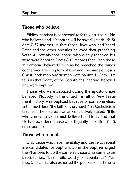#### **Those who believe**

Biblical baptism is connected to faith. Jesus said, "He who believes and is baptized will be saved" (Mark 16:16). Acts 2:37 informs us that those Jews who had heard Peter and the other apostles believed their preaching. Verse 41 reveals that "those who gladly received his word were baptized." Acts 8:12 records that when those in Samaria "believed Philip as he preached the things concerning the kingdom of God and the name of Jesus Christ, both men and women were baptized." Acts 18:8 tells us that "many of the Corinthians, hearing, believed and were baptized."

Those who were baptized during the apostolic age believed. Nobody in the church, in all of New Testament history, was baptized because of someone else's faith, much less "the faith of the church," as Catholicism teaches. The Hebrews writer conclusively stated: "[H]e who comes to God **must** believe that He is, and that He is a rewarder of those who diligently seek Him" (11:6, emp. added).

### **Those who repent**

Only those who have the ability and desire to repent are candidates for baptism. John the baptizer urged the Pharisees to do the same as those who came to be baptized, i.e., "bear fruits worthy of repentance" (Matthew 3:8). Jesus also exhorted the people of His time to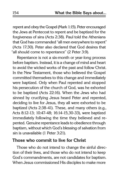repent and obey the Gospel (Mark 1:15). Peter encouraged the Jews at Pentecost to repent and be baptized for the forgiveness of sins (Acts 2:38). Paul told the Athenians that God has commanded "all men everywhere to repent" (Acts 17:30). Peter also declared that God desires that "all should come to repentance" (2 Peter 3:9).

Repentance is not a six-month or year-long process before baptism. Instead, it is a change of mind and heart to avoid the wicked works of the past and follow Christ. In the New Testament, those who believed the Gospel committed themselves to this change and immediately were baptized. Only when Paul repented and stopped his persecution of the church of God, was he exhorted to be baptized (Acts 22:16). When the Jews who had sinned by crucifying Jesus heard Peter and repented, deciding to live for Jesus, they all were exhorted to be baptized (Acts 2:38-41). These, and many others (e.g., Acts 8:12-13; 10:47-48; 16:14-15,30-33), were baptized immediately following the time they believed and repented. Genuine repentance leads to obedience through baptism, without which God's blessing of salvation from sin is unavailable (1 Peter 3:21).

### **Those who commit to live for Christ**

Those who do not intend to change the sinful direction of their lives, and those who do not intend to keep God's commandments, are not candidates for baptism. When Jesus commissioned His disciples to make more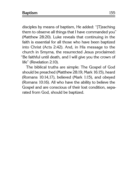disciples by means of baptism, He added: "[T]eaching them to observe all things that I have commanded you" (Matthew 28:20). Luke reveals that continuing in the faith is essential for all those who have been baptized into Christ (Acts 2:42). And, in His message to the church in Smyrna, the resurrected Jesus proclaimed: "Be faithful until death, and I will give you the crown of life" (Revelation 2:10).

The biblical truths are simple: The Gospel of God should be preached (Matthew 28:19; Mark 16:15), heard (Romans 10:14,17), believed (Mark 1:15), and obeyed (Romans 10:16). All who have the ability to believe the Gospel and are conscious of their lost condition, separated from God, should be baptized.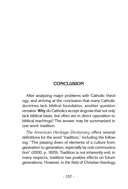# **Conclusion**

After analyzing major problems with Catholic theology, and arriving at the conclusion that many Catholic doctrines lack biblical foundation, another question remains: **Why** do Catholics accept dogmas that not only lack biblical basis, but often are in direct opposition to biblical teachings? The answer may be summarized in one word: tradition.

The American Heritage Dictionary offers several definitions for the word "tradition," including the following: "The passing down of elements of a culture from generation to generation, especially by oral communication" (2000, p. 1829). Tradition is not inherently evil; in many respects, tradition has positive effects on future generations. However, in the field of Christian theology,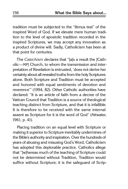tradition must be subjected to the "litmus test" of the inspired Word of God. If we elevate mere human tradition to the level of apostolic tradition recorded in the inspired Scriptures, we may accept any innovation as a product of divine will. Sadly, Catholicism has been at that point for centuries.

The Catechism declares that "[a]s a result the [Catholic—MP] Church, to whom the transmission and interpretation of Revelation is entrusted, 'does not derive her certainty about all revealed truths from the holy Scriptures alone. Both Scripture and Tradition must be accepted and honored with equal sentiments of devotion and reverence'" (1994, 82). Other Catholic authorities have declared: "It is an article of faith from a decree of the Vatican Council that Tradition is a source of theological teaching distinct from Scripture, and that it is infallible. It is therefore to be received with the same internal assent as Scripture for it is the word of God" (Attwater, 1961, p. 41).

Placing tradition on an equal level with Scripture or making it superior to Scripture inevitably undermines of the Bible's authority and inspiration. Over the hundreds of years of abusing and misusing God's Word, Catholicism has adopted this deplorable practice. Catholics allege that "[w]hereas much of the teaching of Scripture could not be determined without Tradition, Tradition would suffice without Scripture; it is the safeguard of Scrip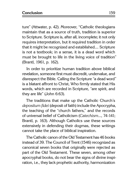ture" (Attwater, p. 42). Moreover, "Catholic theologians maintain that as a source of truth, tradition is superior to Scripture. Scripture is, after all, incomplete; it not only requires interpretation, but it required tradition in order that it might be recognized and established.... Scripture is not a textbook; in a sense, it is a dead word which must be brought to life in the living voice of tradition" (Brantl, 1961, p. 162).

In order to prioritize human tradition above biblical revelation, someone first must discredit, undervalue, and disrespect the Bible. Calling the Scripture "a dead word" is a blatant affront to Christ, Who firmly stated that His words, which are recorded in Scripture, "are spirit, and they are life" (John 6:63).

The traditions that make up the Catholic Church's depositum fidei (deposit of faith) include the Apocrypha, the teaching of the "church fathers," and the records of universal belief of Catholicism (Catechism..., 74-141; Brantl, p. 163). Although Catholics use these sources extensively in defending their dogmas, these writings cannot take the place of biblical inspiration.

The Catholic canon of the Old Testament has 46 books instead of 39. The Council of Trent (1546) recognized as canonical seven books that originally were rejected as part of the Old Testament. These seven, among other apocryphal books, do not bear the signs of divine inspiration, i.e., they lack prophetic authority, harmonization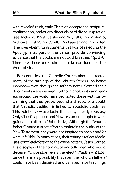with revealed truth, early Christian acceptance, scriptural confirmation, and/or any direct claim of divine inspiration (see Jackson, 1999; Geisler and Nix, 1968, pp. 264-275; McDowell, 1972, pp. 33-40). As Geisler and Nix noted, "The overwhelming arguments in favor of rejecting the Apocrypha as part of the canon provide convincing evidence that the books are not God-breathed" (p. 270). Therefore, these books should not be considered as the Word of God.

For centuries, the Catholic Church also has treated many of the writings of the "church fathers" as being inspired—even though the fathers never claimed their documents were inspired. Catholic apologists and leaders around the world have promoted these writings by claiming that they prove, beyond a shadow of a doubt, that Catholic tradition is linked to apostolic doctrines. This point of view overlooks the reality of early apostasy. Only Christ's apostles and New Testament prophets were guided into all truth (John 16:13). Although the "church fathers" made a great effort to maintain the purity of the New Testament, they were not inspired to speak and/or write infallibly. In many cases, their writings reflect ideologies completely foreign to the divine pattern. Jesus warned His disciples of the coming of ungodly men who would deceive, "if possible, even the elect" (Matthew 24:24). Since there is a possibility that even the "church fathers" could have been deceived and believed false teachings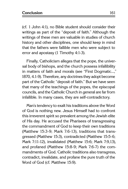(cf. 1 John 4:1), no Bible student should consider their writings as part of the "deposit of faith." Although the writings of these men are valuable in studies of church history and other disciplines, one should keep in mind that the fathers were fallible men who were subject to error and apostasy (1 Timothy 4:1-3).

Finally, Catholicism alleges that the pope, the universal body of bishops, and the church possess infallibility in matters of faith and morals (see "First Dogmatic...," 1870, 4.1-9). Therefore, any doctrines they adopt become part of the Catholic "deposit of faith." But we have seen that many of the teachings of the popes, the episcopal councils, and the Catholic Church in general are far from infallible. In many cases, they are self-contradictory.

Man's tendency to exalt his traditions above the Word of God is nothing new. Jesus Himself had to confront this irreverent spirit so prevalent among the Jewish elite of His day. He accused the Pharisees of transgressing the commandment of God to keep their own traditions (Matthew 15:3-9; Mark 7:6-13), traditions that transgressed (Matthew 15:3), contradicted (Matthew 15:5-6; Mark 7:11-12), invalidated (Matthew 15:6; Mark 7:9,13), and profaned (Matthew 15:8-9; Mark 7:6-7) the commandments of God. Catholic traditions also transgress, contradict, invalidate, and profane the pure truth of the Word of God (cf. Matthew 15:9).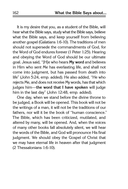It is my desire that you, as a student of the Bible, will hear what the Bible says, study what the Bible says, believe what the Bible says, and keep yourself from believing another gospel (Galatians 1:6-10). The traditions of men should not supersede the commandments of God, for the Word of God endures forever (1 Peter 1:25). Hearing and obeying the Word of God should be our ultimate goal. Jesus said, "[H]e who hears **My word** and believes in Him who sent Me has everlasting life, and shall not come into judgment, but has passed from death into life" (John 5:24, emp. added). He also added, "He who rejects Me, and does not receive My words, has that which judges him—**the word that I have spoken** will judge him in the last day" (John 12:48, emp. added).

One day, when we stand before the divine throne to be judged, a Book will be opened. This book will not be the writings of a man, it will not be the traditions of our fathers, nor will it be the book of "human conscience." The Bible, which has been criticized, mutilated, and altered by many, will be opened. And, when the voices of many other books fall absolutely silent, we will hear the words of the Bible, and God will pronounce His final judgment. We should obey the Gospel of Christ that we may have eternal life in heaven after that judgment (2 Thessalonians 1:6-10).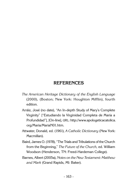# **referencEs**

- The American Heritage Dictionary of the English Language (2000), (Boston; New York: Houghton Mifflin), fourth edition.
- Arráiz, José (no date), "An In-depth Study of Mary's Complete Virginity" ["Estudiando la Virginidad Completa de María a Profundidad"], [On-line], URL: http://www.apologeticacatolica. org/Maria/MariaN01.htm.
- Attwater, Donald, ed. (1961), A Catholic Dictionary (New York: Macmillan).
- Baird, James O. (1978), "The Trials and Tribulations of the Church from the Beginning," The Future of the Church, ed. William Woodson (Henderson, TN: Freed-Hardeman College).
- Barnes, Albert (2005a), Notes on the New Testament: Matthew and Mark (Grand Rapids, MI: Baker).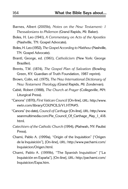- Barnes, Albert (2005b), Notes on the New Testament: 1 Thessalonians to Philemon (Grand Rapids, MI: Baker).
- Boles, H. Leo (1941), A Commentary on Acts of the Apostles (Nashville, TN: Gospel Advocate).
- Boles, H. Leo (1952), The Gospel According to Matthew (Nashville, TN: Gospel Advocate).
- Brantl, George, ed. (1961), Catholicism (New York: George Braziller).
- Brents, T.W. (1874), The Gospel Plan of Salvation (Bowling Green, KY: Guardian of Truth Foundation, 1987 reprint).
- Brown, Colin, ed. (1975), The New International Dictionary of New Testament Theology (Grand Rapids, MI: Zondervan).
- Cabié, Robert (1988), The Church at Prayer (Collegeville, MN: Liturgical Press).
- "Canons" (1870), First Vatican Council [On-line], URL: http://www. ewtn.com/library/COUNCILS/V1.HTM#5.
- "Canons" (no date), Council of Carthage [On-line], URL: http://www. seanmultimedia.com/Pie Council Of Carthage May 1 418. html.
- Catechism of the Catholic Church (1994), (Mahwah, NY: Paulist Press).
- Chami, Pablo A. (1999a), "Origin of the Inquisition" ["Origen de la Inquisición"], [On-line], URL: http://www.pachami.com/ Inquisicion/Origen.html.
- Chami, Pablo A. (1999b), "The Spanish Inquisition" ["La Inquisición en España"], [On-line], URL: http://pachami.com/ Inquisicion/Espa.htm.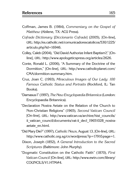- Coffman, James B. (1984), Commentary on the Gospel of Matthew (Abilene, TX: ACU Press).
- Cofrade Dictionary [Diccionario Cofrade] (2005), [On-line], URL: http://es.catholic.net/comunicadorescatolicos/530/1225/ articulo.php?id=16946.
- Colley, Caleb (2004), "Did David Authorize Infant Baptism?," [Online], URL: http://www.apologeticspress.org/articles/2626.
- Conte, Ronald L. (2006), "A Summary of the Doctrine of the Dormition," [On-line], URL: http://www.catholicplanet.com/ CMA/dormition-summary.htm.
- Cruz, Joan C. (1993), Miraculous Images of Our Lady: 100 Famous Catholic Status and Portraits (Rockford, IL: Tan Books).
- "Damasus I" (1997), The New Encyclopædia Britannica (London: Encyclopaedia Britannica).
- "Declaration Nostra Aetate on the Relation of the Church to Non-Christian Religions" (1965), Second Vatican Council [On-line], URL: http://www.vatican.va/archive/hist\_councils/ ii vatican council/documents/vat-ii decl 19651028 nostraaetate\_en.html.
- "Did Mary Die?" (1997), Catholic News, August 13, [On-line], URL: http://www.catholic.org.sg/cn/wordpress/?p=1791&page=1.
- Dixon, Joseph (1852), A General Introduction to the Sacred Scriptures (Baltimore: John Murphy).
- "Dogmatic Constitution on the Catholic Faith" (1870), First Vatican Council [On-line], URL: http://www.ewtn.com/library/ COUNCILS/V1.HTM#4.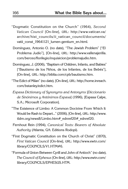- "Dogmatic Constitution on the Church" (1964), Second Vatican Council [On-line], URL: http://www.vatican.va/ archive/hist\_councils/ii\_vatican\_council/documents/ vatii const 19641121 lumen-gentium en.html.
- Domínguez, Antonio O. (no date), "The Jewish Problem" ["El Problema Judío"], [On-line], URL: http://www.vallenajerilla. com/berceo/florilegio/inquisicion/problemajudio.htm.
- Domínguez, J. (2006), "Baptism of Children, Infants, and Babies" ["Bautismo de los Niños, de los Infantes, de los Bebés"], [On-line], URL: http://biblia.com/cpb/bautismo.htm.
- "The Edict of Milan" (no date), [On-line], URL: http://home.inreach. com/bstanley/edict.htm.
- Espasa Dictionary of Synonyms and Antonyms [Diccionario de Sinónimos y Antónimos Espasa] (1996), [Espasa Calpe, S.A.; Microsoft Corporation].
- "The Existence of Limbo: A Common Doctrine From Which It Would be Rash to Depart..." (2006), [On-line], URL: http://www. tldm.org/news8/Limbo.htm# ednref20# ednref20.
- Fernhout Rein (1994), Canonical Texts: Bearers of Absolute Authority (Atlanta, GA: Editions Rodopi).
- "First Dogmatic Constitution on the Church of Christ" (1870), First Vatican Council [On-line], URL: http://www.ewtn.com/ library/COUNCILS/V1.HTM#6.
- "Formula of Union Between Cyrill and John of Antioch" (no date), The Council of Ephesus [On-line], URL: http://www.ewtn.com/ library/COUNCILS/EPHESUS.HTM.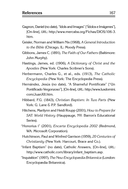- Gagnon, Daniel (no date), "Idols and Images" ["Ídolos e Imágenes"], [On-line], URL: http://www.mercaba.org/Fichas/DIOS/106-3. htm.
- Geisler, Norman and William Nix (1968), A General Introduction to the Bible (Chicago, IL: Moody Press).
- Gibbons, James C. (1891), The Faith of Our Fathers (Baltimore: John Murphy).
- Hastings, James, ed. (1906), A Dictionary of Christ and the Apostles (New York: Charles Scribner's Sons).
- Herbermann, Charles G., et al., eds. (1913), The Catholic Encyclopedia (New York: The Encyclopedia Press).
- Hernández, Jesús (no date), "A Shameful Pontificate" ["Un Pontificado Vergonzoso"], [On-line], URL: http://www.luxdomini. com/JuanXII.htm.
- Hibbard, F.G. (1843), Christian Baptism: In Two Parts (New York: G. Lane & P.P. Sandford).
- Hitchens, Marilynn and Heidi Roupp (2001), How to Prepare for SAT: World History (Hauppauge, NY: Barron's Educational Series).
- "Honorius I" (2001), Encarta Encyclopedia 2002 (Redmond, WA: Microsoft Corporation).
- Hutchinson, Paul and Winfred Garrison (1959), 20 Centuries of Christianity (New York: Harcourt, Brace and Co.).
- "Infant Baptism" (no date), Catholic Answers, [On-line], URL: http://www.catholic.com/library/infant\_baptism.asp.
- "Inquisition" (1997), The New Encyclopædia Britannica (London: Encyclopædia Britannica).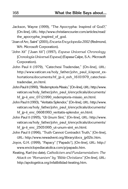- Jackson, Wayne (1999), "The Apocrypha: Inspired of God?," [On-line], URL: http://www.christiancourier.com/articles/read/ the apocrypha inspired of god.
- "Joan of Arc, Saint" (2001), Encarta Encyclopedia 2002 (Redmond, WA: Microsoft Corporation).
- "John XII" ["Juan XII"] (1997), Espasa Universal Chronology [Cronología Universal Espasa] (Espasa Calpe, S.A.: Microsoft Corporation).
- John Paul II (1979), "Catechesi Tradendae," [On-line], URL: http://www.vatican.va/holy father/john\_paul\_ii/apost\_exhortations/documents/hf\_jp-ii\_exh\_16101979\_catechesitradendae\_en.html.
- John Paul II (1990), "Redemptoris Missio," [On-line], URL: http://www. vatican.va/holy father/john paul ii/encyclicals/documents/ hf jp-ii enc 07121990 redemptoris-missio en.html.
- John Paul II (1993), "Veritatis Splendor," [On-line], URL: http://www. vatican.va/holy father/john\_paul\_ii/encyclicals/documents/ hf jp-ii enc 06081993 veritatis-splendor en.html.
- John Paul II (1995), "Ut Unum Sint," [On-line], URL: http://www. vatican.va/holy father/john paul ii/encyclicals/documents/ hf jp-ii enc 25051995 ut-unum-sint en.html.
- John Paul II (1996), "Truth Cannot Contradict Truth," [On-line], URL: http://www.newadvent.org/library/docs\_jp02tc.htm.
- Joyce, G.H. (1999), "Papacy" ["Papado"], [On-line], URL: http:// www.enciclopediacatolica.com/p/papado.htm.
- Keating, Karl (no date), Catholicism and Fundamentalism: The Attack on "Romanism" by "Bible Christians" [On-line], URL: http://apologetica.org/infalibilidad-keating.htm.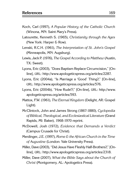- Koch, Carl (1997), A Popular History of the Catholic Church (Winona, MN: Saint Mary's Press).
- Latourette, Kenneth S. (1965), Christianity through the Ages (New York: Harper & Row).
- Lenski, R.C.H. (1961), The Interpretation of St. John's Gospel (Minneapolis, MN: Augsburg).
- Lewis, Jack P. (1976), The Gospel According to Matthew (Austin, TX: Sweet).
- Lyons, Eric (2003), "Does Baptism Replace Circumcision," [Online], URL: http://www.apologeticspress.org/articles/2287.
- Lyons, Eric (2004a), "Is Marriage a 'Good' Thing?," [On-line], URL: http://www.apologeticspress.org/articles/576.
- Lyons, Eric (2004b), "How Rude!?," [On-line], URL: http://www. apologeticspress.org/articles/593.
- Mattox, F.W. (1961), The Eternal Kingdom (Delight, AR: Gospel Light).
- McClintock, John and James Strong (1867-1880), Cyclopedia of Biblical, Theological, and Ecclesiastical Literature (Grand Rapids, MI: Baker), 1968-1970 reprint.
- McDowell, Josh (1972), Evidence that Demands a Verdict (Campus Crusade for Christ).
- Merdinger, J.E. (1997), Rome  $\mathcal E$  the African Church in the Time of Augustine (London: Yale University Press).
- Miller, Dave (2003), "Did Jesus Have Fleshly Half-Brothers?," [Online], URL: http://www.apologeticspress.org/articles/2318.
- Miller, Dave (2007), What the Bible Says about the Church of Christ (Montgomery, AL: Apologetics Press).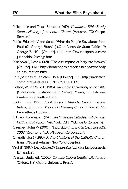- Miller, Jule and Texas Stevens (1969), Visualized Bible Study Series: History of the Lord's Church (Houston, TX: Gospel Services).
- Mirás, Eduardo V. (no date), "What do People Say about John Paul II?: George Bush" ["¿Qué Dicen de Juan Pablo II?: George Bush"], [On-line], URL: http://www.aciprensa.com/ juanpabloii/dicenjp.htm.
- Mischewski, Dean (2005), "The Assumption of Mary into Heaven," [On-line], URL: http://homepages.paradise.net.nz/mischedj/ ct\_assumption.html.
- Munificentissimus Deus (1950), [On-line], URL: http://www.ewtn. com/library/PAPALDOC/P12MUNIF.HTM.
- Nelson, Wilton M., ed. (1985), Illustrated Dictionary of the Bible [Diccionario Ilustrado de la Biblia] (Miami, FL: Editorial Caribe), fourteenth edition.
- Nickell, Joe (1998), Looking for a Miracle: Weeping Icons, Relics, Stigmata, Visions & Healing Cures (Amherst, NY: Prometheus Books).
- O'Brien, Thomas, ed. (1901), An Advanced Catechism of Catholic Faith and Practice (New York: D.H. McBride & Company).
- O'Malley, John W (2001), "Inquisition," Encarta Encyclopedia 2002 (Redmond, WA: Microsoft Corporation).
- Orlandis, José (1993), A Short History of the Catholic Church, trans. Michael Adams (New York: Scepter).
- "Paul III" (1997), Encyclopaedia Britannica (London: Encyclopaedia Britannica).
- Pearsall, Judy, ed. (2002), Concise Oxford English Dictionary (Oxford, NY: Oxford University Press).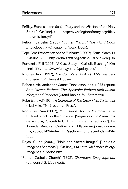- Peffley, Francis J. (no date), "Mary and the Mission of the Holy Spirit," [On-line], URL: http://www.legionofmary.org/files/ marymission.pdf.
- Pelikan, Jaroslav (1988), "Luther, Martin," The World Book Encyclopedia (Chicago, IL: World Book).
- "Pope Pens Exhortation on the Eucharist" (2007), Zenit, March 13, [On-line], URL: http://www.zenit.org/article-19138?l=english.
	- Porvaznik, Phil (2007), "A Case Study in Catholic Bashing," [Online], URL: http://www.bringyou.to/apologetics/num4.htm.
	- Rhodes, Ron (1997), The Complete Book of Bible Answers (Eugene, OR: Harvest House).
	- Roberts, Alexander and James Donaldson, eds. (1973 reprint), Ante-Nicene Fathers: The Apostolic Fathers with Justin Martyr and Irenaeus (Grand Rapids, MI: Eerdmans).
	- Robertson, A.T (1934), A Grammar of The Greek New Testament (Nashville, TN: Broadman Press).
	- Rodriguez, Ana (2007), "Inquisition: Torture Instruments, 'a Cultural Shock' for the Audience" ["Inquisición: Instrumentos de Tortura, 'Sacudida Cultural' para el Espectador"], La Jornada, March 9, [On-line], URL: http://www.jornada.unam. mx/2007/01/09/index.php?section=cultura&article=a04n 1cul.
	- Rojas, Guido (2000), "Idols and Sacred Images" ["Ídolos e Imágenes Sagradas"], [On-line], URL: http://defiendetufe.org/ imagenes e idolos.htm.
- "Roman Catholic Church" (1892), Chambers' Encyclopædia (London: J.B. Lippincott).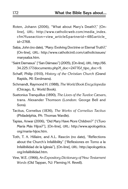- Roten, Johann (2006), "What about Mary's Death?," [Online], URL: http://www.catholicweb.com/media\_index. cfm?fuseaction=view\_article&partnerid=48&article\_ id=2768.
- Salza, John (no date), "Mary: Evolving Doctrine or Eternal Truth?," [On-line], URL: http://www.catholicintl.com/catholicissues/ marysalza.htm.
- "Saint Damasus" ["San Dámaso"] (2005), [On-line], URL: http://66. 34.225.177/documento.php?f\_doc=2477&f\_tipo\_doc=9.
- Schaff, Philip (1910), History of the Christian Church (Grand Rapids, MI: Eerdmans).
- Schmandt, Raymond H. (1988), The World Book Encyclopedia (Chicago, IL: World Book).
- Suetonius Tranquillus (1890), The Lives of the Twelve Cæsars, trans. Alexander Thomson (London: George Bell and Sons).
- Tacitus, Cornelius (1836), The Works of Cornelius Tacitus (Philadelphia, PA: Thomas Wardle).
- Tapias, Anwar (2006), "Did Mary Have More Children?" ["¿Tuvo María Más Hijos?"], [On-line], URL: http://www.apologetica. org/maria-hijos.htm.
- Toth, T. A. Hillaire, and A.L. Rascón (no date), "Reflections about the Church's Infallibility" ["Reflexiones en Torno a la Infalibilidad de la Iglesia"], [On-line], URL: http://apologetica. org/infalibilidad.htm.
- Vine, W.E. (1966), An Expository Dictionary of New Testament Words (Old Tappan, NJ: Fleming H. Revell).